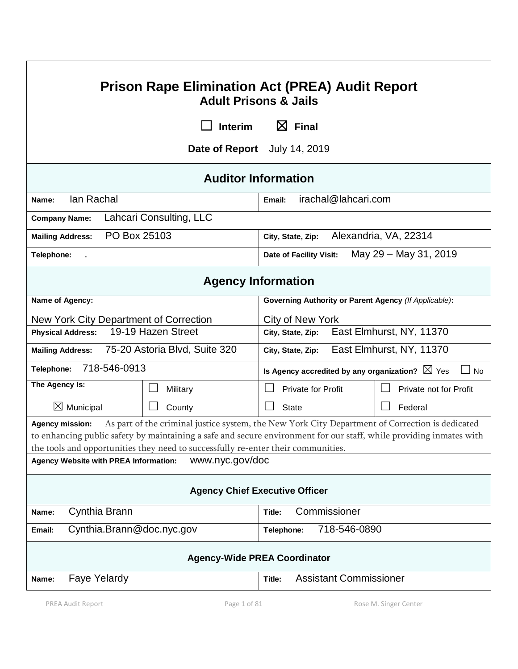| <b>Prison Rape Elimination Act (PREA) Audit Report</b><br><b>Adult Prisons &amp; Jails</b>                                                                                                                                                                                                                                            |                                                         |                                                                        |  |  |
|---------------------------------------------------------------------------------------------------------------------------------------------------------------------------------------------------------------------------------------------------------------------------------------------------------------------------------------|---------------------------------------------------------|------------------------------------------------------------------------|--|--|
| $\boxtimes$ Final<br><b>Interim</b>                                                                                                                                                                                                                                                                                                   |                                                         |                                                                        |  |  |
| Date of Report July 14, 2019                                                                                                                                                                                                                                                                                                          |                                                         |                                                                        |  |  |
| <b>Auditor Information</b>                                                                                                                                                                                                                                                                                                            |                                                         |                                                                        |  |  |
| lan Rachal<br>Name:                                                                                                                                                                                                                                                                                                                   |                                                         | irachal@lahcari.com<br>Email:                                          |  |  |
| <b>Company Name:</b>                                                                                                                                                                                                                                                                                                                  | Lahcari Consulting, LLC                                 |                                                                        |  |  |
| PO Box 25103<br><b>Mailing Address:</b>                                                                                                                                                                                                                                                                                               |                                                         | Alexandria, VA, 22314<br>City, State, Zip:                             |  |  |
| Telephone:                                                                                                                                                                                                                                                                                                                            |                                                         | May 29 - May 31, 2019<br>Date of Facility Visit:                       |  |  |
| <b>Agency Information</b>                                                                                                                                                                                                                                                                                                             |                                                         |                                                                        |  |  |
| Name of Agency:                                                                                                                                                                                                                                                                                                                       |                                                         | Governing Authority or Parent Agency (If Applicable):                  |  |  |
| New York City Department of Correction                                                                                                                                                                                                                                                                                                |                                                         | <b>City of New York</b>                                                |  |  |
| <b>Physical Address:</b>                                                                                                                                                                                                                                                                                                              | 19-19 Hazen Street                                      | East Elmhurst, NY, 11370<br>City, State, Zip:                          |  |  |
| 75-20 Astoria Blvd, Suite 320<br><b>Mailing Address:</b>                                                                                                                                                                                                                                                                              |                                                         | East Elmhurst, NY, 11370<br>City, State, Zip:                          |  |  |
| 718-546-0913<br>Telephone:                                                                                                                                                                                                                                                                                                            |                                                         | Is Agency accredited by any organization? $\boxtimes$ Yes<br>$\Box$ No |  |  |
| The Agency Is:                                                                                                                                                                                                                                                                                                                        | Military                                                | <b>Private for Profit</b><br>Private not for Profit                    |  |  |
| $\boxtimes$ Municipal                                                                                                                                                                                                                                                                                                                 | $\Box$<br>County                                        | $\vert \ \ \vert$<br><b>State</b><br>Federal                           |  |  |
| As part of the criminal justice system, the New York City Department of Correction is dedicated<br><b>Agency mission:</b><br>to enhancing public safety by maintaining a safe and secure environment for our staff, while providing inmates with<br>the tools and opportunities they need to successfully re-enter their communities. |                                                         |                                                                        |  |  |
| www.nyc.gov/doc<br>Agency Website with PREA Information:                                                                                                                                                                                                                                                                              |                                                         |                                                                        |  |  |
| <b>Agency Chief Executive Officer</b>                                                                                                                                                                                                                                                                                                 |                                                         |                                                                        |  |  |
| Cynthia Brann<br>Name:                                                                                                                                                                                                                                                                                                                |                                                         | Commissioner<br>Title:                                                 |  |  |
| Email:                                                                                                                                                                                                                                                                                                                                | Cynthia.Brann@doc.nyc.gov<br>718-546-0890<br>Telephone: |                                                                        |  |  |
| <b>Agency-Wide PREA Coordinator</b>                                                                                                                                                                                                                                                                                                   |                                                         |                                                                        |  |  |
| <b>Faye Yelardy</b><br>Name:                                                                                                                                                                                                                                                                                                          |                                                         | <b>Assistant Commissioner</b><br>Title:                                |  |  |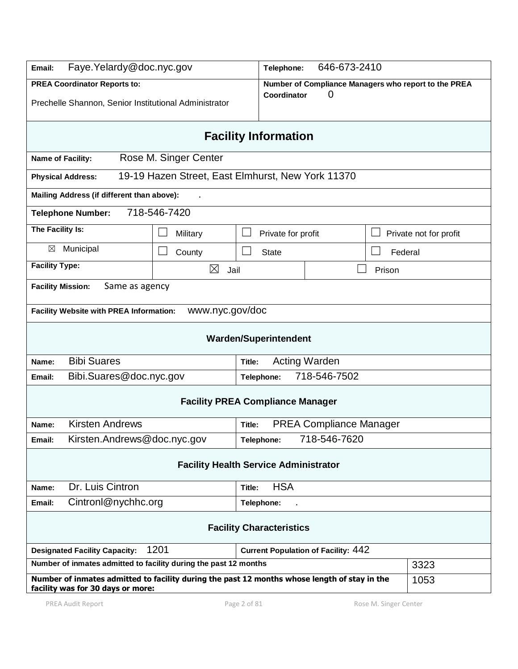| Faye.Yelardy@doc.nyc.gov<br>Email:                                                                                                        |                                                   |                              | 646-673-2410<br>Telephone:                           |         |                        |
|-------------------------------------------------------------------------------------------------------------------------------------------|---------------------------------------------------|------------------------------|------------------------------------------------------|---------|------------------------|
| <b>PREA Coordinator Reports to:</b>                                                                                                       |                                                   |                              | Number of Compliance Managers who report to the PREA |         |                        |
| Prechelle Shannon, Senior Institutional Administrator                                                                                     |                                                   | Coordinator                  | O                                                    |         |                        |
| <b>Facility Information</b>                                                                                                               |                                                   |                              |                                                      |         |                        |
| Name of Facility:                                                                                                                         | Rose M. Singer Center                             |                              |                                                      |         |                        |
| <b>Physical Address:</b>                                                                                                                  | 19-19 Hazen Street, East Elmhurst, New York 11370 |                              |                                                      |         |                        |
| Mailing Address (if different than above):                                                                                                |                                                   |                              |                                                      |         |                        |
| <b>Telephone Number:</b>                                                                                                                  | 718-546-7420                                      |                              |                                                      |         |                        |
| The Facility Is:                                                                                                                          | Military                                          | Private for profit           |                                                      |         | Private not for profit |
| ⊠<br>Municipal                                                                                                                            | County                                            | <b>State</b>                 |                                                      | Federal |                        |
| <b>Facility Type:</b>                                                                                                                     | ⊠<br>Jail                                         |                              |                                                      | Prison  |                        |
| <b>Facility Mission:</b><br>Same as agency                                                                                                |                                                   |                              |                                                      |         |                        |
| www.nyc.gov/doc<br><b>Facility Website with PREA Information:</b>                                                                         |                                                   |                              |                                                      |         |                        |
|                                                                                                                                           |                                                   |                              |                                                      |         |                        |
|                                                                                                                                           |                                                   | <b>Warden/Superintendent</b> |                                                      |         |                        |
| <b>Bibi Suares</b><br>Name:                                                                                                               |                                                   | Title:                       | <b>Acting Warden</b>                                 |         |                        |
| Bibi.Suares@doc.nyc.gov<br>Email:                                                                                                         |                                                   | Telephone:                   | 718-546-7502                                         |         |                        |
| <b>Facility PREA Compliance Manager</b>                                                                                                   |                                                   |                              |                                                      |         |                        |
| <b>Kirsten Andrews</b><br>Name:                                                                                                           | <b>PREA Compliance Manager</b><br>Title:          |                              |                                                      |         |                        |
| 718-546-7620<br>Kirsten.Andrews@doc.nyc.gov<br>Telephone:<br>Email:                                                                       |                                                   |                              |                                                      |         |                        |
| <b>Facility Health Service Administrator</b>                                                                                              |                                                   |                              |                                                      |         |                        |
| Dr. Luis Cintron<br>Name:                                                                                                                 |                                                   | <b>HSA</b><br>Title:         |                                                      |         |                        |
| Cintronl@nychhc.org<br>Email:                                                                                                             |                                                   | Telephone:                   |                                                      |         |                        |
| <b>Facility Characteristics</b>                                                                                                           |                                                   |                              |                                                      |         |                        |
| 1201<br><b>Current Population of Facility: 442</b><br><b>Designated Facility Capacity:</b>                                                |                                                   |                              |                                                      |         |                        |
| Number of inmates admitted to facility during the past 12 months<br>3323                                                                  |                                                   |                              |                                                      |         |                        |
| Number of inmates admitted to facility during the past 12 months whose length of stay in the<br>1053<br>facility was for 30 days or more: |                                                   |                              |                                                      |         |                        |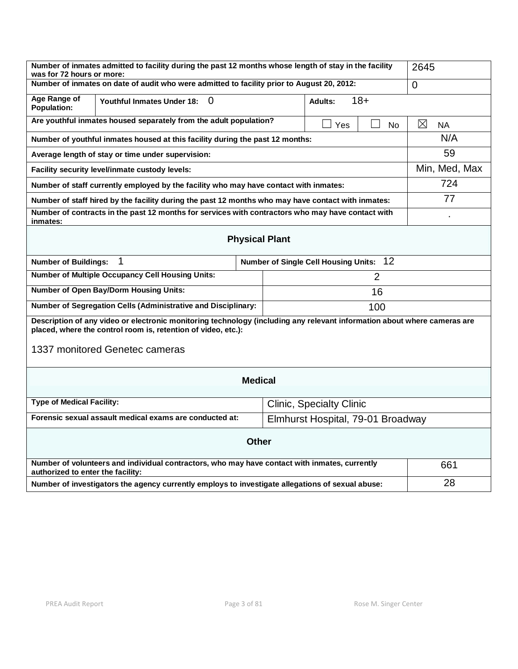| Number of inmates admitted to facility during the past 12 months whose length of stay in the facility<br>was for 72 hours or more: |                                                                                                                                                                                           |  | 2645                     |     |               |
|------------------------------------------------------------------------------------------------------------------------------------|-------------------------------------------------------------------------------------------------------------------------------------------------------------------------------------------|--|--------------------------|-----|---------------|
| Number of inmates on date of audit who were admitted to facility prior to August 20, 2012:                                         |                                                                                                                                                                                           |  | $\Omega$                 |     |               |
| Age Range of<br>Population:                                                                                                        | $18+$<br><b>Youthful Inmates Under 18:</b><br>0<br>Adults:                                                                                                                                |  |                          |     |               |
| Are youthful inmates housed separately from the adult population?<br>Yes<br>N <sub>o</sub>                                         |                                                                                                                                                                                           |  | $\boxtimes$<br><b>NA</b> |     |               |
| Number of youthful inmates housed at this facility during the past 12 months:                                                      |                                                                                                                                                                                           |  |                          | N/A |               |
| Average length of stay or time under supervision:                                                                                  |                                                                                                                                                                                           |  |                          | 59  |               |
|                                                                                                                                    | Facility security level/inmate custody levels:                                                                                                                                            |  |                          |     | Min, Med, Max |
| Number of staff currently employed by the facility who may have contact with inmates:                                              |                                                                                                                                                                                           |  |                          | 724 |               |
|                                                                                                                                    | Number of staff hired by the facility during the past 12 months who may have contact with inmates:                                                                                        |  |                          |     | 77            |
| Number of contracts in the past 12 months for services with contractors who may have contact with<br>inmates:                      |                                                                                                                                                                                           |  |                          |     |               |
| <b>Physical Plant</b>                                                                                                              |                                                                                                                                                                                           |  |                          |     |               |
| 1<br>Number of Single Cell Housing Units: 12<br><b>Number of Buildings:</b>                                                        |                                                                                                                                                                                           |  |                          |     |               |
| <b>Number of Multiple Occupancy Cell Housing Units:</b><br>$\overline{2}$                                                          |                                                                                                                                                                                           |  |                          |     |               |
| <b>Number of Open Bay/Dorm Housing Units:</b><br>16                                                                                |                                                                                                                                                                                           |  |                          |     |               |
| Number of Segregation Cells (Administrative and Disciplinary:<br>100                                                               |                                                                                                                                                                                           |  |                          |     |               |
|                                                                                                                                    | Description of any video or electronic monitoring technology (including any relevant information about where cameras are<br>placed, where the control room is, retention of video, etc.): |  |                          |     |               |
| 1337 monitored Genetec cameras                                                                                                     |                                                                                                                                                                                           |  |                          |     |               |
| <b>Medical</b>                                                                                                                     |                                                                                                                                                                                           |  |                          |     |               |
| <b>Type of Medical Facility:</b><br><b>Clinic, Specialty Clinic</b>                                                                |                                                                                                                                                                                           |  |                          |     |               |
| Forensic sexual assault medical exams are conducted at:<br>Elmhurst Hospital, 79-01 Broadway                                       |                                                                                                                                                                                           |  |                          |     |               |
| <b>Other</b>                                                                                                                       |                                                                                                                                                                                           |  |                          |     |               |
| Number of volunteers and individual contractors, who may have contact with inmates, currently<br>authorized to enter the facility: |                                                                                                                                                                                           |  | 661                      |     |               |
| Number of investigators the agency currently employs to investigate allegations of sexual abuse:                                   |                                                                                                                                                                                           |  | 28                       |     |               |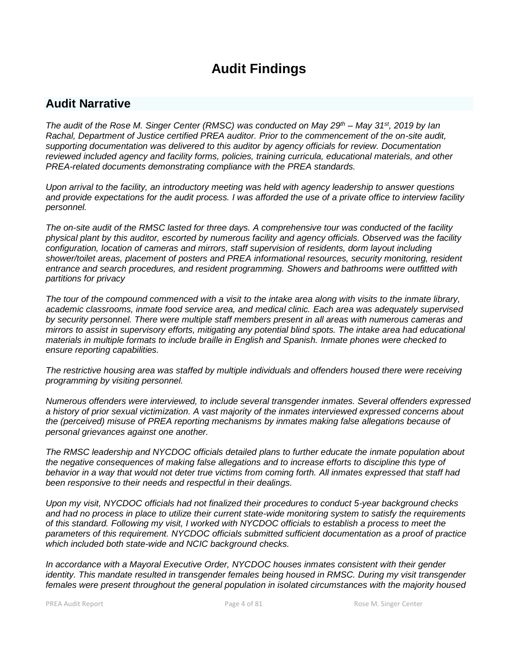# **Audit Findings**

# **Audit Narrative**

*The audit of the Rose M. Singer Center (RMSC) was conducted on May 29th – May 31st , 2019 by Ian Rachal, Department of Justice certified PREA auditor. Prior to the commencement of the on-site audit, supporting documentation was delivered to this auditor by agency officials for review. Documentation reviewed included agency and facility forms, policies, training curricula, educational materials, and other PREA-related documents demonstrating compliance with the PREA standards.*

*Upon arrival to the facility, an introductory meeting was held with agency leadership to answer questions and provide expectations for the audit process. I was afforded the use of a private office to interview facility personnel.*

*The on-site audit of the RMSC lasted for three days. A comprehensive tour was conducted of the facility physical plant by this auditor, escorted by numerous facility and agency officials. Observed was the facility configuration, location of cameras and mirrors, staff supervision of residents, dorm layout including shower/toilet areas, placement of posters and PREA informational resources, security monitoring, resident entrance and search procedures, and resident programming. Showers and bathrooms were outfitted with partitions for privacy* 

*The tour of the compound commenced with a visit to the intake area along with visits to the inmate library, academic classrooms, inmate food service area, and medical clinic. Each area was adequately supervised by security personnel. There were multiple staff members present in all areas with numerous cameras and mirrors to assist in supervisory efforts, mitigating any potential blind spots. The intake area had educational materials in multiple formats to include braille in English and Spanish. Inmate phones were checked to ensure reporting capabilities.* 

*The restrictive housing area was staffed by multiple individuals and offenders housed there were receiving programming by visiting personnel.*

*Numerous offenders were interviewed, to include several transgender inmates. Several offenders expressed a history of prior sexual victimization. A vast majority of the inmates interviewed expressed concerns about the (perceived) misuse of PREA reporting mechanisms by inmates making false allegations because of personal grievances against one another.* 

*The RMSC leadership and NYCDOC officials detailed plans to further educate the inmate population about the negative consequences of making false allegations and to increase efforts to discipline this type of behavior in a way that would not deter true victims from coming forth. All inmates expressed that staff had been responsive to their needs and respectful in their dealings.*

*Upon my visit, NYCDOC officials had not finalized their procedures to conduct 5-year background checks and had no process in place to utilize their current state-wide monitoring system to satisfy the requirements of this standard. Following my visit, I worked with NYCDOC officials to establish a process to meet the parameters of this requirement. NYCDOC officials submitted sufficient documentation as a proof of practice which included both state-wide and NCIC background checks.*

*In accordance with a Mayoral Executive Order, NYCDOC houses inmates consistent with their gender identity. This mandate resulted in transgender females being housed in RMSC. During my visit transgender females were present throughout the general population in isolated circumstances with the majority housed*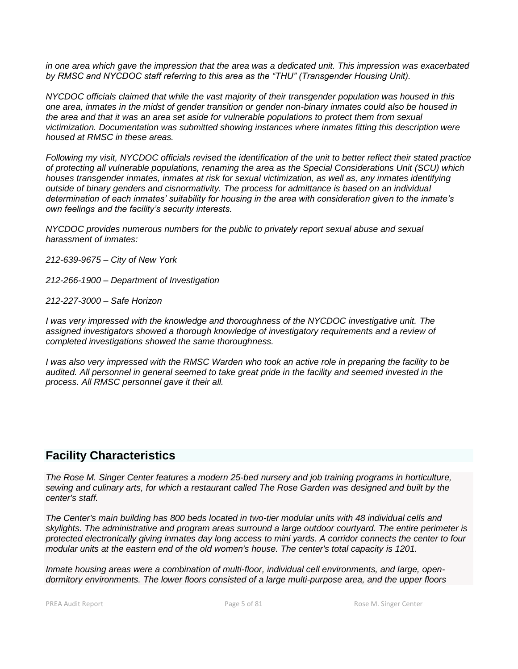*in one area which gave the impression that the area was a dedicated unit. This impression was exacerbated by RMSC and NYCDOC staff referring to this area as the "THU" (Transgender Housing Unit).* 

*NYCDOC officials claimed that while the vast majority of their transgender population was housed in this one area, inmates in the midst of gender transition or gender non-binary inmates could also be housed in the area and that it was an area set aside for vulnerable populations to protect them from sexual victimization. Documentation was submitted showing instances where inmates fitting this description were housed at RMSC in these areas.* 

*Following my visit, NYCDOC officials revised the identification of the unit to better reflect their stated practice of protecting all vulnerable populations, renaming the area as the Special Considerations Unit (SCU) which houses transgender inmates, inmates at risk for sexual victimization, as well as, any inmates identifying outside of binary genders and cisnormativity. The process for admittance is based on an individual determination of each inmates' suitability for housing in the area with consideration given to the inmate's own feelings and the facility's security interests.*

*NYCDOC provides numerous numbers for the public to privately report sexual abuse and sexual harassment of inmates:*

*212-639-9675 – City of New York*

*212-266-1900 – Department of Investigation*

*212-227-3000 – Safe Horizon*

*I was very impressed with the knowledge and thoroughness of the NYCDOC investigative unit. The assigned investigators showed a thorough knowledge of investigatory requirements and a review of completed investigations showed the same thoroughness.*

*I was also very impressed with the RMSC Warden who took an active role in preparing the facility to be audited. All personnel in general seemed to take great pride in the facility and seemed invested in the process. All RMSC personnel gave it their all.*

# **Facility Characteristics**

*The Rose M. Singer Center features a modern 25-bed nursery and job training programs in horticulture, sewing and culinary arts, for which a restaurant called The Rose Garden was designed and built by the center's staff.*

*The Center's main building has 800 beds located in two-tier modular units with 48 individual cells and skylights. The administrative and program areas surround a large outdoor courtyard. The entire perimeter is protected electronically giving inmates day long access to mini yards. A corridor connects the center to four modular units at the eastern end of the old women's house. The center's total capacity is 1201.*

*Inmate housing areas were a combination of multi-floor, individual cell environments, and large, opendormitory environments. The lower floors consisted of a large multi-purpose area, and the upper floors*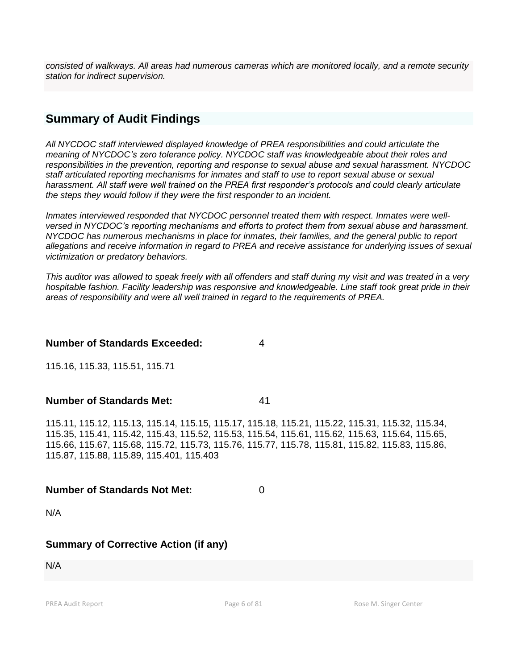*consisted of walkways. All areas had numerous cameras which are monitored locally, and a remote security station for indirect supervision.*

# **Summary of Audit Findings**

*All NYCDOC staff interviewed displayed knowledge of PREA responsibilities and could articulate the meaning of NYCDOC's zero tolerance policy. NYCDOC staff was knowledgeable about their roles and responsibilities in the prevention, reporting and response to sexual abuse and sexual harassment. NYCDOC staff articulated reporting mechanisms for inmates and staff to use to report sexual abuse or sexual harassment. All staff were well trained on the PREA first responder's protocols and could clearly articulate the steps they would follow if they were the first responder to an incident.*

*Inmates interviewed responded that NYCDOC personnel treated them with respect. Inmates were wellversed in NYCDOC's reporting mechanisms and efforts to protect them from sexual abuse and harassment. NYCDOC has numerous mechanisms in place for inmates, their families, and the general public to report allegations and receive information in regard to PREA and receive assistance for underlying issues of sexual victimization or predatory behaviors.*

*This auditor was allowed to speak freely with all offenders and staff during my visit and was treated in a very hospitable fashion. Facility leadership was responsive and knowledgeable. Line staff took great pride in their areas of responsibility and were all well trained in regard to the requirements of PREA.* 

#### **Number of Standards Exceeded:** 4

115.16, 115.33, 115.51, 115.71

**Number of Standards Met:** 41

115.11, 115.12, 115.13, 115.14, 115.15, 115.17, 115.18, 115.21, 115.22, 115.31, 115.32, 115.34, 115.35, 115.41, 115.42, 115.43, 115.52, 115.53, 115.54, 115.61, 115.62, 115.63, 115.64, 115.65, 115.66, 115.67, 115.68, 115.72, 115.73, 115.76, 115.77, 115.78, 115.81, 115.82, 115.83, 115.86, 115.87, 115.88, 115.89, 115.401, 115.403

#### **Number of Standards Not Met:** 0

N/A

# **Summary of Corrective Action (if any)**

N/A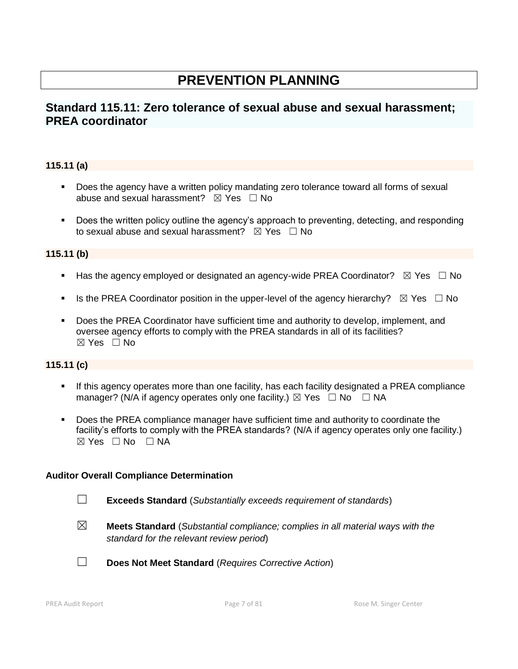# **PREVENTION PLANNING**

# **Standard 115.11: Zero tolerance of sexual abuse and sexual harassment; PREA coordinator**

## **115.11 (a)**

- Does the agency have a written policy mandating zero tolerance toward all forms of sexual abuse and sexual harassment?  $\boxtimes$  Yes  $\Box$  No
- Does the written policy outline the agency's approach to preventing, detecting, and responding to sexual abuse and sexual harassment?  $\boxtimes$  Yes  $\Box$  No

#### **115.11 (b)**

- **■** Has the agency employed or designated an agency-wide PREA Coordinator?  $\boxtimes$  Yes  $\Box$  No
- **■** Is the PREA Coordinator position in the upper-level of the agency hierarchy?  $\boxtimes$  Yes  $\Box$  No
- Does the PREA Coordinator have sufficient time and authority to develop, implement, and oversee agency efforts to comply with the PREA standards in all of its facilities?  $\boxtimes$  Yes  $\Box$  No

# **115.11 (c)**

- If this agency operates more than one facility, has each facility designated a PREA compliance manager? (N/A if agency operates only one facility.)  $\boxtimes$  Yes  $\Box$  No  $\Box$  NA
- **Does the PREA compliance manager have sufficient time and authority to coordinate the** facility's efforts to comply with the PREA standards? (N/A if agency operates only one facility.)  $\boxtimes$  Yes  $\Box$  No  $\Box$  NA

#### **Auditor Overall Compliance Determination**

- ☐ **Exceeds Standard** (*Substantially exceeds requirement of standards*)
- ☒ **Meets Standard** (*Substantial compliance; complies in all material ways with the standard for the relevant review period*)
- ☐ **Does Not Meet Standard** (*Requires Corrective Action*)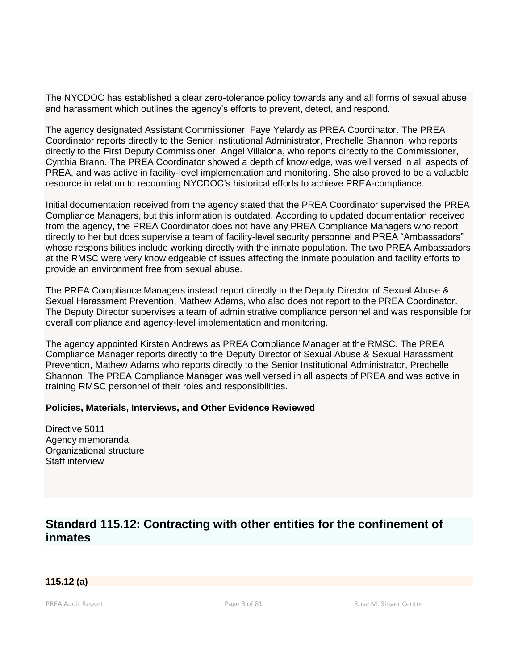The NYCDOC has established a clear zero-tolerance policy towards any and all forms of sexual abuse and harassment which outlines the agency's efforts to prevent, detect, and respond.

The agency designated Assistant Commissioner, Faye Yelardy as PREA Coordinator. The PREA Coordinator reports directly to the Senior Institutional Administrator, Prechelle Shannon, who reports directly to the First Deputy Commissioner, Angel Villalona, who reports directly to the Commissioner, Cynthia Brann. The PREA Coordinator showed a depth of knowledge, was well versed in all aspects of PREA, and was active in facility-level implementation and monitoring. She also proved to be a valuable resource in relation to recounting NYCDOC's historical efforts to achieve PREA-compliance.

Initial documentation received from the agency stated that the PREA Coordinator supervised the PREA Compliance Managers, but this information is outdated. According to updated documentation received from the agency, the PREA Coordinator does not have any PREA Compliance Managers who report directly to her but does supervise a team of facility-level security personnel and PREA "Ambassadors" whose responsibilities include working directly with the inmate population. The two PREA Ambassadors at the RMSC were very knowledgeable of issues affecting the inmate population and facility efforts to provide an environment free from sexual abuse.

The PREA Compliance Managers instead report directly to the Deputy Director of Sexual Abuse & Sexual Harassment Prevention, Mathew Adams, who also does not report to the PREA Coordinator. The Deputy Director supervises a team of administrative compliance personnel and was responsible for overall compliance and agency-level implementation and monitoring.

The agency appointed Kirsten Andrews as PREA Compliance Manager at the RMSC. The PREA Compliance Manager reports directly to the Deputy Director of Sexual Abuse & Sexual Harassment Prevention, Mathew Adams who reports directly to the Senior Institutional Administrator, Prechelle Shannon. The PREA Compliance Manager was well versed in all aspects of PREA and was active in training RMSC personnel of their roles and responsibilities.

#### **Policies, Materials, Interviews, and Other Evidence Reviewed**

Directive 5011 Agency memoranda Organizational structure Staff interview

# **Standard 115.12: Contracting with other entities for the confinement of inmates**

# **115.12 (a)**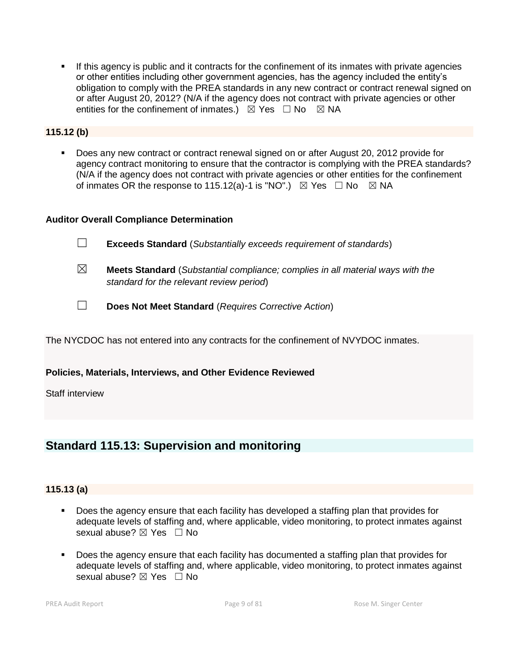**•** If this agency is public and it contracts for the confinement of its inmates with private agencies or other entities including other government agencies, has the agency included the entity's obligation to comply with the PREA standards in any new contract or contract renewal signed on or after August 20, 2012? (N/A if the agency does not contract with private agencies or other entities for the confinement of inmates.)  $\boxtimes$  Yes  $\Box$  No  $\boxtimes$  NA

#### **115.12 (b)**

▪ Does any new contract or contract renewal signed on or after August 20, 2012 provide for agency contract monitoring to ensure that the contractor is complying with the PREA standards? (N/A if the agency does not contract with private agencies or other entities for the confinement of inmates OR the response to 115.12(a)-1 is "NO".)  $\boxtimes$  Yes  $\Box$  No  $\boxtimes$  NA

#### **Auditor Overall Compliance Determination**

☐ **Exceeds Standard** (*Substantially exceeds requirement of standards*)

- ☒ **Meets Standard** (*Substantial compliance; complies in all material ways with the standard for the relevant review period*)
- ☐ **Does Not Meet Standard** (*Requires Corrective Action*)

The NYCDOC has not entered into any contracts for the confinement of NVYDOC inmates.

#### **Policies, Materials, Interviews, and Other Evidence Reviewed**

Staff interview

# **Standard 115.13: Supervision and monitoring**

#### **115.13 (a)**

- Does the agency ensure that each facility has developed a staffing plan that provides for adequate levels of staffing and, where applicable, video monitoring, to protect inmates against sexual abuse? ⊠ Yes □ No
- Does the agency ensure that each facility has documented a staffing plan that provides for adequate levels of staffing and, where applicable, video monitoring, to protect inmates against sexual abuse? ⊠ Yes □ No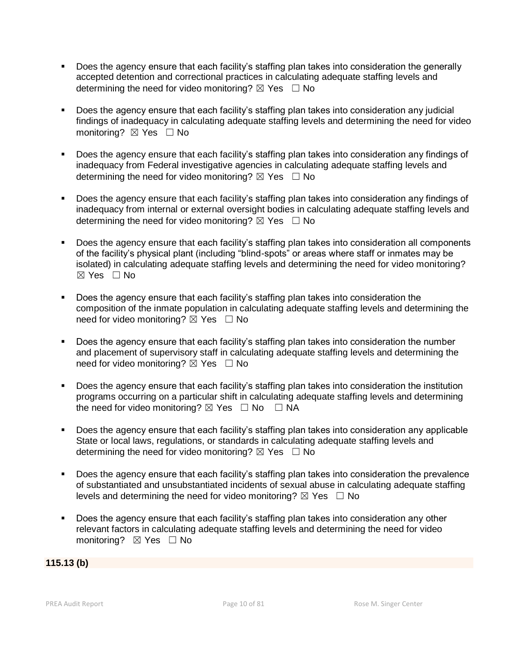- Does the agency ensure that each facility's staffing plan takes into consideration the generally accepted detention and correctional practices in calculating adequate staffing levels and determining the need for video monitoring?  $\boxtimes$  Yes  $\Box$  No
- Does the agency ensure that each facility's staffing plan takes into consideration any judicial findings of inadequacy in calculating adequate staffing levels and determining the need for video monitoring? ⊠ Yes □ No
- Does the agency ensure that each facility's staffing plan takes into consideration any findings of inadequacy from Federal investigative agencies in calculating adequate staffing levels and determining the need for video monitoring?  $\boxtimes$  Yes  $\Box$  No
- Does the agency ensure that each facility's staffing plan takes into consideration any findings of inadequacy from internal or external oversight bodies in calculating adequate staffing levels and determining the need for video monitoring?  $\boxtimes$  Yes  $\Box$  No
- Does the agency ensure that each facility's staffing plan takes into consideration all components of the facility's physical plant (including "blind-spots" or areas where staff or inmates may be isolated) in calculating adequate staffing levels and determining the need for video monitoring? ☒ Yes ☐ No
- Does the agency ensure that each facility's staffing plan takes into consideration the composition of the inmate population in calculating adequate staffing levels and determining the need for video monitoring?  $\boxtimes$  Yes  $\Box$  No
- Does the agency ensure that each facility's staffing plan takes into consideration the number and placement of supervisory staff in calculating adequate staffing levels and determining the need for video monitoring?  $\boxtimes$  Yes  $\Box$  No
- Does the agency ensure that each facility's staffing plan takes into consideration the institution programs occurring on a particular shift in calculating adequate staffing levels and determining the need for video monitoring?  $\boxtimes$  Yes  $\Box$  No  $\Box$  NA
- Does the agency ensure that each facility's staffing plan takes into consideration any applicable State or local laws, regulations, or standards in calculating adequate staffing levels and determining the need for video monitoring?  $\boxtimes$  Yes  $\Box$  No
- Does the agency ensure that each facility's staffing plan takes into consideration the prevalence of substantiated and unsubstantiated incidents of sexual abuse in calculating adequate staffing levels and determining the need for video monitoring?  $\boxtimes$  Yes  $\Box$  No
- Does the agency ensure that each facility's staffing plan takes into consideration any other relevant factors in calculating adequate staffing levels and determining the need for video monitoring? ⊠ Yes □ No

#### **115.13 (b)**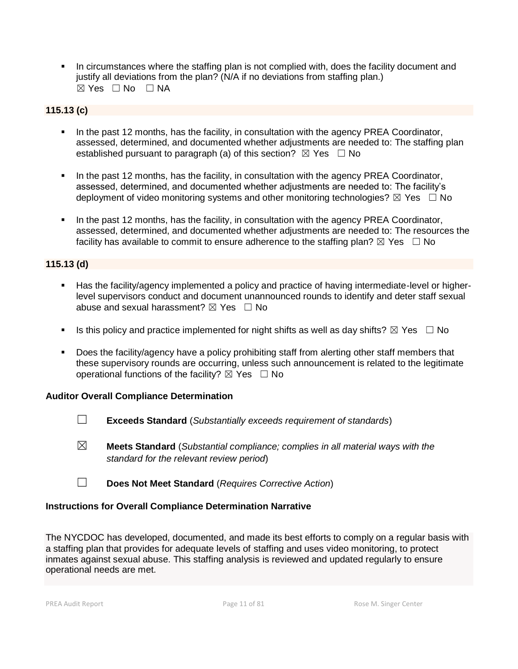**•** In circumstances where the staffing plan is not complied with, does the facility document and justify all deviations from the plan? (N/A if no deviations from staffing plan.)  $\boxtimes$  Yes  $\Box$  No  $\Box$  NA

# **115.13 (c)**

- In the past 12 months, has the facility, in consultation with the agency PREA Coordinator, assessed, determined, and documented whether adjustments are needed to: The staffing plan established pursuant to paragraph (a) of this section?  $\boxtimes$  Yes  $\Box$  No
- In the past 12 months, has the facility, in consultation with the agency PREA Coordinator, assessed, determined, and documented whether adjustments are needed to: The facility's deployment of video monitoring systems and other monitoring technologies?  $\boxtimes$  Yes  $\Box$  No
- In the past 12 months, has the facility, in consultation with the agency PREA Coordinator, assessed, determined, and documented whether adjustments are needed to: The resources the facility has available to commit to ensure adherence to the staffing plan?  $\boxtimes$  Yes  $\Box$  No

# **115.13 (d)**

- Has the facility/agency implemented a policy and practice of having intermediate-level or higherlevel supervisors conduct and document unannounced rounds to identify and deter staff sexual abuse and sexual harassment?  $\boxtimes$  Yes  $\Box$  No
- **■** Is this policy and practice implemented for night shifts as well as day shifts?  $\boxtimes$  Yes  $\Box$  No
- Does the facility/agency have a policy prohibiting staff from alerting other staff members that these supervisory rounds are occurring, unless such announcement is related to the legitimate operational functions of the facility?  $\boxtimes$  Yes  $\Box$  No

#### **Auditor Overall Compliance Determination**

- ☐ **Exceeds Standard** (*Substantially exceeds requirement of standards*)
- ☒ **Meets Standard** (*Substantial compliance; complies in all material ways with the standard for the relevant review period*)
- ☐ **Does Not Meet Standard** (*Requires Corrective Action*)

#### **Instructions for Overall Compliance Determination Narrative**

The NYCDOC has developed, documented, and made its best efforts to comply on a regular basis with a staffing plan that provides for adequate levels of staffing and uses video monitoring, to protect inmates against sexual abuse. This staffing analysis is reviewed and updated regularly to ensure operational needs are met.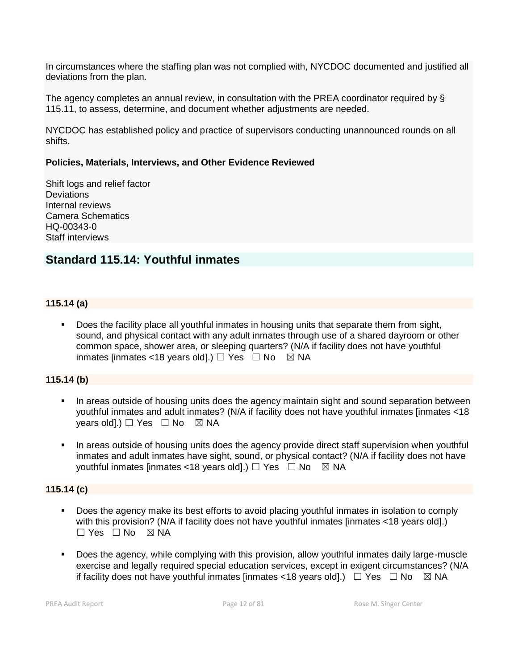In circumstances where the staffing plan was not complied with, NYCDOC documented and justified all deviations from the plan.

The agency completes an annual review, in consultation with the PREA coordinator required by § 115.11, to assess, determine, and document whether adjustments are needed.

NYCDOC has established policy and practice of supervisors conducting unannounced rounds on all shifts.

#### **Policies, Materials, Interviews, and Other Evidence Reviewed**

Shift logs and relief factor **Deviations** Internal reviews Camera Schematics HQ-00343-0 Staff interviews

# **Standard 115.14: Youthful inmates**

#### **115.14 (a)**

**•** Does the facility place all youthful inmates in housing units that separate them from sight, sound, and physical contact with any adult inmates through use of a shared dayroom or other common space, shower area, or sleeping quarters? (N/A if facility does not have youthful inmates [inmates <18 years old].)  $\Box$  Yes  $\Box$  No  $\boxtimes$  NA

#### **115.14 (b)**

- In areas outside of housing units does the agency maintain sight and sound separation between youthful inmates and adult inmates? (N/A if facility does not have youthful inmates [inmates <18 years old].)  $\Box$  Yes  $\Box$  No  $\boxtimes$  NA
- In areas outside of housing units does the agency provide direct staff supervision when youthful inmates and adult inmates have sight, sound, or physical contact? (N/A if facility does not have youthful inmates [inmates <18 years old].)  $\Box$  Yes  $\Box$  No  $\boxtimes$  NA

#### **115.14 (c)**

- Does the agency make its best efforts to avoid placing youthful inmates in isolation to comply with this provision? (N/A if facility does not have youthful inmates [inmates <18 years old].)  $\Box$  Yes  $\Box$  No  $\boxtimes$  NA
- Does the agency, while complying with this provision, allow youthful inmates daily large-muscle exercise and legally required special education services, except in exigent circumstances? (N/A if facility does not have youthful inmates [inmates <18 years old].)  $\Box$  Yes  $\Box$  No  $\boxtimes$  NA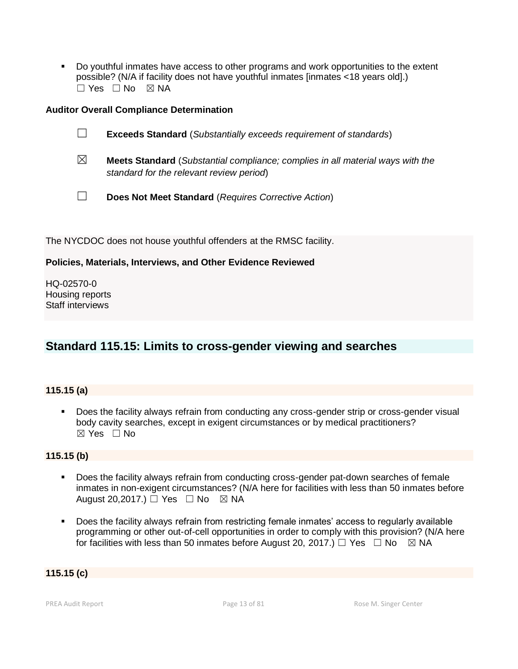▪ Do youthful inmates have access to other programs and work opportunities to the extent possible? (N/A if facility does not have youthful inmates [inmates <18 years old].)  $\Box$  Yes  $\Box$  No  $\boxtimes$  NA

#### **Auditor Overall Compliance Determination**

|             | <b>Exceeds Standard</b> (Substantially exceeds requirement of standards)              |
|-------------|---------------------------------------------------------------------------------------|
| $\boxtimes$ | <b>Meets Standard</b> (Substantial compliance; complies in all material ways with the |

☐ **Does Not Meet Standard** (*Requires Corrective Action*)

The NYCDOC does not house youthful offenders at the RMSC facility.

*standard for the relevant review period*)

#### **Policies, Materials, Interviews, and Other Evidence Reviewed**

HQ-02570-0 Housing reports Staff interviews

# **Standard 115.15: Limits to cross-gender viewing and searches**

#### **115.15 (a)**

▪ Does the facility always refrain from conducting any cross-gender strip or cross-gender visual body cavity searches, except in exigent circumstances or by medical practitioners? ☒ Yes ☐ No

#### **115.15 (b)**

- Does the facility always refrain from conducting cross-gender pat-down searches of female inmates in non-exigent circumstances? (N/A here for facilities with less than 50 inmates before August 20,2017.)  $\Box$  Yes  $\Box$  No  $\boxtimes$  NA
- Does the facility always refrain from restricting female inmates' access to regularly available programming or other out-of-cell opportunities in order to comply with this provision? (N/A here for facilities with less than 50 inmates before August 20, 2017.)  $\Box$  Yes  $\Box$  No  $\boxtimes$  NA

#### **115.15 (c)**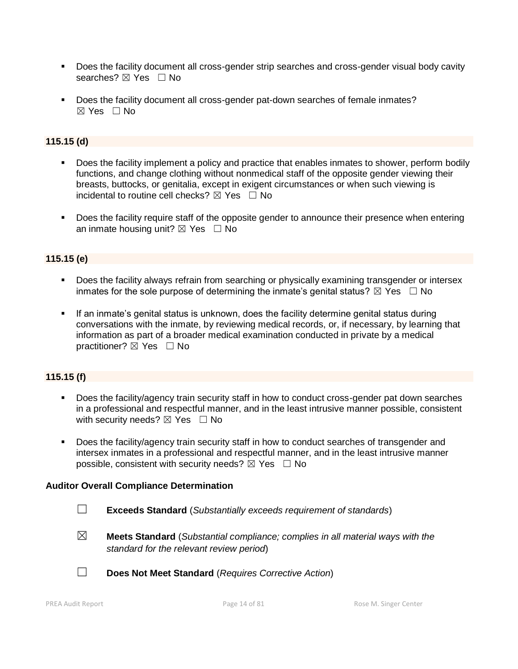- **•** Does the facility document all cross-gender strip searches and cross-gender visual body cavity searches? ⊠ Yes □ No
- Does the facility document all cross-gender pat-down searches of female inmates?  $\boxtimes$  Yes  $\Box$  No

## **115.15 (d)**

- Does the facility implement a policy and practice that enables inmates to shower, perform bodily functions, and change clothing without nonmedical staff of the opposite gender viewing their breasts, buttocks, or genitalia, except in exigent circumstances or when such viewing is incidental to routine cell checks?  $\boxtimes$  Yes  $\Box$  No
- Does the facility require staff of the opposite gender to announce their presence when entering an inmate housing unit?  $\boxtimes$  Yes  $\Box$  No

#### **115.15 (e)**

- Does the facility always refrain from searching or physically examining transgender or intersex inmates for the sole purpose of determining the inmate's genital status?  $\boxtimes$  Yes  $\Box$  No
- **•** If an inmate's genital status is unknown, does the facility determine genital status during conversations with the inmate, by reviewing medical records, or, if necessary, by learning that information as part of a broader medical examination conducted in private by a medical practitioner? **⊠** Yes □ No

#### **115.15 (f)**

- Does the facility/agency train security staff in how to conduct cross-gender pat down searches in a professional and respectful manner, and in the least intrusive manner possible, consistent with security needs?  $\boxtimes$  Yes  $\Box$  No
- Does the facility/agency train security staff in how to conduct searches of transgender and intersex inmates in a professional and respectful manner, and in the least intrusive manner possible, consistent with security needs?  $\boxtimes$  Yes  $\Box$  No

#### **Auditor Overall Compliance Determination**

- ☐ **Exceeds Standard** (*Substantially exceeds requirement of standards*)
- ☒ **Meets Standard** (*Substantial compliance; complies in all material ways with the standard for the relevant review period*)
- 
- ☐ **Does Not Meet Standard** (*Requires Corrective Action*)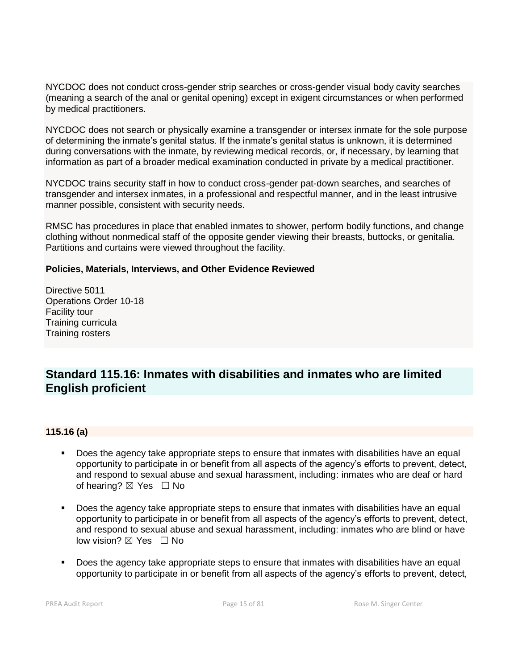NYCDOC does not conduct cross-gender strip searches or cross-gender visual body cavity searches (meaning a search of the anal or genital opening) except in exigent circumstances or when performed by medical practitioners.

NYCDOC does not search or physically examine a transgender or intersex inmate for the sole purpose of determining the inmate's genital status. If the inmate's genital status is unknown, it is determined during conversations with the inmate, by reviewing medical records, or, if necessary, by learning that information as part of a broader medical examination conducted in private by a medical practitioner.

NYCDOC trains security staff in how to conduct cross-gender pat-down searches, and searches of transgender and intersex inmates, in a professional and respectful manner, and in the least intrusive manner possible, consistent with security needs.

RMSC has procedures in place that enabled inmates to shower, perform bodily functions, and change clothing without nonmedical staff of the opposite gender viewing their breasts, buttocks, or genitalia. Partitions and curtains were viewed throughout the facility.

#### **Policies, Materials, Interviews, and Other Evidence Reviewed**

Directive 5011 Operations Order 10-18 Facility tour Training curricula Training rosters

# **Standard 115.16: Inmates with disabilities and inmates who are limited English proficient**

#### **115.16 (a)**

- Does the agency take appropriate steps to ensure that inmates with disabilities have an equal opportunity to participate in or benefit from all aspects of the agency's efforts to prevent, detect, and respond to sexual abuse and sexual harassment, including: inmates who are deaf or hard of hearing?  $\boxtimes$  Yes  $\Box$  No
- **•** Does the agency take appropriate steps to ensure that inmates with disabilities have an equal opportunity to participate in or benefit from all aspects of the agency's efforts to prevent, detect, and respond to sexual abuse and sexual harassment, including: inmates who are blind or have low vision? ⊠ Yes □ No
- Does the agency take appropriate steps to ensure that inmates with disabilities have an equal opportunity to participate in or benefit from all aspects of the agency's efforts to prevent, detect,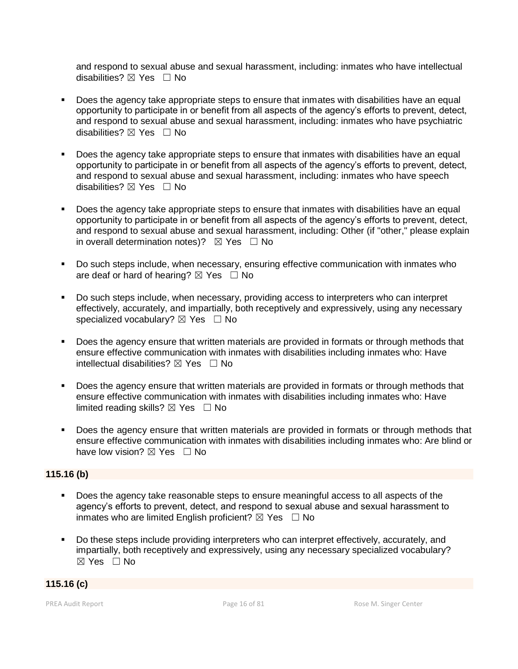and respond to sexual abuse and sexual harassment, including: inmates who have intellectual disabilities?  $\boxtimes$  Yes  $\Box$  No

- Does the agency take appropriate steps to ensure that inmates with disabilities have an equal opportunity to participate in or benefit from all aspects of the agency's efforts to prevent, detect, and respond to sexual abuse and sexual harassment, including: inmates who have psychiatric disabilities?  $\boxtimes$  Yes  $\Box$  No
- **•** Does the agency take appropriate steps to ensure that inmates with disabilities have an equal opportunity to participate in or benefit from all aspects of the agency's efforts to prevent, detect, and respond to sexual abuse and sexual harassment, including: inmates who have speech disabilities? ⊠ Yes □ No
- **•** Does the agency take appropriate steps to ensure that inmates with disabilities have an equal opportunity to participate in or benefit from all aspects of the agency's efforts to prevent, detect, and respond to sexual abuse and sexual harassment, including: Other (if "other," please explain in overall determination notes)?  $\boxtimes$  Yes  $\Box$  No
- Do such steps include, when necessary, ensuring effective communication with inmates who are deaf or hard of hearing?  $\boxtimes$  Yes  $\Box$  No
- Do such steps include, when necessary, providing access to interpreters who can interpret effectively, accurately, and impartially, both receptively and expressively, using any necessary specialized vocabulary?  $\boxtimes$  Yes  $\Box$  No
- Does the agency ensure that written materials are provided in formats or through methods that ensure effective communication with inmates with disabilities including inmates who: Have intellectual disabilities?  $\boxtimes$  Yes  $\Box$  No
- Does the agency ensure that written materials are provided in formats or through methods that ensure effective communication with inmates with disabilities including inmates who: Have limited reading skills?  $\boxtimes$  Yes  $\Box$  No
- Does the agency ensure that written materials are provided in formats or through methods that ensure effective communication with inmates with disabilities including inmates who: Are blind or have low vision?  $\boxtimes$  Yes  $\Box$  No

#### **115.16 (b)**

- Does the agency take reasonable steps to ensure meaningful access to all aspects of the agency's efforts to prevent, detect, and respond to sexual abuse and sexual harassment to inmates who are limited English proficient?  $\boxtimes$  Yes  $\Box$  No
- Do these steps include providing interpreters who can interpret effectively, accurately, and impartially, both receptively and expressively, using any necessary specialized vocabulary? ☒ Yes ☐ No

#### **115.16 (c)**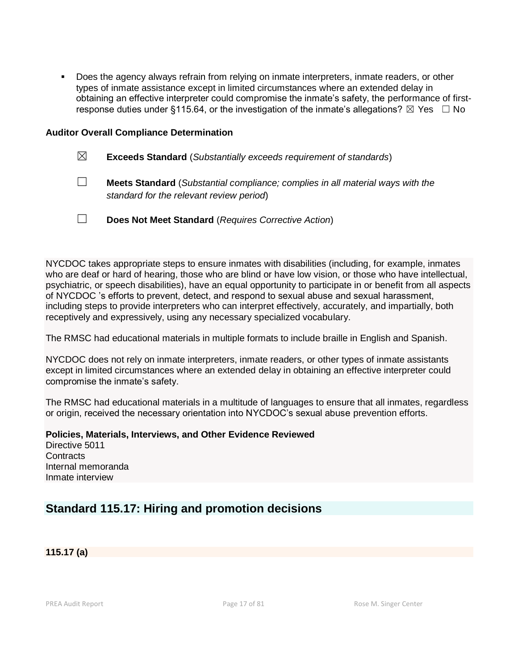Does the agency always refrain from relying on inmate interpreters, inmate readers, or other types of inmate assistance except in limited circumstances where an extended delay in obtaining an effective interpreter could compromise the inmate's safety, the performance of firstresponse duties under §115.64, or the investigation of the inmate's allegations?  $\boxtimes$  Yes  $\Box$  No

#### **Auditor Overall Compliance Determination**

- ☒ **Exceeds Standard** (*Substantially exceeds requirement of standards*)
- ☐ **Meets Standard** (*Substantial compliance; complies in all material ways with the standard for the relevant review period*)
- ☐ **Does Not Meet Standard** (*Requires Corrective Action*)

NYCDOC takes appropriate steps to ensure inmates with disabilities (including, for example, inmates who are deaf or hard of hearing, those who are blind or have low vision, or those who have intellectual, psychiatric, or speech disabilities), have an equal opportunity to participate in or benefit from all aspects of NYCDOC 's efforts to prevent, detect, and respond to sexual abuse and sexual harassment, including steps to provide interpreters who can interpret effectively, accurately, and impartially, both receptively and expressively, using any necessary specialized vocabulary.

The RMSC had educational materials in multiple formats to include braille in English and Spanish.

NYCDOC does not rely on inmate interpreters, inmate readers, or other types of inmate assistants except in limited circumstances where an extended delay in obtaining an effective interpreter could compromise the inmate's safety.

The RMSC had educational materials in a multitude of languages to ensure that all inmates, regardless or origin, received the necessary orientation into NYCDOC's sexual abuse prevention efforts.

**Policies, Materials, Interviews, and Other Evidence Reviewed** Directive 5011 **Contracts** Internal memoranda

# **Standard 115.17: Hiring and promotion decisions**

**115.17 (a)**

Inmate interview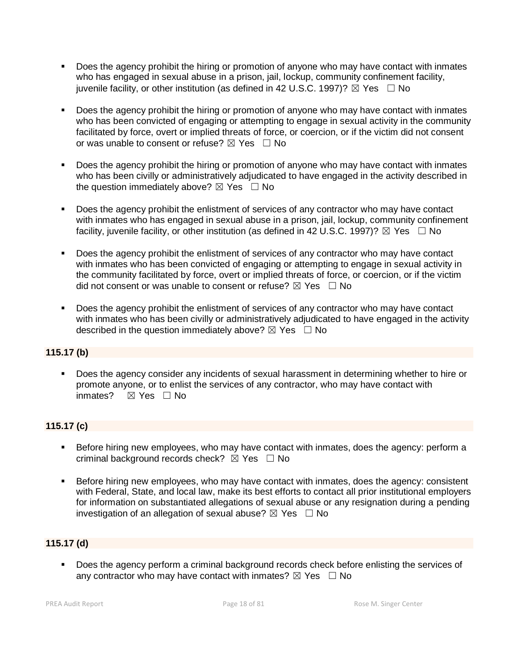- Does the agency prohibit the hiring or promotion of anyone who may have contact with inmates who has engaged in sexual abuse in a prison, jail, lockup, community confinement facility, juvenile facility, or other institution (as defined in 42 U.S.C. 1997)?  $\boxtimes$  Yes  $\Box$  No
- Does the agency prohibit the hiring or promotion of anyone who may have contact with inmates who has been convicted of engaging or attempting to engage in sexual activity in the community facilitated by force, overt or implied threats of force, or coercion, or if the victim did not consent or was unable to consent or refuse?  $\boxtimes$  Yes  $\Box$  No
- Does the agency prohibit the hiring or promotion of anyone who may have contact with inmates who has been civilly or administratively adjudicated to have engaged in the activity described in the question immediately above?  $\boxtimes$  Yes  $\Box$  No
- Does the agency prohibit the enlistment of services of any contractor who may have contact with inmates who has engaged in sexual abuse in a prison, jail, lockup, community confinement facility, juvenile facility, or other institution (as defined in 42 U.S.C. 1997)?  $\boxtimes$  Yes  $\Box$  No
- Does the agency prohibit the enlistment of services of any contractor who may have contact with inmates who has been convicted of engaging or attempting to engage in sexual activity in the community facilitated by force, overt or implied threats of force, or coercion, or if the victim did not consent or was unable to consent or refuse?  $\boxtimes$  Yes  $\Box$  No
- Does the agency prohibit the enlistment of services of any contractor who may have contact with inmates who has been civilly or administratively adjudicated to have engaged in the activity described in the question immediately above?  $\boxtimes$  Yes  $\Box$  No

#### **115.17 (b)**

▪ Does the agency consider any incidents of sexual harassment in determining whether to hire or promote anyone, or to enlist the services of any contractor, who may have contact with inmates? ☒ Yes ☐ No

# **115.17 (c)**

- **EXEL Before hiring new employees, who may have contact with inmates, does the agency: perform a** criminal background records check?  $\boxtimes$  Yes  $\Box$  No
- Before hiring new employees, who may have contact with inmates, does the agency: consistent with Federal, State, and local law, make its best efforts to contact all prior institutional employers for information on substantiated allegations of sexual abuse or any resignation during a pending investigation of an allegation of sexual abuse?  $\boxtimes$  Yes  $\Box$  No

# **115.17 (d)**

■ Does the agency perform a criminal background records check before enlisting the services of any contractor who may have contact with inmates?  $\boxtimes$  Yes  $\Box$  No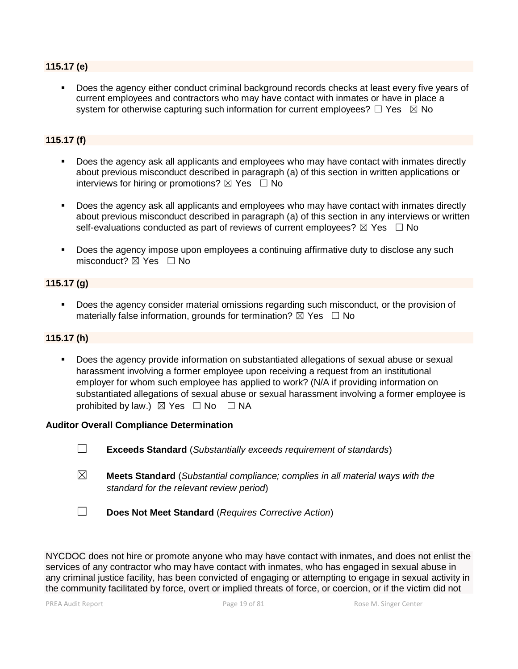#### **115.17 (e)**

Does the agency either conduct criminal background records checks at least every five years of current employees and contractors who may have contact with inmates or have in place a system for otherwise capturing such information for current employees?  $\Box$  Yes  $\boxtimes$  No

#### **115.17 (f)**

- Does the agency ask all applicants and employees who may have contact with inmates directly about previous misconduct described in paragraph (a) of this section in written applications or interviews for hiring or promotions?  $\boxtimes$  Yes  $\Box$  No
- **•** Does the agency ask all applicants and employees who may have contact with inmates directly about previous misconduct described in paragraph (a) of this section in any interviews or written self-evaluations conducted as part of reviews of current employees?  $\boxtimes$  Yes  $\Box$  No
- Does the agency impose upon employees a continuing affirmative duty to disclose any such misconduct?  $\boxtimes$  Yes  $\Box$  No

#### **115.17 (g)**

▪ Does the agency consider material omissions regarding such misconduct, or the provision of materially false information, grounds for termination?  $\boxtimes$  Yes  $\Box$  No

#### **115.17 (h)**

Does the agency provide information on substantiated allegations of sexual abuse or sexual harassment involving a former employee upon receiving a request from an institutional employer for whom such employee has applied to work? (N/A if providing information on substantiated allegations of sexual abuse or sexual harassment involving a former employee is prohibited by law.)  $\boxtimes$  Yes  $\Box$  No  $\Box$  NA

#### **Auditor Overall Compliance Determination**

- ☐ **Exceeds Standard** (*Substantially exceeds requirement of standards*)
- ☒ **Meets Standard** (*Substantial compliance; complies in all material ways with the standard for the relevant review period*)
- ☐ **Does Not Meet Standard** (*Requires Corrective Action*)

NYCDOC does not hire or promote anyone who may have contact with inmates, and does not enlist the services of any contractor who may have contact with inmates, who has engaged in sexual abuse in any criminal justice facility, has been convicted of engaging or attempting to engage in sexual activity in the community facilitated by force, overt or implied threats of force, or coercion, or if the victim did not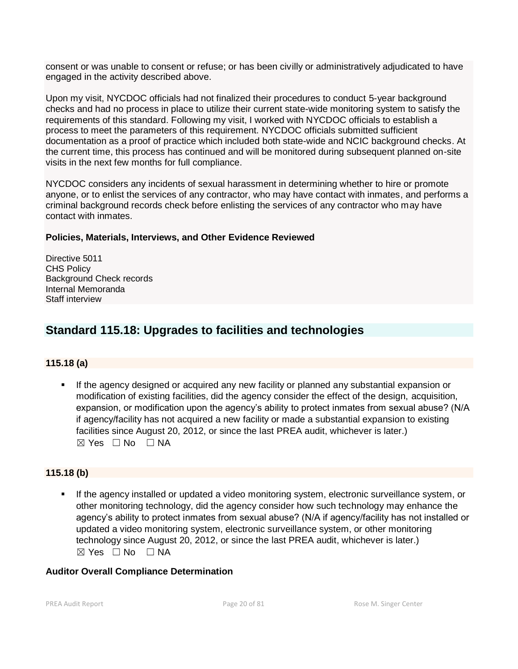consent or was unable to consent or refuse; or has been civilly or administratively adjudicated to have engaged in the activity described above.

Upon my visit, NYCDOC officials had not finalized their procedures to conduct 5-year background checks and had no process in place to utilize their current state-wide monitoring system to satisfy the requirements of this standard. Following my visit, I worked with NYCDOC officials to establish a process to meet the parameters of this requirement. NYCDOC officials submitted sufficient documentation as a proof of practice which included both state-wide and NCIC background checks. At the current time, this process has continued and will be monitored during subsequent planned on-site visits in the next few months for full compliance.

NYCDOC considers any incidents of sexual harassment in determining whether to hire or promote anyone, or to enlist the services of any contractor, who may have contact with inmates, and performs a criminal background records check before enlisting the services of any contractor who may have contact with inmates.

## **Policies, Materials, Interviews, and Other Evidence Reviewed**

Directive 5011 CHS Policy Background Check records Internal Memoranda Staff interview

# **Standard 115.18: Upgrades to facilities and technologies**

# **115.18 (a)**

If the agency designed or acquired any new facility or planned any substantial expansion or modification of existing facilities, did the agency consider the effect of the design, acquisition, expansion, or modification upon the agency's ability to protect inmates from sexual abuse? (N/A if agency/facility has not acquired a new facility or made a substantial expansion to existing facilities since August 20, 2012, or since the last PREA audit, whichever is later.)  $\boxtimes$  Yes  $\Box$  No  $\Box$  NA

#### **115.18 (b)**

If the agency installed or updated a video monitoring system, electronic surveillance system, or other monitoring technology, did the agency consider how such technology may enhance the agency's ability to protect inmates from sexual abuse? (N/A if agency/facility has not installed or updated a video monitoring system, electronic surveillance system, or other monitoring technology since August 20, 2012, or since the last PREA audit, whichever is later.)  $⊠ Yes ⊡ No ⊡ NA$ 

#### **Auditor Overall Compliance Determination**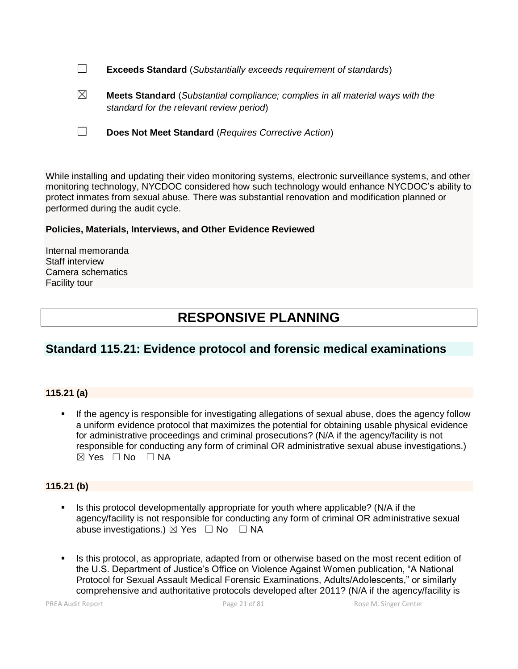☐ **Exceeds Standard** (*Substantially exceeds requirement of standards*)

☒ **Meets Standard** (*Substantial compliance; complies in all material ways with the standard for the relevant review period*)

☐ **Does Not Meet Standard** (*Requires Corrective Action*)

While installing and updating their video monitoring systems, electronic surveillance systems, and other monitoring technology, NYCDOC considered how such technology would enhance NYCDOC's ability to protect inmates from sexual abuse. There was substantial renovation and modification planned or performed during the audit cycle.

## **Policies, Materials, Interviews, and Other Evidence Reviewed**

Internal memoranda Staff interview Camera schematics Facility tour

# **RESPONSIVE PLANNING**

# **Standard 115.21: Evidence protocol and forensic medical examinations**

#### **115.21 (a)**

**.** If the agency is responsible for investigating allegations of sexual abuse, does the agency follow a uniform evidence protocol that maximizes the potential for obtaining usable physical evidence for administrative proceedings and criminal prosecutions? (N/A if the agency/facility is not responsible for conducting any form of criminal OR administrative sexual abuse investigations.)  $\boxtimes$  Yes  $\Box$  No  $\Box$  NA

# **115.21 (b)**

- Is this protocol developmentally appropriate for youth where applicable? (N/A if the agency/facility is not responsible for conducting any form of criminal OR administrative sexual abuse investigations.)  $\boxtimes$  Yes  $\Box$  No  $\Box$  NA
- Is this protocol, as appropriate, adapted from or otherwise based on the most recent edition of the U.S. Department of Justice's Office on Violence Against Women publication, "A National Protocol for Sexual Assault Medical Forensic Examinations, Adults/Adolescents," or similarly comprehensive and authoritative protocols developed after 2011? (N/A if the agency/facility is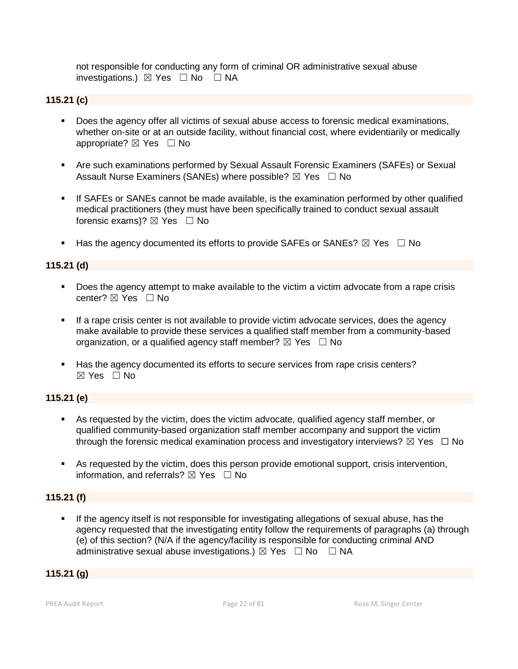not responsible for conducting any form of criminal OR administrative sexual abuse investigations.)  $\boxtimes$  Yes  $\Box$  No  $\Box$  NA

#### **115.21 (c)**

- Does the agency offer all victims of sexual abuse access to forensic medical examinations, whether on-site or at an outside facility, without financial cost, where evidentiarily or medically appropriate?  $\boxtimes$  Yes  $\Box$  No
- **E** Are such examinations performed by Sexual Assault Forensic Examiners (SAFEs) or Sexual Assault Nurse Examiners (SANEs) where possible?  $\boxtimes$  Yes  $\Box$  No
- **EXECT** If SAFEs or SANEs cannot be made available, is the examination performed by other qualified medical practitioners (they must have been specifically trained to conduct sexual assault forensic exams)?  $\boxtimes$  Yes  $\Box$  No
- **■** Has the agency documented its efforts to provide SAFEs or SANEs?  $\boxtimes$  Yes  $\Box$  No

## **115.21 (d)**

- Does the agency attempt to make available to the victim a victim advocate from a rape crisis center? ☒ Yes ☐ No
- **.** If a rape crisis center is not available to provide victim advocate services, does the agency make available to provide these services a qualified staff member from a community-based organization, or a qualified agency staff member?  $\boxtimes$  Yes  $\Box$  No
- Has the agency documented its efforts to secure services from rape crisis centers?  $\boxtimes$  Yes  $\Box$  No

#### **115.21 (e)**

- As requested by the victim, does the victim advocate, qualified agency staff member, or qualified community-based organization staff member accompany and support the victim through the forensic medical examination process and investigatory interviews?  $\boxtimes$  Yes  $\Box$  No
- As requested by the victim, does this person provide emotional support, crisis intervention, information, and referrals?  $\boxtimes$  Yes  $\Box$  No

#### **115.21 (f)**

**.** If the agency itself is not responsible for investigating allegations of sexual abuse, has the agency requested that the investigating entity follow the requirements of paragraphs (a) through (e) of this section? (N/A if the agency/facility is responsible for conducting criminal AND administrative sexual abuse investigations.)  $\boxtimes$  Yes  $\Box$  No  $\Box$  NA

## **115.21 (g)**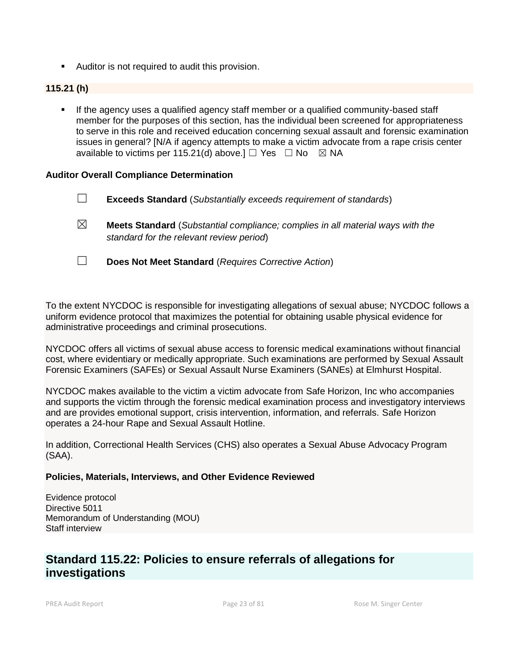■ Auditor is not required to audit this provision.

#### **115.21 (h)**

▪ If the agency uses a qualified agency staff member or a qualified community-based staff member for the purposes of this section, has the individual been screened for appropriateness to serve in this role and received education concerning sexual assault and forensic examination issues in general? [N/A if agency attempts to make a victim advocate from a rape crisis center available to victims per 115.21(d) above.]  $\Box$  Yes  $\Box$  No  $\boxtimes$  NA

#### **Auditor Overall Compliance Determination**

- ☐ **Exceeds Standard** (*Substantially exceeds requirement of standards*)
- ☒ **Meets Standard** (*Substantial compliance; complies in all material ways with the standard for the relevant review period*)
- ☐ **Does Not Meet Standard** (*Requires Corrective Action*)

To the extent NYCDOC is responsible for investigating allegations of sexual abuse; NYCDOC follows a uniform evidence protocol that maximizes the potential for obtaining usable physical evidence for administrative proceedings and criminal prosecutions.

NYCDOC offers all victims of sexual abuse access to forensic medical examinations without financial cost, where evidentiary or medically appropriate. Such examinations are performed by Sexual Assault Forensic Examiners (SAFEs) or Sexual Assault Nurse Examiners (SANEs) at Elmhurst Hospital.

NYCDOC makes available to the victim a victim advocate from Safe Horizon, Inc who accompanies and supports the victim through the forensic medical examination process and investigatory interviews and are provides emotional support, crisis intervention, information, and referrals. Safe Horizon operates a 24-hour Rape and Sexual Assault Hotline.

In addition, Correctional Health Services (CHS) also operates a Sexual Abuse Advocacy Program (SAA).

#### **Policies, Materials, Interviews, and Other Evidence Reviewed**

Evidence protocol Directive 5011 Memorandum of Understanding (MOU) Staff interview

# **Standard 115.22: Policies to ensure referrals of allegations for investigations**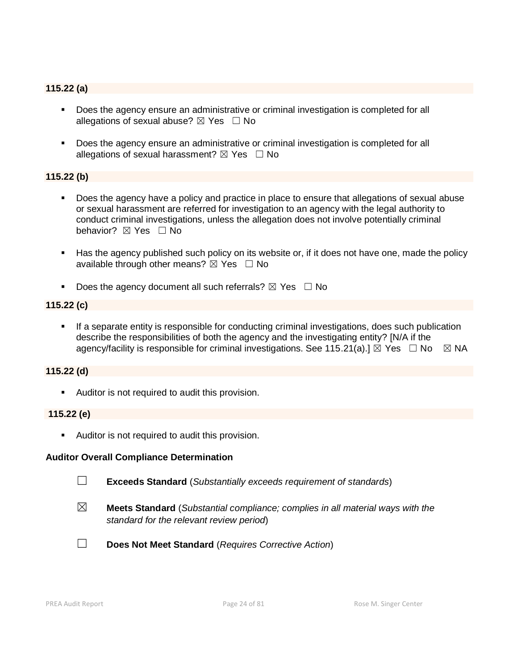## **115.22 (a)**

- Does the agency ensure an administrative or criminal investigation is completed for all allegations of sexual abuse?  $\boxtimes$  Yes  $\Box$  No
- Does the agency ensure an administrative or criminal investigation is completed for all allegations of sexual harassment?  $\boxtimes$  Yes  $\Box$  No

#### **115.22 (b)**

- Does the agency have a policy and practice in place to ensure that allegations of sexual abuse or sexual harassment are referred for investigation to an agency with the legal authority to conduct criminal investigations, unless the allegation does not involve potentially criminal behavior? **⊠** Yes □ No
- Has the agency published such policy on its website or, if it does not have one, made the policy available through other means?  $\boxtimes$  Yes  $\Box$  No
- **•** Does the agency document all such referrals?  $\boxtimes$  Yes  $\Box$  No

#### **115.22 (c)**

**•** If a separate entity is responsible for conducting criminal investigations, does such publication describe the responsibilities of both the agency and the investigating entity? [N/A if the agency/facility is responsible for criminal investigations. See 115.21(a).]  $\boxtimes$  Yes  $\Box$  No  $\boxtimes$  NA

#### **115.22 (d)**

■ Auditor is not required to audit this provision.

#### **115.22 (e)**

■ Auditor is not required to audit this provision.

#### **Auditor Overall Compliance Determination**



☐ **Exceeds Standard** (*Substantially exceeds requirement of standards*)

- ☒ **Meets Standard** (*Substantial compliance; complies in all material ways with the standard for the relevant review period*)
- 
- ☐ **Does Not Meet Standard** (*Requires Corrective Action*)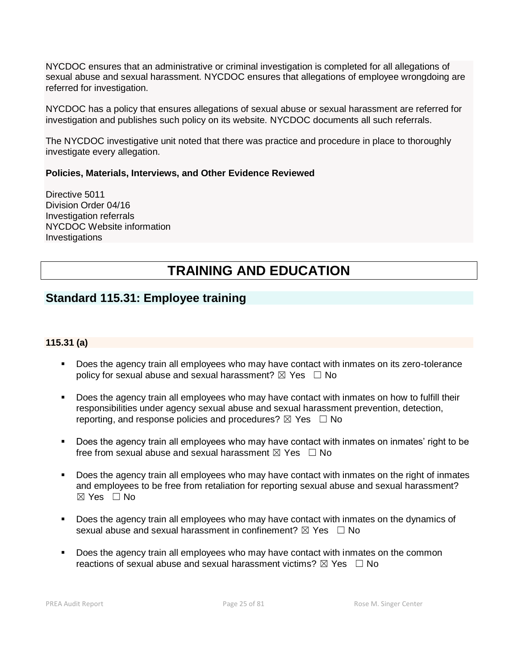NYCDOC ensures that an administrative or criminal investigation is completed for all allegations of sexual abuse and sexual harassment. NYCDOC ensures that allegations of employee wrongdoing are referred for investigation.

NYCDOC has a policy that ensures allegations of sexual abuse or sexual harassment are referred for investigation and publishes such policy on its website. NYCDOC documents all such referrals.

The NYCDOC investigative unit noted that there was practice and procedure in place to thoroughly investigate every allegation.

#### **Policies, Materials, Interviews, and Other Evidence Reviewed**

Directive 5011 Division Order 04/16 Investigation referrals NYCDOC Website information Investigations

# **TRAINING AND EDUCATION**

# **Standard 115.31: Employee training**

#### **115.31 (a)**

- Does the agency train all employees who may have contact with inmates on its zero-tolerance policy for sexual abuse and sexual harassment?  $\boxtimes$  Yes  $\Box$  No
- **•** Does the agency train all employees who may have contact with inmates on how to fulfill their responsibilities under agency sexual abuse and sexual harassment prevention, detection, reporting, and response policies and procedures?  $\boxtimes$  Yes  $\Box$  No
- Does the agency train all employees who may have contact with inmates on inmates' right to be free from sexual abuse and sexual harassment  $\boxtimes$  Yes  $\Box$  No
- Does the agency train all employees who may have contact with inmates on the right of inmates and employees to be free from retaliation for reporting sexual abuse and sexual harassment? ☒ Yes ☐ No
- Does the agency train all employees who may have contact with inmates on the dynamics of sexual abuse and sexual harassment in confinement?  $\boxtimes$  Yes  $\Box$  No
- Does the agency train all employees who may have contact with inmates on the common reactions of sexual abuse and sexual harassment victims?  $\boxtimes$  Yes  $\Box$  No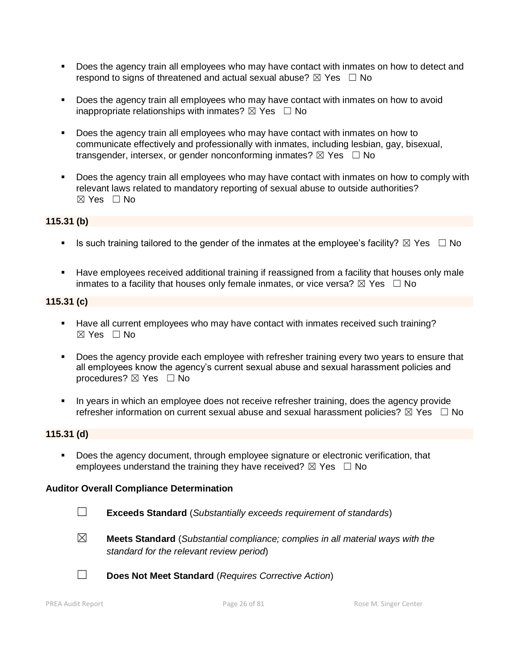- Does the agency train all employees who may have contact with inmates on how to detect and respond to signs of threatened and actual sexual abuse?  $\boxtimes$  Yes  $\Box$  No
- Does the agency train all employees who may have contact with inmates on how to avoid inappropriate relationships with inmates?  $\boxtimes$  Yes  $\Box$  No
- Does the agency train all employees who may have contact with inmates on how to communicate effectively and professionally with inmates, including lesbian, gay, bisexual, transgender, intersex, or gender nonconforming inmates?  $\boxtimes$  Yes  $\Box$  No
- Does the agency train all employees who may have contact with inmates on how to comply with relevant laws related to mandatory reporting of sexual abuse to outside authorities?  $\boxtimes$  Yes  $\Box$  No

# **115.31 (b)**

- **■** Is such training tailored to the gender of the inmates at the employee's facility?  $\boxtimes$  Yes  $\Box$  No
- Have employees received additional training if reassigned from a facility that houses only male inmates to a facility that houses only female inmates, or vice versa?  $\boxtimes$  Yes  $\Box$  No

#### **115.31 (c)**

- Have all current employees who may have contact with inmates received such training?  $\boxtimes$  Yes  $\Box$  No
- **•** Does the agency provide each employee with refresher training every two years to ensure that all employees know the agency's current sexual abuse and sexual harassment policies and procedures? ⊠ Yes □ No
- In years in which an employee does not receive refresher training, does the agency provide refresher information on current sexual abuse and sexual harassment policies?  $\boxtimes$  Yes  $\Box$  No

#### **115.31 (d)**

■ Does the agency document, through employee signature or electronic verification, that employees understand the training they have received?  $\boxtimes$  Yes  $\Box$  No

#### **Auditor Overall Compliance Determination**

- ☐ **Exceeds Standard** (*Substantially exceeds requirement of standards*)
- ☒ **Meets Standard** (*Substantial compliance; complies in all material ways with the standard for the relevant review period*)
- 
- ☐ **Does Not Meet Standard** (*Requires Corrective Action*)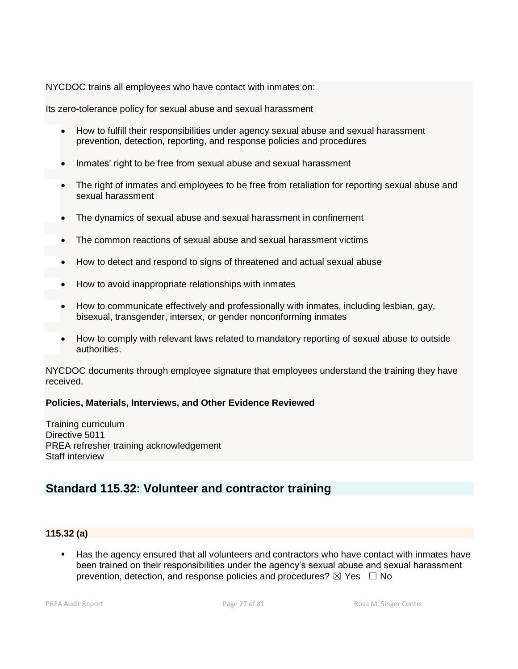NYCDOC trains all employees who have contact with inmates on:

Its zero-tolerance policy for sexual abuse and sexual harassment

- How to fulfill their responsibilities under agency sexual abuse and sexual harassment prevention, detection, reporting, and response policies and procedures
- Inmates' right to be free from sexual abuse and sexual harassment
- The right of inmates and employees to be free from retaliation for reporting sexual abuse and sexual harassment
- The dynamics of sexual abuse and sexual harassment in confinement
- The common reactions of sexual abuse and sexual harassment victims
- How to detect and respond to signs of threatened and actual sexual abuse
- How to avoid inappropriate relationships with inmates
- How to communicate effectively and professionally with inmates, including lesbian, gay, bisexual, transgender, intersex, or gender nonconforming inmates
- How to comply with relevant laws related to mandatory reporting of sexual abuse to outside authorities.

NYCDOC documents through employee signature that employees understand the training they have received.

#### **Policies, Materials, Interviews, and Other Evidence Reviewed**

Training curriculum Directive 5011 PREA refresher training acknowledgement Staff interview

# **Standard 115.32: Volunteer and contractor training**

#### **115.32 (a)**

■ Has the agency ensured that all volunteers and contractors who have contact with inmates have been trained on their responsibilities under the agency's sexual abuse and sexual harassment prevention, detection, and response policies and procedures?  $\boxtimes$  Yes  $\Box$  No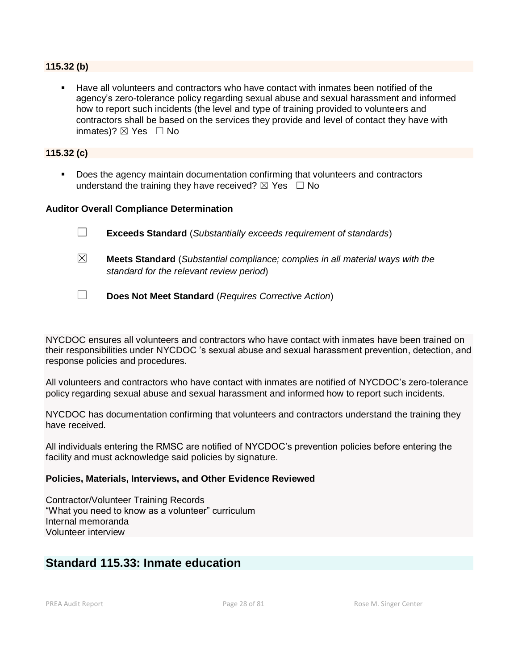#### **115.32 (b)**

Have all volunteers and contractors who have contact with inmates been notified of the agency's zero-tolerance policy regarding sexual abuse and sexual harassment and informed how to report such incidents (the level and type of training provided to volunteers and contractors shall be based on the services they provide and level of contact they have with inmates)?  $\boxtimes$  Yes  $\Box$  No

#### **115.32 (c)**

■ Does the agency maintain documentation confirming that volunteers and contractors understand the training they have received?  $\boxtimes$  Yes  $\Box$  No

#### **Auditor Overall Compliance Determination**

- ☐ **Exceeds Standard** (*Substantially exceeds requirement of standards*)
- ☒ **Meets Standard** (*Substantial compliance; complies in all material ways with the standard for the relevant review period*)
- ☐ **Does Not Meet Standard** (*Requires Corrective Action*)

NYCDOC ensures all volunteers and contractors who have contact with inmates have been trained on their responsibilities under NYCDOC 's sexual abuse and sexual harassment prevention, detection, and response policies and procedures.

All volunteers and contractors who have contact with inmates are notified of NYCDOC's zero-tolerance policy regarding sexual abuse and sexual harassment and informed how to report such incidents.

NYCDOC has documentation confirming that volunteers and contractors understand the training they have received.

All individuals entering the RMSC are notified of NYCDOC's prevention policies before entering the facility and must acknowledge said policies by signature.

#### **Policies, Materials, Interviews, and Other Evidence Reviewed**

Contractor/Volunteer Training Records "What you need to know as a volunteer" curriculum Internal memoranda Volunteer interview

# **Standard 115.33: Inmate education**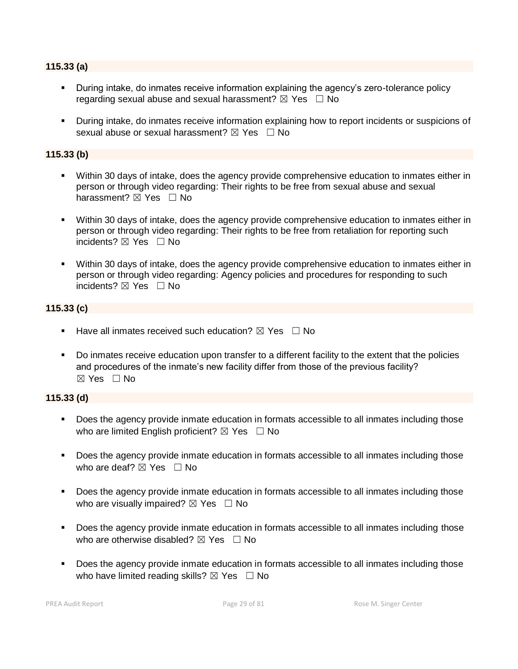#### **115.33 (a)**

- **E** During intake, do inmates receive information explaining the agency's zero-tolerance policy regarding sexual abuse and sexual harassment?  $\boxtimes$  Yes  $\Box$  No
- During intake, do inmates receive information explaining how to report incidents or suspicions of sexual abuse or sexual harassment?  $\boxtimes$  Yes  $\Box$  No

#### **115.33 (b)**

- Within 30 days of intake, does the agency provide comprehensive education to inmates either in person or through video regarding: Their rights to be free from sexual abuse and sexual harassment? **⊠** Yes □ No
- Within 30 days of intake, does the agency provide comprehensive education to inmates either in person or through video regarding: Their rights to be free from retaliation for reporting such incidents? ⊠ Yes □ No
- Within 30 days of intake, does the agency provide comprehensive education to inmates either in person or through video regarding: Agency policies and procedures for responding to such incidents?  $\boxtimes$  Yes  $\Box$  No

#### **115.33 (c)**

- **E** Have all inmates received such education?  $\boxtimes$  Yes  $\Box$  No
- Do inmates receive education upon transfer to a different facility to the extent that the policies and procedures of the inmate's new facility differ from those of the previous facility?  $\boxtimes$  Yes  $\Box$  No

#### **115.33 (d)**

- Does the agency provide inmate education in formats accessible to all inmates including those who are limited English proficient?  $\boxtimes$  Yes  $\Box$  No
- Does the agency provide inmate education in formats accessible to all inmates including those who are deaf?  $\boxtimes$  Yes  $\Box$  No
- Does the agency provide inmate education in formats accessible to all inmates including those who are visually impaired?  $\boxtimes$  Yes  $\Box$  No
- Does the agency provide inmate education in formats accessible to all inmates including those who are otherwise disabled?  $\boxtimes$  Yes  $\Box$  No
- Does the agency provide inmate education in formats accessible to all inmates including those who have limited reading skills?  $\boxtimes$  Yes  $\Box$  No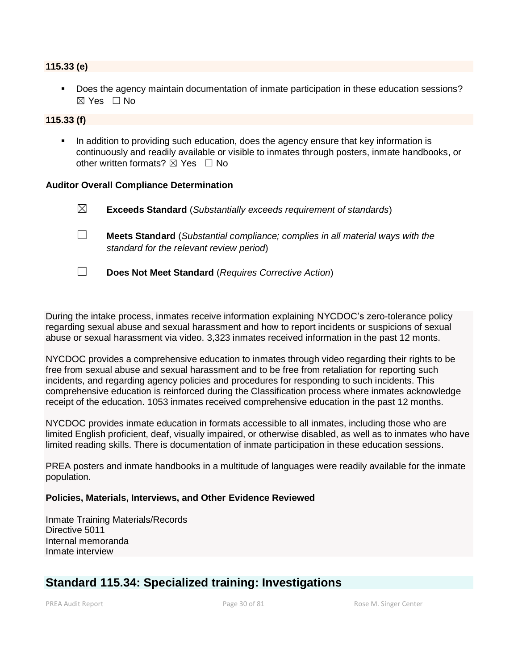#### **115.33 (e)**

▪ Does the agency maintain documentation of inmate participation in these education sessions?  $\boxtimes$  Yes  $\Box$  No

#### **115.33 (f)**

In addition to providing such education, does the agency ensure that key information is continuously and readily available or visible to inmates through posters, inmate handbooks, or other written formats?  $\boxtimes$  Yes  $\Box$  No

#### **Auditor Overall Compliance Determination**

☒ **Exceeds Standard** (*Substantially exceeds requirement of standards*) ☐ **Meets Standard** (*Substantial compliance; complies in all material ways with the standard for the relevant review period*) ☐ **Does Not Meet Standard** (*Requires Corrective Action*)

During the intake process, inmates receive information explaining NYCDOC's zero-tolerance policy regarding sexual abuse and sexual harassment and how to report incidents or suspicions of sexual abuse or sexual harassment via video. 3,323 inmates received information in the past 12 monts.

NYCDOC provides a comprehensive education to inmates through video regarding their rights to be free from sexual abuse and sexual harassment and to be free from retaliation for reporting such incidents, and regarding agency policies and procedures for responding to such incidents. This comprehensive education is reinforced during the Classification process where inmates acknowledge receipt of the education. 1053 inmates received comprehensive education in the past 12 months.

NYCDOC provides inmate education in formats accessible to all inmates, including those who are limited English proficient, deaf, visually impaired, or otherwise disabled, as well as to inmates who have limited reading skills. There is documentation of inmate participation in these education sessions.

PREA posters and inmate handbooks in a multitude of languages were readily available for the inmate population.

#### **Policies, Materials, Interviews, and Other Evidence Reviewed**

Inmate Training Materials/Records Directive 5011 Internal memoranda Inmate interview

# **Standard 115.34: Specialized training: Investigations**

PREA Audit Report **Page 30** of 81 Rose M. Singer Center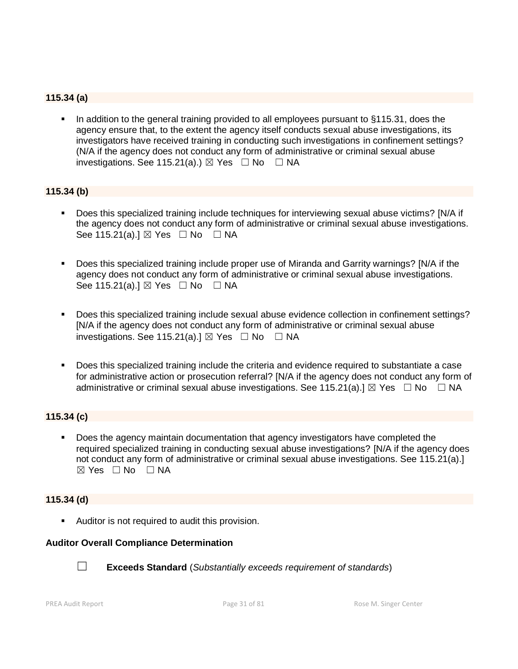## **115.34 (a)**

In addition to the general training provided to all employees pursuant to §115.31, does the agency ensure that, to the extent the agency itself conducts sexual abuse investigations, its investigators have received training in conducting such investigations in confinement settings? (N/A if the agency does not conduct any form of administrative or criminal sexual abuse investigations. See 115.21(a).)  $\boxtimes$  Yes  $\Box$  No  $\Box$  NA

#### **115.34 (b)**

- Does this specialized training include techniques for interviewing sexual abuse victims? [N/A if the agency does not conduct any form of administrative or criminal sexual abuse investigations. See 115.21(a).]  $\boxtimes$  Yes  $\Box$  No  $\Box$  NA
- Does this specialized training include proper use of Miranda and Garrity warnings? [N/A if the agency does not conduct any form of administrative or criminal sexual abuse investigations. See 115.21(a).]  $\boxtimes$  Yes  $\Box$  No  $\Box$  NA
- Does this specialized training include sexual abuse evidence collection in confinement settings? [N/A if the agency does not conduct any form of administrative or criminal sexual abuse investigations. See 115.21(a).]  $\boxtimes$  Yes  $\Box$  No  $\Box$  NA
- Does this specialized training include the criteria and evidence required to substantiate a case for administrative action or prosecution referral? [N/A if the agency does not conduct any form of administrative or criminal sexual abuse investigations. See 115.21(a).]  $\boxtimes$  Yes  $\Box$  No  $\Box$  NA

#### **115.34 (c)**

Does the agency maintain documentation that agency investigators have completed the required specialized training in conducting sexual abuse investigations? [N/A if the agency does not conduct any form of administrative or criminal sexual abuse investigations. See 115.21(a).] ☒ Yes ☐ No ☐ NA

#### **115.34 (d)**

■ Auditor is not required to audit this provision.

#### **Auditor Overall Compliance Determination**



☐ **Exceeds Standard** (*Substantially exceeds requirement of standards*)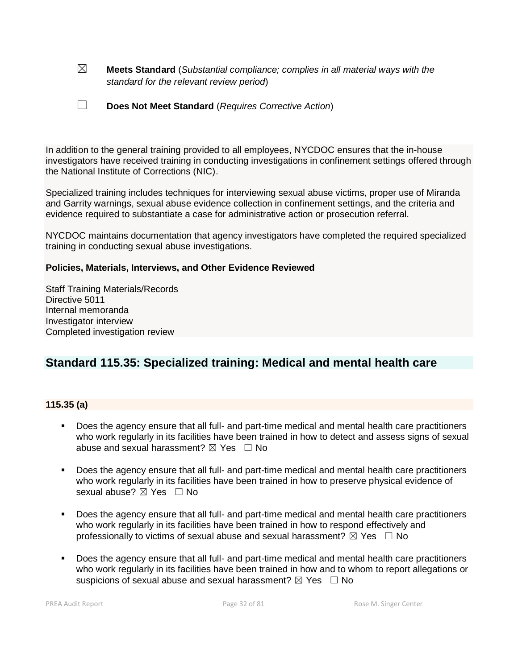☒ **Meets Standard** (*Substantial compliance; complies in all material ways with the standard for the relevant review period*)

| $\Box$ | Does Not Meet Standard (Requires Corrective Action) |
|--------|-----------------------------------------------------|
|--------|-----------------------------------------------------|

In addition to the general training provided to all employees, NYCDOC ensures that the in-house investigators have received training in conducting investigations in confinement settings offered through the National Institute of Corrections (NIC).

Specialized training includes techniques for interviewing sexual abuse victims, proper use of Miranda and Garrity warnings, sexual abuse evidence collection in confinement settings, and the criteria and evidence required to substantiate a case for administrative action or prosecution referral.

NYCDOC maintains documentation that agency investigators have completed the required specialized training in conducting sexual abuse investigations.

#### **Policies, Materials, Interviews, and Other Evidence Reviewed**

Staff Training Materials/Records Directive 5011 Internal memoranda Investigator interview Completed investigation review

# **Standard 115.35: Specialized training: Medical and mental health care**

#### **115.35 (a)**

- Does the agency ensure that all full- and part-time medical and mental health care practitioners who work regularly in its facilities have been trained in how to detect and assess signs of sexual abuse and sexual harassment?  $\boxtimes$  Yes  $\Box$  No
- Does the agency ensure that all full- and part-time medical and mental health care practitioners who work regularly in its facilities have been trained in how to preserve physical evidence of sexual abuse? ⊠ Yes □ No
- Does the agency ensure that all full- and part-time medical and mental health care practitioners who work regularly in its facilities have been trained in how to respond effectively and professionally to victims of sexual abuse and sexual harassment?  $\boxtimes$  Yes  $\Box$  No
- Does the agency ensure that all full- and part-time medical and mental health care practitioners who work regularly in its facilities have been trained in how and to whom to report allegations or suspicions of sexual abuse and sexual harassment?  $\boxtimes$  Yes  $\Box$  No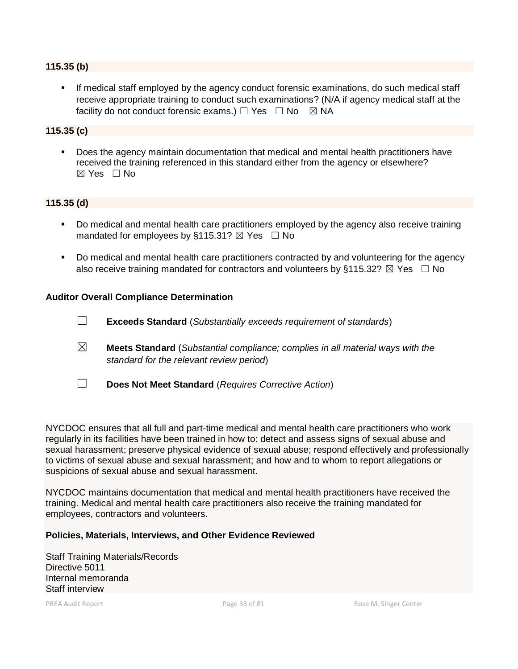#### **115.35 (b)**

**EXT** If medical staff employed by the agency conduct forensic examinations, do such medical staff receive appropriate training to conduct such examinations? (N/A if agency medical staff at the facility do not conduct forensic exams.)  $\Box$  Yes  $\Box$  No  $\boxtimes$  NA

#### **115.35 (c)**

▪ Does the agency maintain documentation that medical and mental health practitioners have received the training referenced in this standard either from the agency or elsewhere?  $\boxtimes$  Yes  $\Box$  No

#### **115.35 (d)**

- Do medical and mental health care practitioners employed by the agency also receive training mandated for employees by §115.31?  $\boxtimes$  Yes  $\Box$  No
- Do medical and mental health care practitioners contracted by and volunteering for the agency also receive training mandated for contractors and volunteers by §115.32?  $\boxtimes$  Yes  $\Box$  No

#### **Auditor Overall Compliance Determination**

- ☐ **Exceeds Standard** (*Substantially exceeds requirement of standards*)
- ☒ **Meets Standard** (*Substantial compliance; complies in all material ways with the standard for the relevant review period*)
- ☐ **Does Not Meet Standard** (*Requires Corrective Action*)

NYCDOC ensures that all full and part-time medical and mental health care practitioners who work regularly in its facilities have been trained in how to: detect and assess signs of sexual abuse and sexual harassment; preserve physical evidence of sexual abuse; respond effectively and professionally to victims of sexual abuse and sexual harassment; and how and to whom to report allegations or suspicions of sexual abuse and sexual harassment.

NYCDOC maintains documentation that medical and mental health practitioners have received the training. Medical and mental health care practitioners also receive the training mandated for employees, contractors and volunteers.

#### **Policies, Materials, Interviews, and Other Evidence Reviewed**

Staff Training Materials/Records Directive 5011 Internal memoranda Staff interview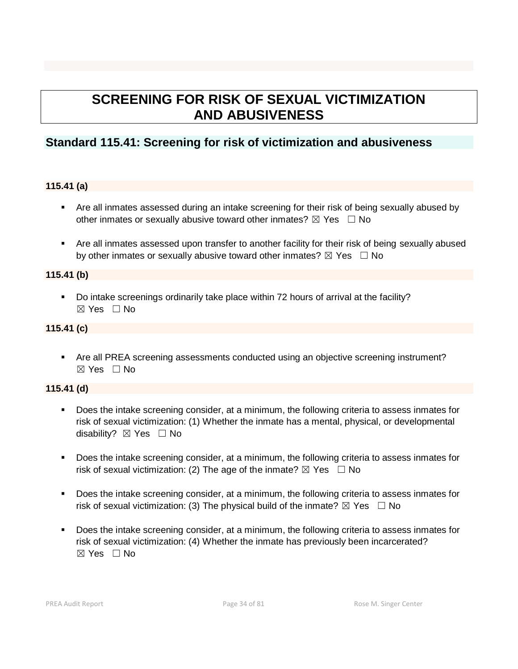# **SCREENING FOR RISK OF SEXUAL VICTIMIZATION AND ABUSIVENESS**

# **Standard 115.41: Screening for risk of victimization and abusiveness**

## **115.41 (a)**

- Are all inmates assessed during an intake screening for their risk of being sexually abused by other inmates or sexually abusive toward other inmates?  $\boxtimes$  Yes  $\Box$  No
- Are all inmates assessed upon transfer to another facility for their risk of being sexually abused by other inmates or sexually abusive toward other inmates?  $\boxtimes$  Yes  $\Box$  No

#### **115.41 (b)**

■ Do intake screenings ordinarily take place within 72 hours of arrival at the facility? ☒ Yes ☐ No

#### **115.41 (c)**

■ Are all PREA screening assessments conducted using an objective screening instrument?  $\boxtimes$  Yes  $\Box$  No

# **115.41 (d)**

- Does the intake screening consider, at a minimum, the following criteria to assess inmates for risk of sexual victimization: (1) Whether the inmate has a mental, physical, or developmental disability?  $\boxtimes$  Yes  $\Box$  No
- Does the intake screening consider, at a minimum, the following criteria to assess inmates for risk of sexual victimization: (2) The age of the inmate?  $\boxtimes$  Yes  $\Box$  No
- Does the intake screening consider, at a minimum, the following criteria to assess inmates for risk of sexual victimization: (3) The physical build of the inmate?  $\boxtimes$  Yes  $\Box$  No
- Does the intake screening consider, at a minimum, the following criteria to assess inmates for risk of sexual victimization: (4) Whether the inmate has previously been incarcerated?  $\boxtimes$  Yes  $\Box$  No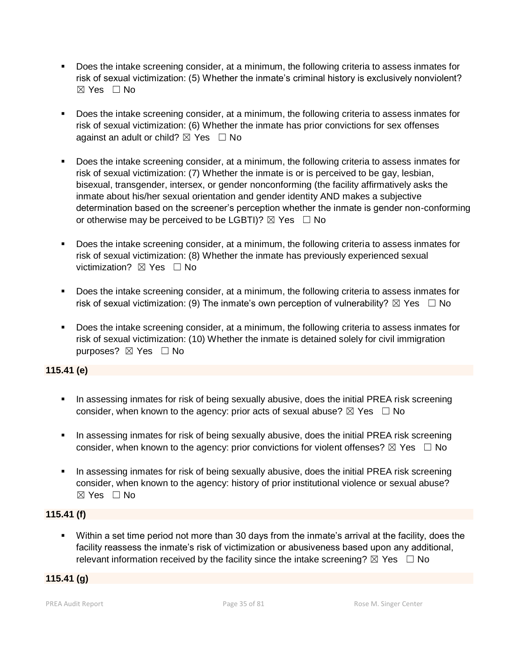- Does the intake screening consider, at a minimum, the following criteria to assess inmates for risk of sexual victimization: (5) Whether the inmate's criminal history is exclusively nonviolent?  $\boxtimes$  Yes  $\Box$  No
- Does the intake screening consider, at a minimum, the following criteria to assess inmates for risk of sexual victimization: (6) Whether the inmate has prior convictions for sex offenses against an adult or child?  $\boxtimes$  Yes  $\Box$  No
- Does the intake screening consider, at a minimum, the following criteria to assess inmates for risk of sexual victimization: (7) Whether the inmate is or is perceived to be gay, lesbian, bisexual, transgender, intersex, or gender nonconforming (the facility affirmatively asks the inmate about his/her sexual orientation and gender identity AND makes a subjective determination based on the screener's perception whether the inmate is gender non-conforming or otherwise may be perceived to be LGBTI)?  $\boxtimes$  Yes  $\Box$  No
- Does the intake screening consider, at a minimum, the following criteria to assess inmates for risk of sexual victimization: (8) Whether the inmate has previously experienced sexual victimization? **⊠** Yes □ No
- Does the intake screening consider, at a minimum, the following criteria to assess inmates for risk of sexual victimization: (9) The inmate's own perception of vulnerability?  $\boxtimes$  Yes  $\Box$  No
- Does the intake screening consider, at a minimum, the following criteria to assess inmates for risk of sexual victimization: (10) Whether the inmate is detained solely for civil immigration purposes? ⊠ Yes □ No

# **115.41 (e)**

- **•** In assessing inmates for risk of being sexually abusive, does the initial PREA risk screening consider, when known to the agency: prior acts of sexual abuse?  $\boxtimes$  Yes  $\Box$  No
- In assessing inmates for risk of being sexually abusive, does the initial PREA risk screening consider, when known to the agency: prior convictions for violent offenses?  $\boxtimes$  Yes  $\Box$  No
- **•** In assessing inmates for risk of being sexually abusive, does the initial PREA risk screening consider, when known to the agency: history of prior institutional violence or sexual abuse?  $\boxtimes$  Yes  $\Box$  No

# **115.41 (f)**

▪ Within a set time period not more than 30 days from the inmate's arrival at the facility, does the facility reassess the inmate's risk of victimization or abusiveness based upon any additional, relevant information received by the facility since the intake screening?  $\boxtimes$  Yes  $\Box$  No

# **115.41 (g)**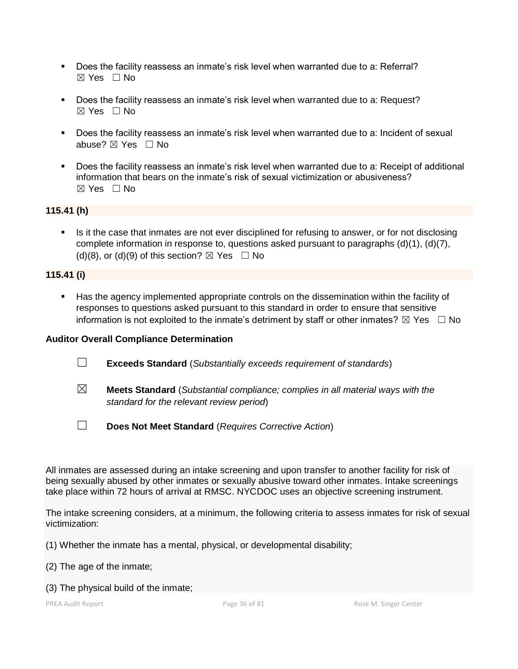- Does the facility reassess an inmate's risk level when warranted due to a: Referral? ☒ Yes ☐ No
- Does the facility reassess an inmate's risk level when warranted due to a: Request?  $\boxtimes$  Yes  $\Box$  No
- Does the facility reassess an inmate's risk level when warranted due to a: Incident of sexual abuse? ☒ Yes ☐ No
- Does the facility reassess an inmate's risk level when warranted due to a: Receipt of additional information that bears on the inmate's risk of sexual victimization or abusiveness?  $\boxtimes$  Yes  $\Box$  No

## **115.41 (h)**

**EXT** Is it the case that inmates are not ever disciplined for refusing to answer, or for not disclosing complete information in response to, questions asked pursuant to paragraphs (d)(1), (d)(7), (d)(8), or (d)(9) of this section?  $\boxtimes$  Yes  $\Box$  No

#### **115.41 (i)**

▪ Has the agency implemented appropriate controls on the dissemination within the facility of responses to questions asked pursuant to this standard in order to ensure that sensitive information is not exploited to the inmate's detriment by staff or other inmates?  $\boxtimes$  Yes  $\Box$  No

#### **Auditor Overall Compliance Determination**

- ☐ **Exceeds Standard** (*Substantially exceeds requirement of standards*)
- ☒ **Meets Standard** (*Substantial compliance; complies in all material ways with the standard for the relevant review period*)
- ☐ **Does Not Meet Standard** (*Requires Corrective Action*)

All inmates are assessed during an intake screening and upon transfer to another facility for risk of being sexually abused by other inmates or sexually abusive toward other inmates. Intake screenings take place within 72 hours of arrival at RMSC. NYCDOC uses an objective screening instrument.

The intake screening considers, at a minimum, the following criteria to assess inmates for risk of sexual victimization:

(1) Whether the inmate has a mental, physical, or developmental disability;

- (2) The age of the inmate;
- (3) The physical build of the inmate;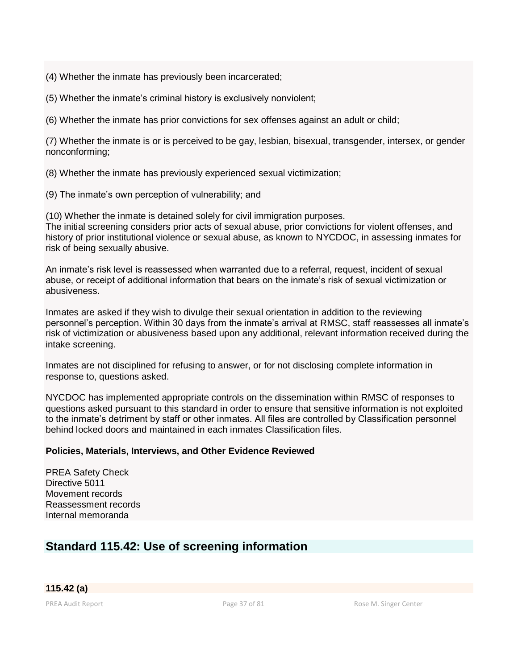(4) Whether the inmate has previously been incarcerated;

(5) Whether the inmate's criminal history is exclusively nonviolent;

(6) Whether the inmate has prior convictions for sex offenses against an adult or child;

(7) Whether the inmate is or is perceived to be gay, lesbian, bisexual, transgender, intersex, or gender nonconforming;

(8) Whether the inmate has previously experienced sexual victimization;

(9) The inmate's own perception of vulnerability; and

(10) Whether the inmate is detained solely for civil immigration purposes.

The initial screening considers prior acts of sexual abuse, prior convictions for violent offenses, and history of prior institutional violence or sexual abuse, as known to NYCDOC, in assessing inmates for risk of being sexually abusive.

An inmate's risk level is reassessed when warranted due to a referral, request, incident of sexual abuse, or receipt of additional information that bears on the inmate's risk of sexual victimization or abusiveness.

Inmates are asked if they wish to divulge their sexual orientation in addition to the reviewing personnel's perception. Within 30 days from the inmate's arrival at RMSC, staff reassesses all inmate's risk of victimization or abusiveness based upon any additional, relevant information received during the intake screening.

Inmates are not disciplined for refusing to answer, or for not disclosing complete information in response to, questions asked.

NYCDOC has implemented appropriate controls on the dissemination within RMSC of responses to questions asked pursuant to this standard in order to ensure that sensitive information is not exploited to the inmate's detriment by staff or other inmates. All files are controlled by Classification personnel behind locked doors and maintained in each inmates Classification files.

# **Policies, Materials, Interviews, and Other Evidence Reviewed**

PREA Safety Check Directive 5011 Movement records Reassessment records Internal memoranda

# **Standard 115.42: Use of screening information**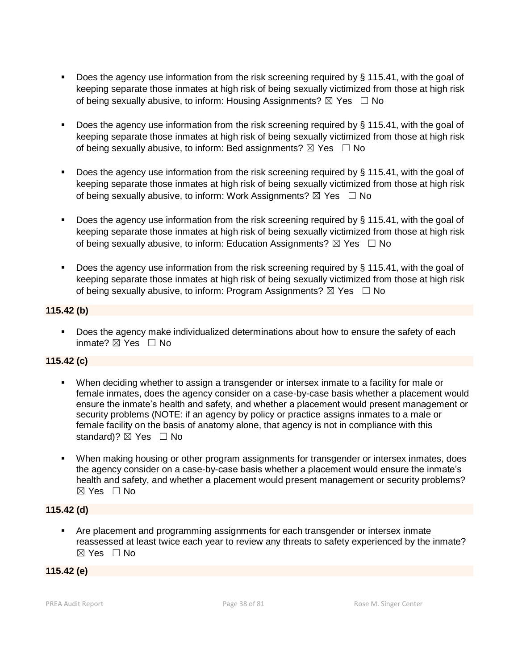- **•** Does the agency use information from the risk screening required by  $\S$  115.41, with the goal of keeping separate those inmates at high risk of being sexually victimized from those at high risk of being sexually abusive, to inform: Housing Assignments?  $\boxtimes$  Yes  $\Box$  No
- Does the agency use information from the risk screening required by § 115.41, with the goal of keeping separate those inmates at high risk of being sexually victimized from those at high risk of being sexually abusive, to inform: Bed assignments?  $\boxtimes$  Yes  $\Box$  No
- **•** Does the agency use information from the risk screening required by  $\S$  115.41, with the goal of keeping separate those inmates at high risk of being sexually victimized from those at high risk of being sexually abusive, to inform: Work Assignments?  $\boxtimes$  Yes  $\Box$  No
- **Does the agency use information from the risk screening required by**  $\S$  **115.41, with the goal of** keeping separate those inmates at high risk of being sexually victimized from those at high risk of being sexually abusive, to inform: Education Assignments?  $\boxtimes$  Yes  $\Box$  No
- Does the agency use information from the risk screening required by § 115.41, with the goal of keeping separate those inmates at high risk of being sexually victimized from those at high risk of being sexually abusive, to inform: Program Assignments?  $\boxtimes$  Yes  $\Box$  No

# **115.42 (b)**

■ Does the agency make individualized determinations about how to ensure the safety of each inmate?  $⊠$  Yes  $□$  No

# **115.42 (c)**

- When deciding whether to assign a transgender or intersex inmate to a facility for male or female inmates, does the agency consider on a case-by-case basis whether a placement would ensure the inmate's health and safety, and whether a placement would present management or security problems (NOTE: if an agency by policy or practice assigns inmates to a male or female facility on the basis of anatomy alone, that agency is not in compliance with this standard)?  $\boxtimes$  Yes  $\Box$  No
- **When making housing or other program assignments for transgender or intersex inmates, does** the agency consider on a case-by-case basis whether a placement would ensure the inmate's health and safety, and whether a placement would present management or security problems? ☒ Yes ☐ No

# **115.42 (d)**

▪ Are placement and programming assignments for each transgender or intersex inmate reassessed at least twice each year to review any threats to safety experienced by the inmate? ☒ Yes ☐ No

# **115.42 (e)**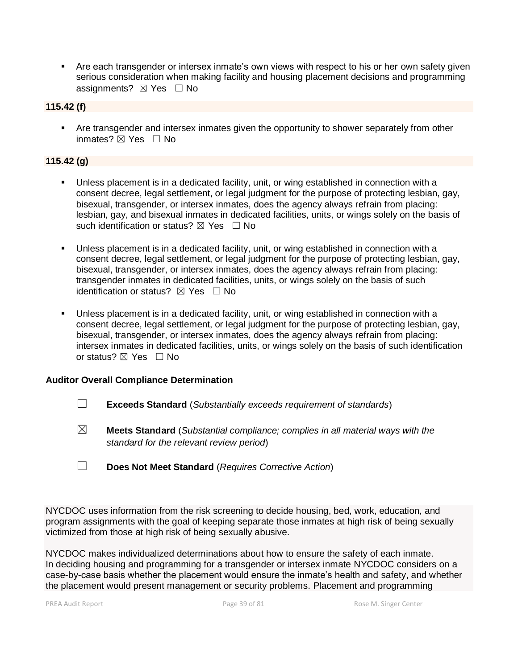**EXT** Are each transgender or intersex inmate's own views with respect to his or her own safety given serious consideration when making facility and housing placement decisions and programming assignments?  $\boxtimes$  Yes  $\Box$  No

### **115.42 (f)**

**• Are transgender and intersex inmates given the opportunity to shower separately from other** inmates?  $⊠$  Yes  $□$  No

# **115.42 (g)**

- Unless placement is in a dedicated facility, unit, or wing established in connection with a consent decree, legal settlement, or legal judgment for the purpose of protecting lesbian, gay, bisexual, transgender, or intersex inmates, does the agency always refrain from placing: lesbian, gay, and bisexual inmates in dedicated facilities, units, or wings solely on the basis of such identification or status?  $\boxtimes$  Yes  $\Box$  No
- Unless placement is in a dedicated facility, unit, or wing established in connection with a consent decree, legal settlement, or legal judgment for the purpose of protecting lesbian, gay, bisexual, transgender, or intersex inmates, does the agency always refrain from placing: transgender inmates in dedicated facilities, units, or wings solely on the basis of such identification or status?  $\boxtimes$  Yes  $\Box$  No
- Unless placement is in a dedicated facility, unit, or wing established in connection with a consent decree, legal settlement, or legal judgment for the purpose of protecting lesbian, gay, bisexual, transgender, or intersex inmates, does the agency always refrain from placing: intersex inmates in dedicated facilities, units, or wings solely on the basis of such identification or status? ⊠ Yes □ No

### **Auditor Overall Compliance Determination**

- ☐ **Exceeds Standard** (*Substantially exceeds requirement of standards*)
- ☒ **Meets Standard** (*Substantial compliance; complies in all material ways with the standard for the relevant review period*)
- ☐ **Does Not Meet Standard** (*Requires Corrective Action*)

NYCDOC uses information from the risk screening to decide housing, bed, work, education, and program assignments with the goal of keeping separate those inmates at high risk of being sexually victimized from those at high risk of being sexually abusive.

NYCDOC makes individualized determinations about how to ensure the safety of each inmate. In deciding housing and programming for a transgender or intersex inmate NYCDOC considers on a case-by-case basis whether the placement would ensure the inmate's health and safety, and whether the placement would present management or security problems. Placement and programming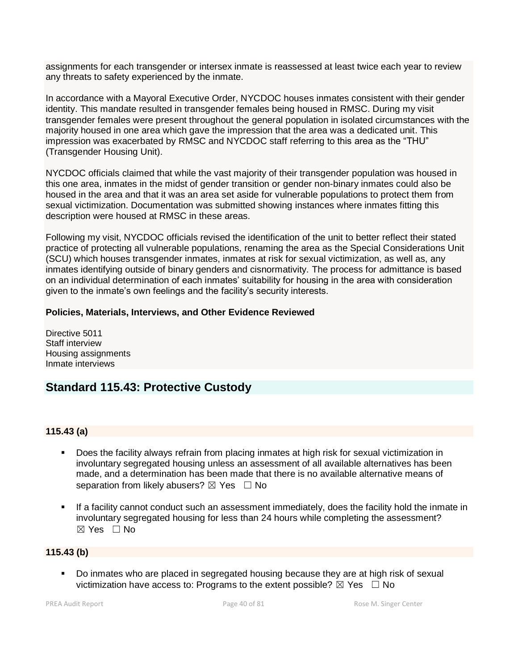assignments for each transgender or intersex inmate is reassessed at least twice each year to review any threats to safety experienced by the inmate.

In accordance with a Mayoral Executive Order, NYCDOC houses inmates consistent with their gender identity. This mandate resulted in transgender females being housed in RMSC. During my visit transgender females were present throughout the general population in isolated circumstances with the majority housed in one area which gave the impression that the area was a dedicated unit. This impression was exacerbated by RMSC and NYCDOC staff referring to this area as the "THU" (Transgender Housing Unit).

NYCDOC officials claimed that while the vast majority of their transgender population was housed in this one area, inmates in the midst of gender transition or gender non-binary inmates could also be housed in the area and that it was an area set aside for vulnerable populations to protect them from sexual victimization. Documentation was submitted showing instances where inmates fitting this description were housed at RMSC in these areas.

Following my visit, NYCDOC officials revised the identification of the unit to better reflect their stated practice of protecting all vulnerable populations, renaming the area as the Special Considerations Unit (SCU) which houses transgender inmates, inmates at risk for sexual victimization, as well as, any inmates identifying outside of binary genders and cisnormativity. The process for admittance is based on an individual determination of each inmates' suitability for housing in the area with consideration given to the inmate's own feelings and the facility's security interests.

# **Policies, Materials, Interviews, and Other Evidence Reviewed**

Directive 5011 Staff interview Housing assignments Inmate interviews

# **Standard 115.43: Protective Custody**

# **115.43 (a)**

- Does the facility always refrain from placing inmates at high risk for sexual victimization in involuntary segregated housing unless an assessment of all available alternatives has been made, and a determination has been made that there is no available alternative means of separation from likely abusers?  $\boxtimes$  Yes  $\Box$  No
- If a facility cannot conduct such an assessment immediately, does the facility hold the inmate in involuntary segregated housing for less than 24 hours while completing the assessment?  $\boxtimes$  Yes  $\Box$  No

# **115.43 (b)**

▪ Do inmates who are placed in segregated housing because they are at high risk of sexual victimization have access to: Programs to the extent possible?  $\boxtimes$  Yes  $\Box$  No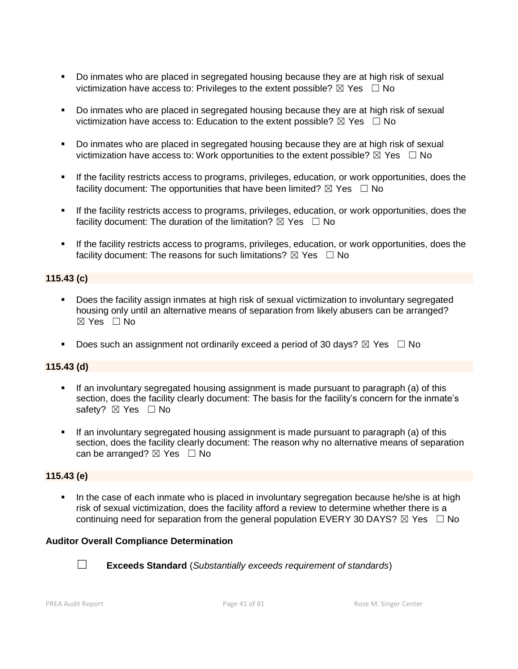- Do inmates who are placed in segregated housing because they are at high risk of sexual victimization have access to: Privileges to the extent possible?  $\boxtimes$  Yes  $\Box$  No
- Do inmates who are placed in segregated housing because they are at high risk of sexual victimization have access to: Education to the extent possible?  $\boxtimes$  Yes  $\Box$  No
- Do inmates who are placed in segregated housing because they are at high risk of sexual victimization have access to: Work opportunities to the extent possible?  $\boxtimes$  Yes  $\Box$  No
- If the facility restricts access to programs, privileges, education, or work opportunities, does the facility document: The opportunities that have been limited?  $\boxtimes$  Yes  $\Box$  No
- If the facility restricts access to programs, privileges, education, or work opportunities, does the facility document: The duration of the limitation?  $\boxtimes$  Yes  $\Box$  No
- If the facility restricts access to programs, privileges, education, or work opportunities, does the facility document: The reasons for such limitations?  $\boxtimes$  Yes  $\Box$  No

# **115.43 (c)**

- Does the facility assign inmates at high risk of sexual victimization to involuntary segregated housing only until an alternative means of separation from likely abusers can be arranged? ☒ Yes ☐ No
- **•** Does such an assignment not ordinarily exceed a period of 30 days?  $\boxtimes$  Yes  $\Box$  No

# **115.43 (d)**

- **.** If an involuntary segregated housing assignment is made pursuant to paragraph (a) of this section, does the facility clearly document: The basis for the facility's concern for the inmate's safety? ⊠ Yes □ No
- If an involuntary segregated housing assignment is made pursuant to paragraph (a) of this section, does the facility clearly document: The reason why no alternative means of separation can be arranged?  $\boxtimes$  Yes  $\Box$  No

### **115.43 (e)**

In the case of each inmate who is placed in involuntary segregation because he/she is at high risk of sexual victimization, does the facility afford a review to determine whether there is a continuing need for separation from the general population EVERY 30 DAYS?  $\boxtimes$  Yes  $\Box$  No

### **Auditor Overall Compliance Determination**



☐ **Exceeds Standard** (*Substantially exceeds requirement of standards*)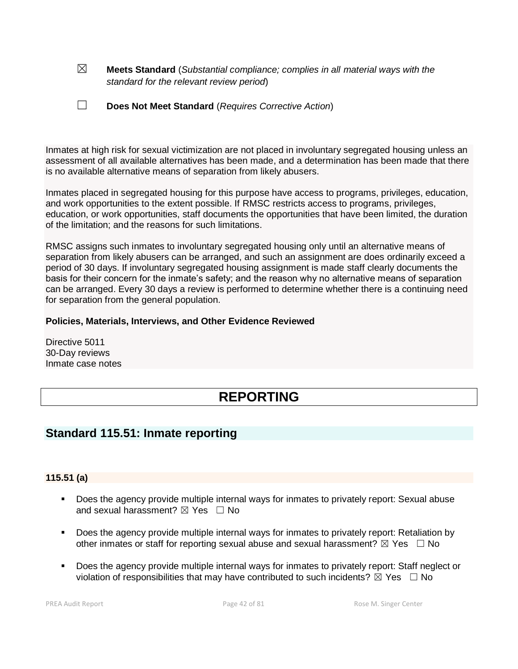☒ **Meets Standard** (*Substantial compliance; complies in all material ways with the standard for the relevant review period*)

| Does Not Meet Standard (Requires Corrective Action) |
|-----------------------------------------------------|
|                                                     |

Inmates at high risk for sexual victimization are not placed in involuntary segregated housing unless an assessment of all available alternatives has been made, and a determination has been made that there is no available alternative means of separation from likely abusers.

Inmates placed in segregated housing for this purpose have access to programs, privileges, education, and work opportunities to the extent possible. If RMSC restricts access to programs, privileges, education, or work opportunities, staff documents the opportunities that have been limited, the duration of the limitation; and the reasons for such limitations.

RMSC assigns such inmates to involuntary segregated housing only until an alternative means of separation from likely abusers can be arranged, and such an assignment are does ordinarily exceed a period of 30 days. If involuntary segregated housing assignment is made staff clearly documents the basis for their concern for the inmate's safety; and the reason why no alternative means of separation can be arranged. Every 30 days a review is performed to determine whether there is a continuing need for separation from the general population.

# **Policies, Materials, Interviews, and Other Evidence Reviewed**

Directive 5011 30-Day reviews Inmate case notes

# **REPORTING**

# **Standard 115.51: Inmate reporting**

### **115.51 (a)**

- Does the agency provide multiple internal ways for inmates to privately report: Sexual abuse and sexual harassment?  $\boxtimes$  Yes  $\Box$  No
- Does the agency provide multiple internal ways for inmates to privately report: Retaliation by other inmates or staff for reporting sexual abuse and sexual harassment?  $\boxtimes$  Yes  $\Box$  No
- Does the agency provide multiple internal ways for inmates to privately report: Staff neglect or violation of responsibilities that may have contributed to such incidents?  $\boxtimes$  Yes  $\Box$  No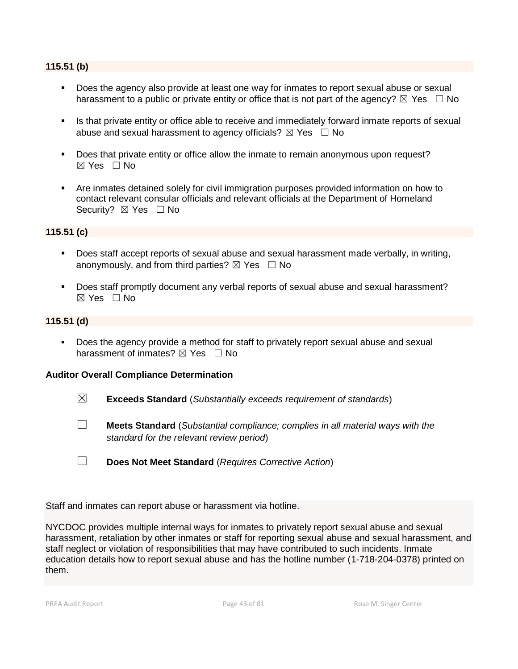# **115.51 (b)**

- Does the agency also provide at least one way for inmates to report sexual abuse or sexual harassment to a public or private entity or office that is not part of the agency?  $\boxtimes$  Yes  $\Box$  No
- **EXT** Is that private entity or office able to receive and immediately forward inmate reports of sexual abuse and sexual harassment to agency officials?  $\boxtimes$  Yes  $\Box$  No
- **•** Does that private entity or office allow the inmate to remain anonymous upon request?  $\boxtimes$  Yes  $\Box$  No
- Are inmates detained solely for civil immigration purposes provided information on how to contact relevant consular officials and relevant officials at the Department of Homeland Security? ⊠ Yes □ No

### **115.51 (c)**

- Does staff accept reports of sexual abuse and sexual harassment made verbally, in writing, anonymously, and from third parties?  $\boxtimes$  Yes  $\Box$  No
- Does staff promptly document any verbal reports of sexual abuse and sexual harassment? ☒ Yes ☐ No

### **115.51 (d)**

▪ Does the agency provide a method for staff to privately report sexual abuse and sexual harassment of inmates?  $\boxtimes$  Yes  $\Box$  No

### **Auditor Overall Compliance Determination**

- ☒ **Exceeds Standard** (*Substantially exceeds requirement of standards*)
- ☐ **Meets Standard** (*Substantial compliance; complies in all material ways with the standard for the relevant review period*)
- ☐ **Does Not Meet Standard** (*Requires Corrective Action*)

Staff and inmates can report abuse or harassment via hotline.

NYCDOC provides multiple internal ways for inmates to privately report sexual abuse and sexual harassment, retaliation by other inmates or staff for reporting sexual abuse and sexual harassment, and staff neglect or violation of responsibilities that may have contributed to such incidents. Inmate education details how to report sexual abuse and has the hotline number (1-718-204-0378) printed on them.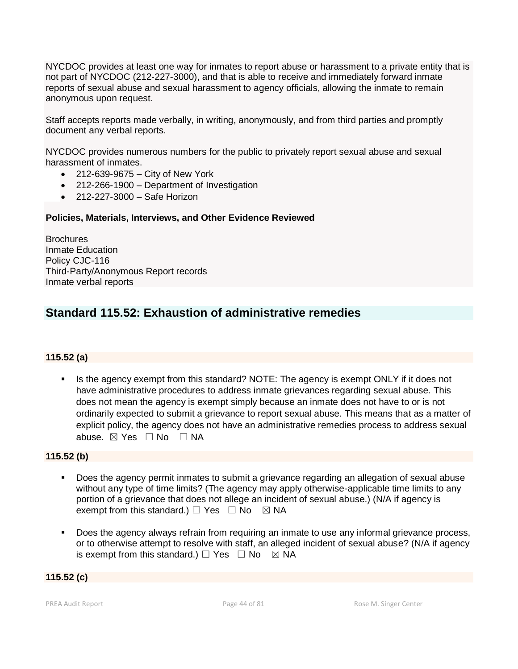NYCDOC provides at least one way for inmates to report abuse or harassment to a private entity that is not part of NYCDOC (212-227-3000), and that is able to receive and immediately forward inmate reports of sexual abuse and sexual harassment to agency officials, allowing the inmate to remain anonymous upon request.

Staff accepts reports made verbally, in writing, anonymously, and from third parties and promptly document any verbal reports.

NYCDOC provides numerous numbers for the public to privately report sexual abuse and sexual harassment of inmates.

- 212-639-9675 City of New York
- 212-266-1900 Department of Investigation
- 212-227-3000 Safe Horizon

### **Policies, Materials, Interviews, and Other Evidence Reviewed**

**Brochures** Inmate Education Policy CJC-116 Third-Party/Anonymous Report records Inmate verbal reports

# **Standard 115.52: Exhaustion of administrative remedies**

# **115.52 (a)**

■ Is the agency exempt from this standard? NOTE: The agency is exempt ONLY if it does not have administrative procedures to address inmate grievances regarding sexual abuse. This does not mean the agency is exempt simply because an inmate does not have to or is not ordinarily expected to submit a grievance to report sexual abuse. This means that as a matter of explicit policy, the agency does not have an administrative remedies process to address sexual abuse. ⊠ Yes □ No □ NA

### **115.52 (b)**

- Does the agency permit inmates to submit a grievance regarding an allegation of sexual abuse without any type of time limits? (The agency may apply otherwise-applicable time limits to any portion of a grievance that does not allege an incident of sexual abuse.) (N/A if agency is exempt from this standard.)  $\Box$  Yes  $\Box$  No  $\boxtimes$  NA
- Does the agency always refrain from requiring an inmate to use any informal grievance process, or to otherwise attempt to resolve with staff, an alleged incident of sexual abuse? (N/A if agency is exempt from this standard.)  $\Box$  Yes  $\Box$  No  $\boxtimes$  NA

### **115.52 (c)**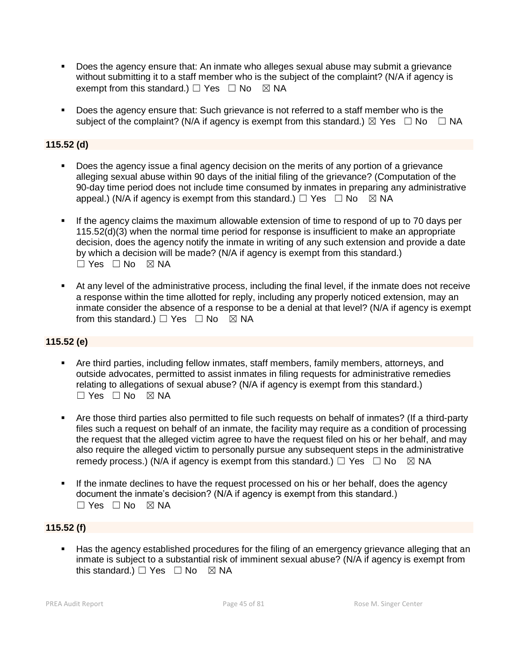- Does the agency ensure that: An inmate who alleges sexual abuse may submit a grievance without submitting it to a staff member who is the subject of the complaint? (N/A if agency is exempt from this standard.)  $\Box$  Yes  $\Box$  No  $\boxtimes$  NA
- Does the agency ensure that: Such grievance is not referred to a staff member who is the subject of the complaint? (N/A if agency is exempt from this standard.)  $\boxtimes$  Yes  $\Box$  No  $\Box$  NA

# **115.52 (d)**

- **•** Does the agency issue a final agency decision on the merits of any portion of a grievance alleging sexual abuse within 90 days of the initial filing of the grievance? (Computation of the 90-day time period does not include time consumed by inmates in preparing any administrative appeal.) (N/A if agency is exempt from this standard.)  $\Box$  Yes  $\Box$  No  $\boxtimes$  NA
- **.** If the agency claims the maximum allowable extension of time to respond of up to 70 days per 115.52(d)(3) when the normal time period for response is insufficient to make an appropriate decision, does the agency notify the inmate in writing of any such extension and provide a date by which a decision will be made? (N/A if agency is exempt from this standard.)  $\Box$  Yes  $\Box$  No  $\boxtimes$  NA
- At any level of the administrative process, including the final level, if the inmate does not receive a response within the time allotted for reply, including any properly noticed extension, may an inmate consider the absence of a response to be a denial at that level? (N/A if agency is exempt from this standard.)  $\Box$  Yes  $\Box$  No  $\boxtimes$  NA

# **115.52 (e)**

- Are third parties, including fellow inmates, staff members, family members, attorneys, and outside advocates, permitted to assist inmates in filing requests for administrative remedies relating to allegations of sexual abuse? (N/A if agency is exempt from this standard.) ☐ Yes ☐ No ☒ NA
- Are those third parties also permitted to file such requests on behalf of inmates? (If a third-party files such a request on behalf of an inmate, the facility may require as a condition of processing the request that the alleged victim agree to have the request filed on his or her behalf, and may also require the alleged victim to personally pursue any subsequent steps in the administrative remedy process.) (N/A if agency is exempt from this standard.)  $\Box$  Yes  $\Box$  No  $\boxtimes$  NA
- **.** If the inmate declines to have the request processed on his or her behalf, does the agency document the inmate's decision? (N/A if agency is exempt from this standard.)  $\Box$  Yes  $\Box$  No  $\boxtimes$  NA

# **115.52 (f)**

Has the agency established procedures for the filing of an emergency grievance alleging that an inmate is subject to a substantial risk of imminent sexual abuse? (N/A if agency is exempt from this standard.)  $\Box$  Yes  $\Box$  No  $\boxtimes$  NA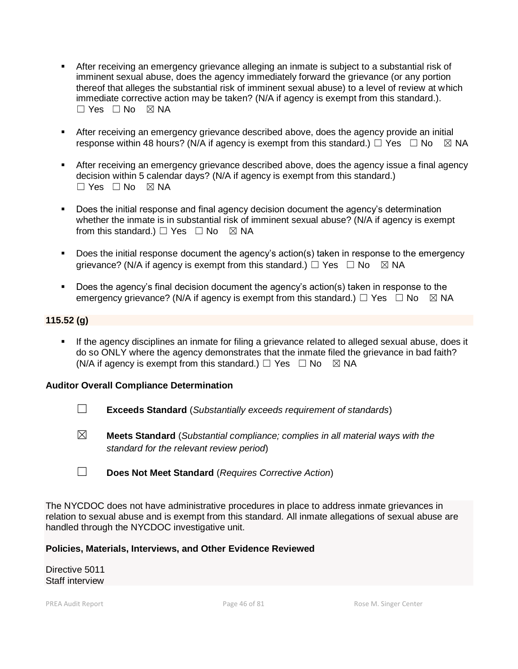- **EXECT** After receiving an emergency grievance alleging an inmate is subject to a substantial risk of imminent sexual abuse, does the agency immediately forward the grievance (or any portion thereof that alleges the substantial risk of imminent sexual abuse) to a level of review at which immediate corrective action may be taken? (N/A if agency is exempt from this standard.).  $\Box$  Yes  $\Box$  No  $\boxtimes$  NA
- **E** After receiving an emergency grievance described above, does the agency provide an initial response within 48 hours? (N/A if agency is exempt from this standard.)  $\Box$  Yes  $\Box$  No  $\boxtimes$  NA
- **EXTER 15 After receiving an emergency grievance described above, does the agency issue a final agency** decision within 5 calendar days? (N/A if agency is exempt from this standard.) ☐ Yes ☐ No ☒ NA
- Does the initial response and final agency decision document the agency's determination whether the inmate is in substantial risk of imminent sexual abuse? (N/A if agency is exempt from this standard.)  $\Box$  Yes  $\Box$  No  $\boxtimes$  NA
- Does the initial response document the agency's action(s) taken in response to the emergency grievance? (N/A if agency is exempt from this standard.)  $\Box$  Yes  $\Box$  No  $\boxtimes$  NA
- Does the agency's final decision document the agency's action(s) taken in response to the emergency grievance? (N/A if agency is exempt from this standard.)  $\Box$  Yes  $\Box$  No  $\boxtimes$  NA

# **115.52 (g)**

If the agency disciplines an inmate for filing a grievance related to alleged sexual abuse, does it do so ONLY where the agency demonstrates that the inmate filed the grievance in bad faith? (N/A if agency is exempt from this standard.)  $\Box$  Yes  $\Box$  No  $\boxtimes$  NA

# **Auditor Overall Compliance Determination**

- ☐ **Exceeds Standard** (*Substantially exceeds requirement of standards*)
- ☒ **Meets Standard** (*Substantial compliance; complies in all material ways with the standard for the relevant review period*)
- ☐ **Does Not Meet Standard** (*Requires Corrective Action*)

The NYCDOC does not have administrative procedures in place to address inmate grievances in relation to sexual abuse and is exempt from this standard. All inmate allegations of sexual abuse are handled through the NYCDOC investigative unit.

### **Policies, Materials, Interviews, and Other Evidence Reviewed**

Directive 5011 Staff interview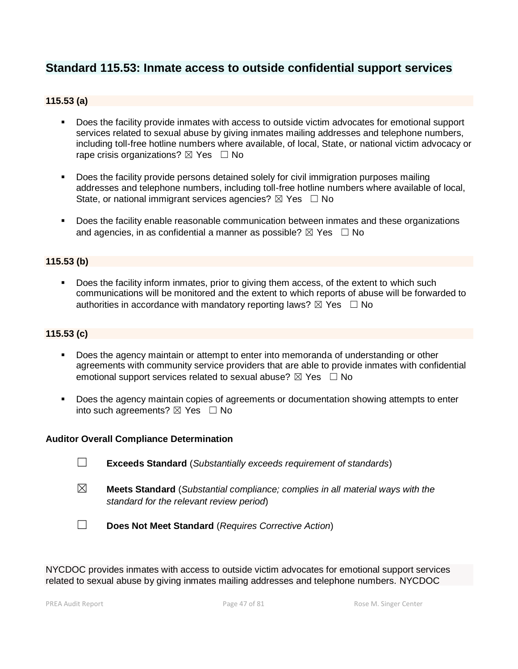# **Standard 115.53: Inmate access to outside confidential support services**

# **115.53 (a)**

- Does the facility provide inmates with access to outside victim advocates for emotional support services related to sexual abuse by giving inmates mailing addresses and telephone numbers, including toll-free hotline numbers where available, of local, State, or national victim advocacy or rape crisis organizations?  $\boxtimes$  Yes  $\Box$  No
- Does the facility provide persons detained solely for civil immigration purposes mailing addresses and telephone numbers, including toll-free hotline numbers where available of local, State, or national immigrant services agencies?  $\boxtimes$  Yes  $\Box$  No
- Does the facility enable reasonable communication between inmates and these organizations and agencies, in as confidential a manner as possible?  $\boxtimes$  Yes  $\Box$  No

### **115.53 (b)**

Does the facility inform inmates, prior to giving them access, of the extent to which such communications will be monitored and the extent to which reports of abuse will be forwarded to authorities in accordance with mandatory reporting laws?  $\boxtimes$  Yes  $\Box$  No

### **115.53 (c)**

- Does the agency maintain or attempt to enter into memoranda of understanding or other agreements with community service providers that are able to provide inmates with confidential emotional support services related to sexual abuse?  $\boxtimes$  Yes  $\Box$  No
- Does the agency maintain copies of agreements or documentation showing attempts to enter into such agreements?  $\boxtimes$  Yes  $\Box$  No

### **Auditor Overall Compliance Determination**

- ☐ **Exceeds Standard** (*Substantially exceeds requirement of standards*)
- ☒ **Meets Standard** (*Substantial compliance; complies in all material ways with the standard for the relevant review period*)
- ☐ **Does Not Meet Standard** (*Requires Corrective Action*)

NYCDOC provides inmates with access to outside victim advocates for emotional support services related to sexual abuse by giving inmates mailing addresses and telephone numbers. NYCDOC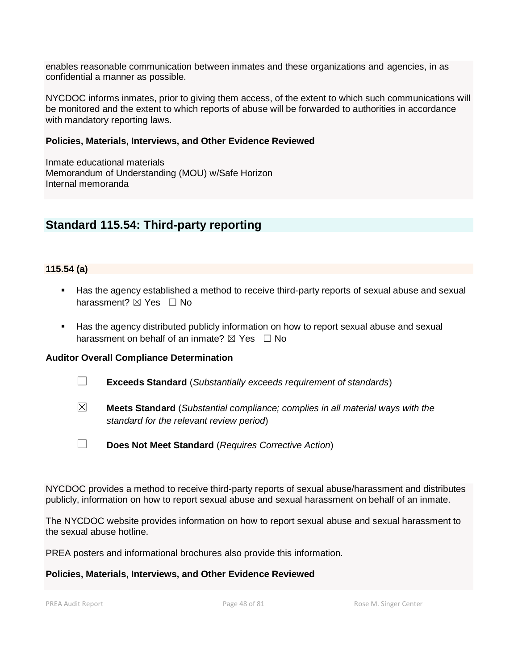enables reasonable communication between inmates and these organizations and agencies, in as confidential a manner as possible.

NYCDOC informs inmates, prior to giving them access, of the extent to which such communications will be monitored and the extent to which reports of abuse will be forwarded to authorities in accordance with mandatory reporting laws.

### **Policies, Materials, Interviews, and Other Evidence Reviewed**

Inmate educational materials Memorandum of Understanding (MOU) w/Safe Horizon Internal memoranda

# **Standard 115.54: Third-party reporting**

### **115.54 (a)**

- Has the agency established a method to receive third-party reports of sexual abuse and sexual harassment? **⊠** Yes □ No
- Has the agency distributed publicly information on how to report sexual abuse and sexual harassment on behalf of an inmate?  $\boxtimes$  Yes  $\Box$  No

### **Auditor Overall Compliance Determination**

- ☐ **Exceeds Standard** (*Substantially exceeds requirement of standards*)
- ☒ **Meets Standard** (*Substantial compliance; complies in all material ways with the standard for the relevant review period*)
- ☐ **Does Not Meet Standard** (*Requires Corrective Action*)

NYCDOC provides a method to receive third-party reports of sexual abuse/harassment and distributes publicly, information on how to report sexual abuse and sexual harassment on behalf of an inmate.

The NYCDOC website provides information on how to report sexual abuse and sexual harassment to the sexual abuse hotline.

PREA posters and informational brochures also provide this information.

### **Policies, Materials, Interviews, and Other Evidence Reviewed**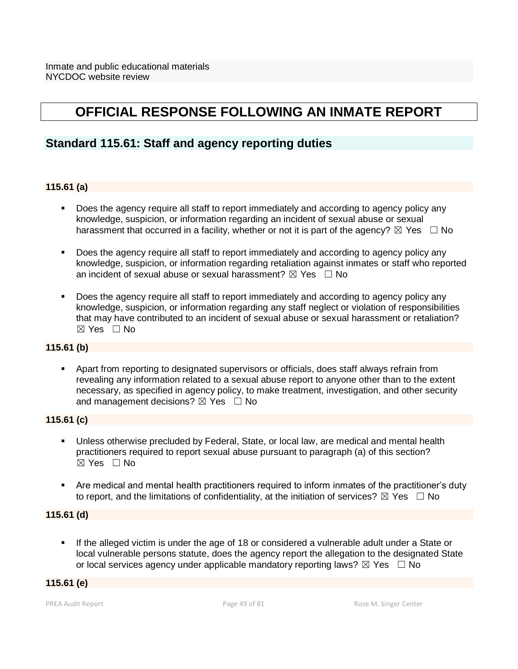# **OFFICIAL RESPONSE FOLLOWING AN INMATE REPORT**

# **Standard 115.61: Staff and agency reporting duties**

# **115.61 (a)**

- Does the agency require all staff to report immediately and according to agency policy any knowledge, suspicion, or information regarding an incident of sexual abuse or sexual harassment that occurred in a facility, whether or not it is part of the agency?  $\boxtimes$  Yes  $\Box$  No
- Does the agency require all staff to report immediately and according to agency policy any knowledge, suspicion, or information regarding retaliation against inmates or staff who reported an incident of sexual abuse or sexual harassment?  $\boxtimes$  Yes  $\Box$  No
- Does the agency require all staff to report immediately and according to agency policy any knowledge, suspicion, or information regarding any staff neglect or violation of responsibilities that may have contributed to an incident of sexual abuse or sexual harassment or retaliation? ☒ Yes ☐ No

# **115.61 (b)**

▪ Apart from reporting to designated supervisors or officials, does staff always refrain from revealing any information related to a sexual abuse report to anyone other than to the extent necessary, as specified in agency policy, to make treatment, investigation, and other security and management decisions?  $\boxtimes$  Yes  $\Box$  No

# **115.61 (c)**

- Unless otherwise precluded by Federal, State, or local law, are medical and mental health practitioners required to report sexual abuse pursuant to paragraph (a) of this section?  $\boxtimes$  Yes  $\Box$  No
- Are medical and mental health practitioners required to inform inmates of the practitioner's duty to report, and the limitations of confidentiality, at the initiation of services?  $\boxtimes$  Yes  $\Box$  No

# **115.61 (d)**

If the alleged victim is under the age of 18 or considered a vulnerable adult under a State or local vulnerable persons statute, does the agency report the allegation to the designated State or local services agency under applicable mandatory reporting laws?  $\boxtimes$  Yes  $\Box$  No

# **115.61 (e)**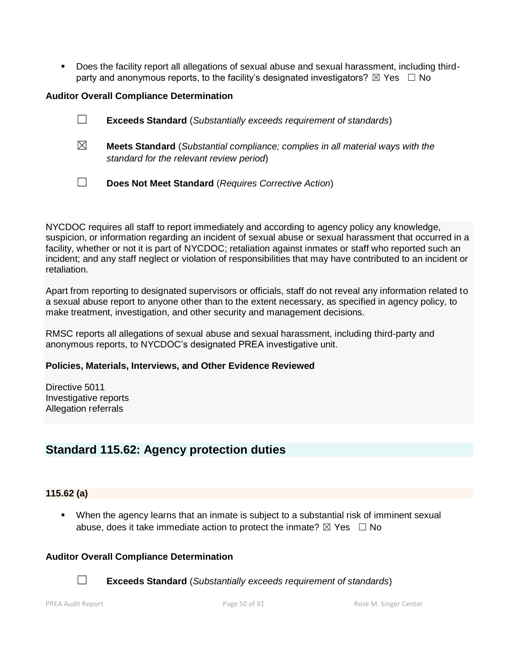▪ Does the facility report all allegations of sexual abuse and sexual harassment, including thirdparty and anonymous reports, to the facility's designated investigators?  $\boxtimes$  Yes  $\Box$  No

### **Auditor Overall Compliance Determination**

| ⊔ |  | <b>Exceeds Standard</b> (Substantially exceeds requirement of standards) |
|---|--|--------------------------------------------------------------------------|
|---|--|--------------------------------------------------------------------------|

- ☒ **Meets Standard** (*Substantial compliance; complies in all material ways with the standard for the relevant review period*)
- ☐ **Does Not Meet Standard** (*Requires Corrective Action*)

NYCDOC requires all staff to report immediately and according to agency policy any knowledge, suspicion, or information regarding an incident of sexual abuse or sexual harassment that occurred in a facility, whether or not it is part of NYCDOC; retaliation against inmates or staff who reported such an incident; and any staff neglect or violation of responsibilities that may have contributed to an incident or retaliation.

Apart from reporting to designated supervisors or officials, staff do not reveal any information related to a sexual abuse report to anyone other than to the extent necessary, as specified in agency policy, to make treatment, investigation, and other security and management decisions.

RMSC reports all allegations of sexual abuse and sexual harassment, including third-party and anonymous reports, to NYCDOC's designated PREA investigative unit.

### **Policies, Materials, Interviews, and Other Evidence Reviewed**

Directive 5011 Investigative reports Allegation referrals

# **Standard 115.62: Agency protection duties**

# **115.62 (a)**

When the agency learns that an inmate is subject to a substantial risk of imminent sexual abuse, does it take immediate action to protect the inmate?  $\boxtimes$  Yes  $\Box$  No

# **Auditor Overall Compliance Determination**



☐ **Exceeds Standard** (*Substantially exceeds requirement of standards*)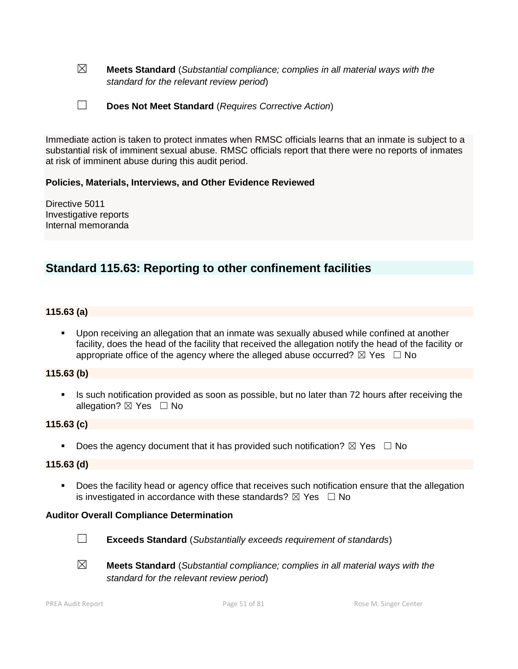- ☒ **Meets Standard** (*Substantial compliance; complies in all material ways with the standard for the relevant review period*)
- ☐ **Does Not Meet Standard** (*Requires Corrective Action*)

Immediate action is taken to protect inmates when RMSC officials learns that an inmate is subject to a substantial risk of imminent sexual abuse. RMSC officials report that there were no reports of inmates at risk of imminent abuse during this audit period.

### **Policies, Materials, Interviews, and Other Evidence Reviewed**

Directive 5011 Investigative reports Internal memoranda

# **Standard 115.63: Reporting to other confinement facilities**

### **115.63 (a)**

Upon receiving an allegation that an inmate was sexually abused while confined at another facility, does the head of the facility that received the allegation notify the head of the facility or appropriate office of the agency where the alleged abuse occurred?  $\boxtimes$  Yes  $\Box$  No

### **115.63 (b)**

Is such notification provided as soon as possible, but no later than 72 hours after receiving the allegation?  $\boxtimes$  Yes  $\Box$  No

### **115.63 (c)**

**•** Does the agency document that it has provided such notification?  $\boxtimes$  Yes  $\Box$  No

### **115.63 (d)**

■ Does the facility head or agency office that receives such notification ensure that the allegation is investigated in accordance with these standards?  $\boxtimes$  Yes  $\Box$  No

### **Auditor Overall Compliance Determination**



- ☐ **Exceeds Standard** (*Substantially exceeds requirement of standards*)
- ☒ **Meets Standard** (*Substantial compliance; complies in all material ways with the standard for the relevant review period*)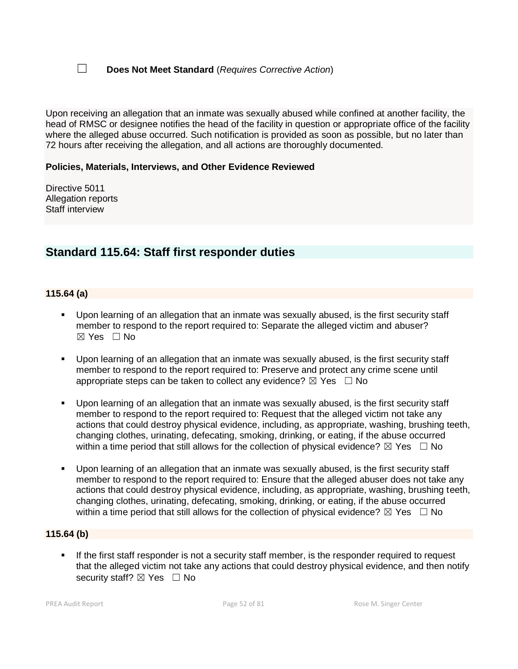☐ **Does Not Meet Standard** (*Requires Corrective Action*)

Upon receiving an allegation that an inmate was sexually abused while confined at another facility, the head of RMSC or designee notifies the head of the facility in question or appropriate office of the facility where the alleged abuse occurred. Such notification is provided as soon as possible, but no later than 72 hours after receiving the allegation, and all actions are thoroughly documented.

### **Policies, Materials, Interviews, and Other Evidence Reviewed**

Directive 5011 Allegation reports Staff interview

# **Standard 115.64: Staff first responder duties**

### **115.64 (a)**

- Upon learning of an allegation that an inmate was sexually abused, is the first security staff member to respond to the report required to: Separate the alleged victim and abuser?  $\boxtimes$  Yes  $\Box$  No
- Upon learning of an allegation that an inmate was sexually abused, is the first security staff member to respond to the report required to: Preserve and protect any crime scene until appropriate steps can be taken to collect any evidence?  $\boxtimes$  Yes  $\Box$  No
- Upon learning of an allegation that an inmate was sexually abused, is the first security staff member to respond to the report required to: Request that the alleged victim not take any actions that could destroy physical evidence, including, as appropriate, washing, brushing teeth, changing clothes, urinating, defecating, smoking, drinking, or eating, if the abuse occurred within a time period that still allows for the collection of physical evidence?  $\boxtimes$  Yes  $\Box$  No
- Upon learning of an allegation that an inmate was sexually abused, is the first security staff member to respond to the report required to: Ensure that the alleged abuser does not take any actions that could destroy physical evidence, including, as appropriate, washing, brushing teeth, changing clothes, urinating, defecating, smoking, drinking, or eating, if the abuse occurred within a time period that still allows for the collection of physical evidence?  $\boxtimes$  Yes  $\Box$  No

### **115.64 (b)**

**.** If the first staff responder is not a security staff member, is the responder required to request that the alleged victim not take any actions that could destroy physical evidence, and then notify security staff? ⊠ Yes □ No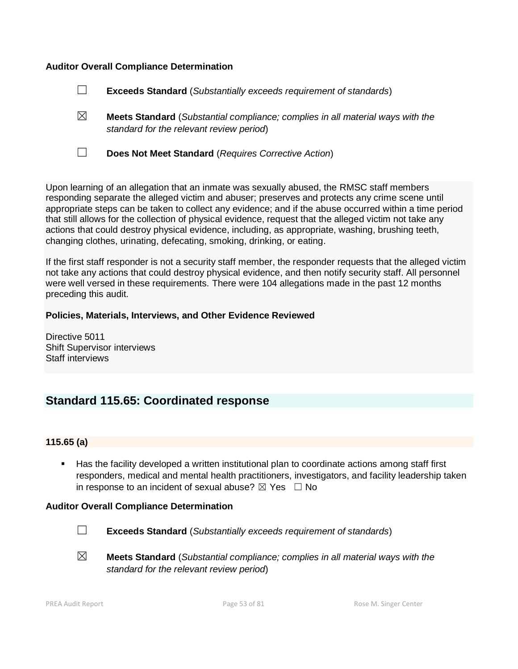### **Auditor Overall Compliance Determination**

| $\Box$<br><b>Exceeds Standard</b> (Substantially exceeds requirement of standards) |  |
|------------------------------------------------------------------------------------|--|
|------------------------------------------------------------------------------------|--|

- ☒ **Meets Standard** (*Substantial compliance; complies in all material ways with the standard for the relevant review period*)
- ☐ **Does Not Meet Standard** (*Requires Corrective Action*)

Upon learning of an allegation that an inmate was sexually abused, the RMSC staff members responding separate the alleged victim and abuser; preserves and protects any crime scene until appropriate steps can be taken to collect any evidence; and if the abuse occurred within a time period that still allows for the collection of physical evidence, request that the alleged victim not take any actions that could destroy physical evidence, including, as appropriate, washing, brushing teeth, changing clothes, urinating, defecating, smoking, drinking, or eating.

If the first staff responder is not a security staff member, the responder requests that the alleged victim not take any actions that could destroy physical evidence, and then notify security staff. All personnel were well versed in these requirements. There were 104 allegations made in the past 12 months preceding this audit.

### **Policies, Materials, Interviews, and Other Evidence Reviewed**

Directive 5011 Shift Supervisor interviews Staff interviews

# **Standard 115.65: Coordinated response**

### **115.65 (a)**

■ Has the facility developed a written institutional plan to coordinate actions among staff first responders, medical and mental health practitioners, investigators, and facility leadership taken in response to an incident of sexual abuse?  $\boxtimes$  Yes  $\Box$  No

### **Auditor Overall Compliance Determination**



☐ **Exceeds Standard** (*Substantially exceeds requirement of standards*)

☒ **Meets Standard** (*Substantial compliance; complies in all material ways with the standard for the relevant review period*)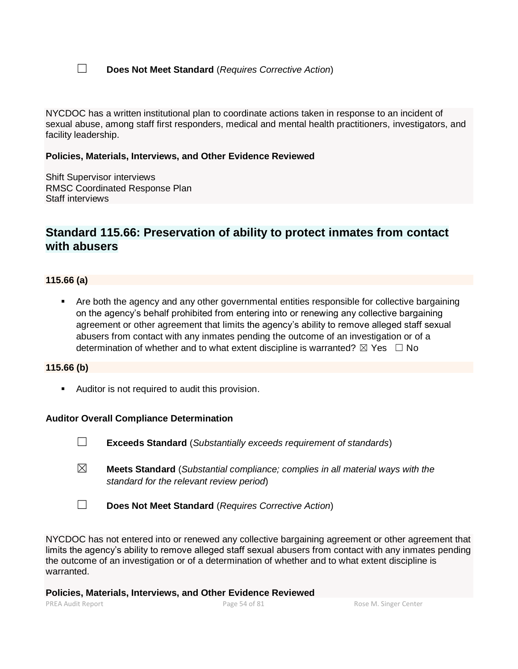☐ **Does Not Meet Standard** (*Requires Corrective Action*)

NYCDOC has a written institutional plan to coordinate actions taken in response to an incident of sexual abuse, among staff first responders, medical and mental health practitioners, investigators, and facility leadership.

### **Policies, Materials, Interviews, and Other Evidence Reviewed**

Shift Supervisor interviews RMSC Coordinated Response Plan Staff interviews

# **Standard 115.66: Preservation of ability to protect inmates from contact with abusers**

### **115.66 (a)**

Are both the agency and any other governmental entities responsible for collective bargaining on the agency's behalf prohibited from entering into or renewing any collective bargaining agreement or other agreement that limits the agency's ability to remove alleged staff sexual abusers from contact with any inmates pending the outcome of an investigation or of a determination of whether and to what extent discipline is warranted?  $\boxtimes$  Yes  $\Box$  No

### **115.66 (b)**

■ Auditor is not required to audit this provision.

### **Auditor Overall Compliance Determination**

- ☐ **Exceeds Standard** (*Substantially exceeds requirement of standards*)
- ☒ **Meets Standard** (*Substantial compliance; complies in all material ways with the standard for the relevant review period*)
- ☐ **Does Not Meet Standard** (*Requires Corrective Action*)

NYCDOC has not entered into or renewed any collective bargaining agreement or other agreement that limits the agency's ability to remove alleged staff sexual abusers from contact with any inmates pending the outcome of an investigation or of a determination of whether and to what extent discipline is warranted.

### **Policies, Materials, Interviews, and Other Evidence Reviewed**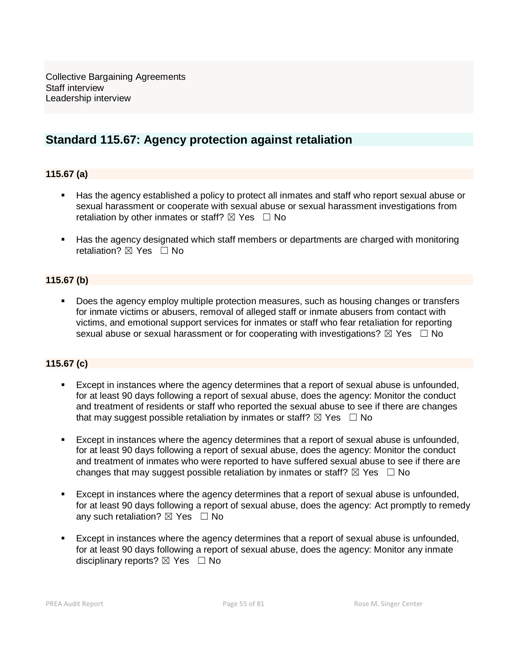Collective Bargaining Agreements Staff interview Leadership interview

# **Standard 115.67: Agency protection against retaliation**

# **115.67 (a)**

- Has the agency established a policy to protect all inmates and staff who report sexual abuse or sexual harassment or cooperate with sexual abuse or sexual harassment investigations from retaliation by other inmates or staff?  $\boxtimes$  Yes  $\Box$  No
- Has the agency designated which staff members or departments are charged with monitoring retaliation? **⊠** Yes □ No

# **115.67 (b)**

Does the agency employ multiple protection measures, such as housing changes or transfers for inmate victims or abusers, removal of alleged staff or inmate abusers from contact with victims, and emotional support services for inmates or staff who fear retaliation for reporting sexual abuse or sexual harassment or for cooperating with investigations?  $\boxtimes$  Yes  $\Box$  No

# **115.67 (c)**

- Except in instances where the agency determines that a report of sexual abuse is unfounded, for at least 90 days following a report of sexual abuse, does the agency: Monitor the conduct and treatment of residents or staff who reported the sexual abuse to see if there are changes that may suggest possible retaliation by inmates or staff?  $\boxtimes$  Yes  $\Box$  No
- Except in instances where the agency determines that a report of sexual abuse is unfounded, for at least 90 days following a report of sexual abuse, does the agency: Monitor the conduct and treatment of inmates who were reported to have suffered sexual abuse to see if there are changes that may suggest possible retaliation by inmates or staff?  $\boxtimes$  Yes  $\Box$  No
- Except in instances where the agency determines that a report of sexual abuse is unfounded, for at least 90 days following a report of sexual abuse, does the agency: Act promptly to remedy any such retaliation?  $\boxtimes$  Yes  $\Box$  No
- Except in instances where the agency determines that a report of sexual abuse is unfounded, for at least 90 days following a report of sexual abuse, does the agency: Monitor any inmate disciplinary reports?  $\boxtimes$  Yes  $\Box$  No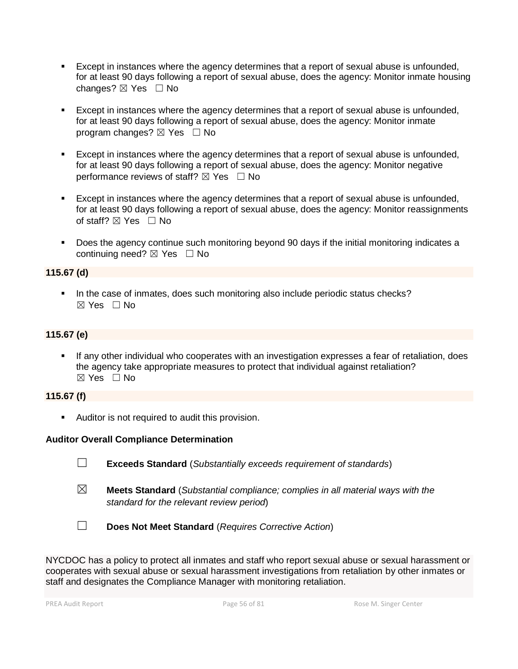- **Except in instances where the agency determines that a report of sexual abuse is unfounded,** for at least 90 days following a report of sexual abuse, does the agency: Monitor inmate housing changes? ⊠ Yes □ No
- Except in instances where the agency determines that a report of sexual abuse is unfounded, for at least 90 days following a report of sexual abuse, does the agency: Monitor inmate program changes?  $\boxtimes$  Yes  $\Box$  No
- Except in instances where the agency determines that a report of sexual abuse is unfounded, for at least 90 days following a report of sexual abuse, does the agency: Monitor negative performance reviews of staff?  $\boxtimes$  Yes  $\Box$  No
- **Except in instances where the agency determines that a report of sexual abuse is unfounded,** for at least 90 days following a report of sexual abuse, does the agency: Monitor reassignments of staff?  $\boxtimes$  Yes  $\Box$  No
- Does the agency continue such monitoring beyond 90 days if the initial monitoring indicates a continuing need? ⊠ Yes □ No

# **115.67 (d)**

■ In the case of inmates, does such monitoring also include periodic status checks?  $\boxtimes$  Yes  $\Box$  No

# **115.67 (e)**

If any other individual who cooperates with an investigation expresses a fear of retaliation, does the agency take appropriate measures to protect that individual against retaliation?  $\boxtimes$  Yes  $\Box$  No

# **115.67 (f)**

**EXEC** Auditor is not required to audit this provision.

# **Auditor Overall Compliance Determination**

- ☐ **Exceeds Standard** (*Substantially exceeds requirement of standards*)
- ☒ **Meets Standard** (*Substantial compliance; complies in all material ways with the standard for the relevant review period*)
- ☐ **Does Not Meet Standard** (*Requires Corrective Action*)

NYCDOC has a policy to protect all inmates and staff who report sexual abuse or sexual harassment or cooperates with sexual abuse or sexual harassment investigations from retaliation by other inmates or staff and designates the Compliance Manager with monitoring retaliation.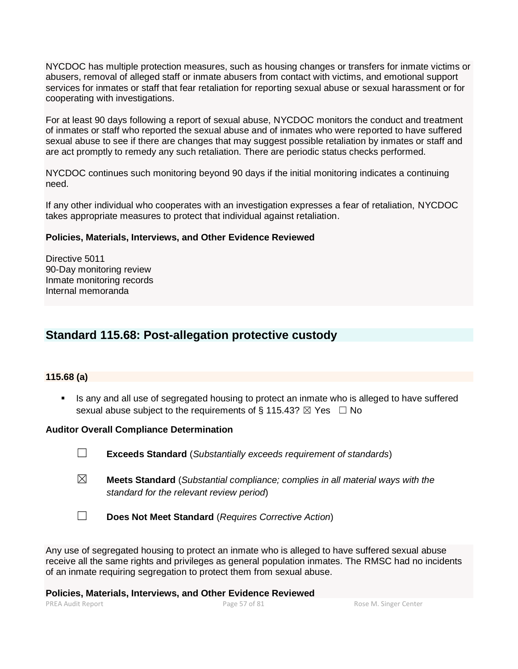NYCDOC has multiple protection measures, such as housing changes or transfers for inmate victims or abusers, removal of alleged staff or inmate abusers from contact with victims, and emotional support services for inmates or staff that fear retaliation for reporting sexual abuse or sexual harassment or for cooperating with investigations.

For at least 90 days following a report of sexual abuse, NYCDOC monitors the conduct and treatment of inmates or staff who reported the sexual abuse and of inmates who were reported to have suffered sexual abuse to see if there are changes that may suggest possible retaliation by inmates or staff and are act promptly to remedy any such retaliation. There are periodic status checks performed.

NYCDOC continues such monitoring beyond 90 days if the initial monitoring indicates a continuing need.

If any other individual who cooperates with an investigation expresses a fear of retaliation, NYCDOC takes appropriate measures to protect that individual against retaliation.

### **Policies, Materials, Interviews, and Other Evidence Reviewed**

Directive 5011 90-Day monitoring review Inmate monitoring records Internal memoranda

# **Standard 115.68: Post-allegation protective custody**

### **115.68 (a)**

**EXECT** Is any and all use of segregated housing to protect an inmate who is alleged to have suffered sexual abuse subject to the requirements of § 115.43?  $\boxtimes$  Yes  $\Box$  No

### **Auditor Overall Compliance Determination**

☐ **Exceeds Standard** (*Substantially exceeds requirement of standards*)

- ☒ **Meets Standard** (*Substantial compliance; complies in all material ways with the standard for the relevant review period*)
- ☐ **Does Not Meet Standard** (*Requires Corrective Action*)

Any use of segregated housing to protect an inmate who is alleged to have suffered sexual abuse receive all the same rights and privileges as general population inmates. The RMSC had no incidents of an inmate requiring segregation to protect them from sexual abuse.

**Policies, Materials, Interviews, and Other Evidence Reviewed**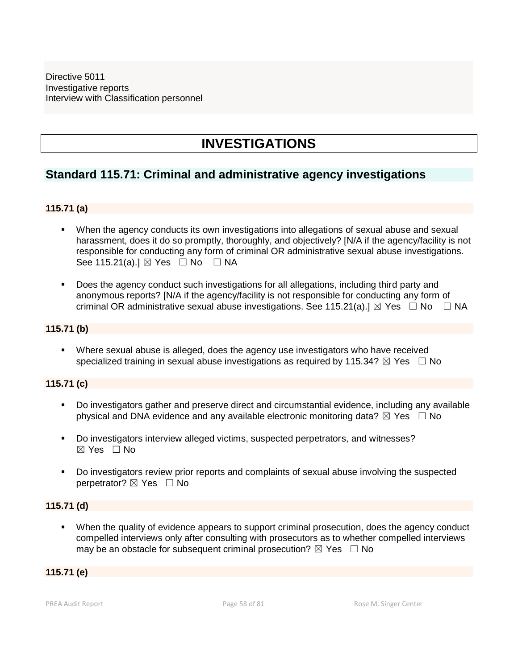# **INVESTIGATIONS**

# **Standard 115.71: Criminal and administrative agency investigations**

# **115.71 (a)**

- When the agency conducts its own investigations into allegations of sexual abuse and sexual harassment, does it do so promptly, thoroughly, and objectively? [N/A if the agency/facility is not responsible for conducting any form of criminal OR administrative sexual abuse investigations. See 115.21(a).] ⊠ Yes □ No □ NA
- Does the agency conduct such investigations for all allegations, including third party and anonymous reports? [N/A if the agency/facility is not responsible for conducting any form of criminal OR administrative sexual abuse investigations. See 115.21(a).]  $\boxtimes$  Yes  $\Box$  No  $\Box$  NA

### **115.71 (b)**

**•** Where sexual abuse is alleged, does the agency use investigators who have received specialized training in sexual abuse investigations as required by 115.34?  $\boxtimes$  Yes  $\Box$  No

# **115.71 (c)**

- Do investigators gather and preserve direct and circumstantial evidence, including any available physical and DNA evidence and any available electronic monitoring data?  $\boxtimes$  Yes  $\Box$  No
- Do investigators interview alleged victims, suspected perpetrators, and witnesses?  $\boxtimes$  Yes  $\Box$  No
- Do investigators review prior reports and complaints of sexual abuse involving the suspected perpetrator? ⊠ Yes □ No

# **115.71 (d)**

When the quality of evidence appears to support criminal prosecution, does the agency conduct compelled interviews only after consulting with prosecutors as to whether compelled interviews may be an obstacle for subsequent criminal prosecution?  $\boxtimes$  Yes  $\Box$  No

# **115.71 (e)**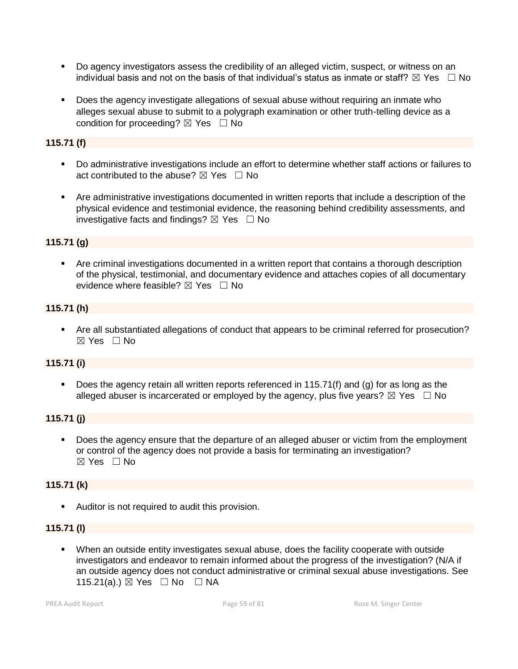- Do agency investigators assess the credibility of an alleged victim, suspect, or witness on an individual basis and not on the basis of that individual's status as inmate or staff?  $\boxtimes$  Yes  $\Box$  No
- Does the agency investigate allegations of sexual abuse without requiring an inmate who alleges sexual abuse to submit to a polygraph examination or other truth-telling device as a condition for proceeding?  $\boxtimes$  Yes  $\Box$  No

# **115.71 (f)**

- Do administrative investigations include an effort to determine whether staff actions or failures to act contributed to the abuse?  $\boxtimes$  Yes  $\Box$  No
- Are administrative investigations documented in written reports that include a description of the physical evidence and testimonial evidence, the reasoning behind credibility assessments, and investigative facts and findings?  $\boxtimes$  Yes  $\Box$  No

# **115.71 (g)**

■ Are criminal investigations documented in a written report that contains a thorough description of the physical, testimonial, and documentary evidence and attaches copies of all documentary evidence where feasible?  $\boxtimes$  Yes  $\Box$  No

# **115.71 (h)**

■ Are all substantiated allegations of conduct that appears to be criminal referred for prosecution?  $\boxtimes$  Yes  $\Box$  No

# **115.71 (i)**

Does the agency retain all written reports referenced in 115.71(f) and (g) for as long as the alleged abuser is incarcerated or employed by the agency, plus five years?  $\boxtimes$  Yes  $\Box$  No

# **115.71 (j)**

Does the agency ensure that the departure of an alleged abuser or victim from the employment or control of the agency does not provide a basis for terminating an investigation?  $\boxtimes$  Yes  $\Box$  No

# **115.71 (k)**

■ Auditor is not required to audit this provision.

# **115.71 (l)**

▪ When an outside entity investigates sexual abuse, does the facility cooperate with outside investigators and endeavor to remain informed about the progress of the investigation? (N/A if an outside agency does not conduct administrative or criminal sexual abuse investigations. See 115.21(a).) ⊠ Yes □ No □ NA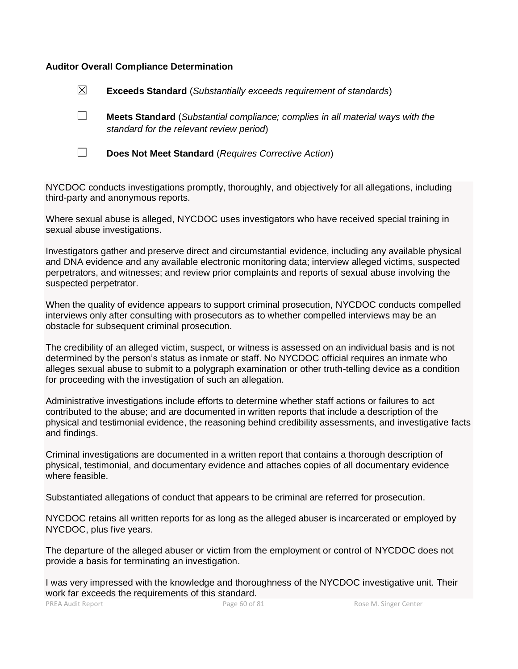### **Auditor Overall Compliance Determination**

| $\boxtimes$ | <b>Exceeds Standard</b> (Substantially exceeds requirement of standards)                                                          |
|-------------|-----------------------------------------------------------------------------------------------------------------------------------|
|             | <b>Meets Standard</b> (Substantial compliance; complies in all material ways with the<br>standard for the relevant review period) |
|             | Does Not Meet Standard (Requires Corrective Action)                                                                               |

NYCDOC conducts investigations promptly, thoroughly, and objectively for all allegations, including third-party and anonymous reports.

Where sexual abuse is alleged, NYCDOC uses investigators who have received special training in sexual abuse investigations.

Investigators gather and preserve direct and circumstantial evidence, including any available physical and DNA evidence and any available electronic monitoring data; interview alleged victims, suspected perpetrators, and witnesses; and review prior complaints and reports of sexual abuse involving the suspected perpetrator.

When the quality of evidence appears to support criminal prosecution, NYCDOC conducts compelled interviews only after consulting with prosecutors as to whether compelled interviews may be an obstacle for subsequent criminal prosecution.

The credibility of an alleged victim, suspect, or witness is assessed on an individual basis and is not determined by the person's status as inmate or staff. No NYCDOC official requires an inmate who alleges sexual abuse to submit to a polygraph examination or other truth-telling device as a condition for proceeding with the investigation of such an allegation.

Administrative investigations include efforts to determine whether staff actions or failures to act contributed to the abuse; and are documented in written reports that include a description of the physical and testimonial evidence, the reasoning behind credibility assessments, and investigative facts and findings.

Criminal investigations are documented in a written report that contains a thorough description of physical, testimonial, and documentary evidence and attaches copies of all documentary evidence where feasible.

Substantiated allegations of conduct that appears to be criminal are referred for prosecution.

NYCDOC retains all written reports for as long as the alleged abuser is incarcerated or employed by NYCDOC, plus five years.

The departure of the alleged abuser or victim from the employment or control of NYCDOC does not provide a basis for terminating an investigation.

I was very impressed with the knowledge and thoroughness of the NYCDOC investigative unit. Their work far exceeds the requirements of this standard.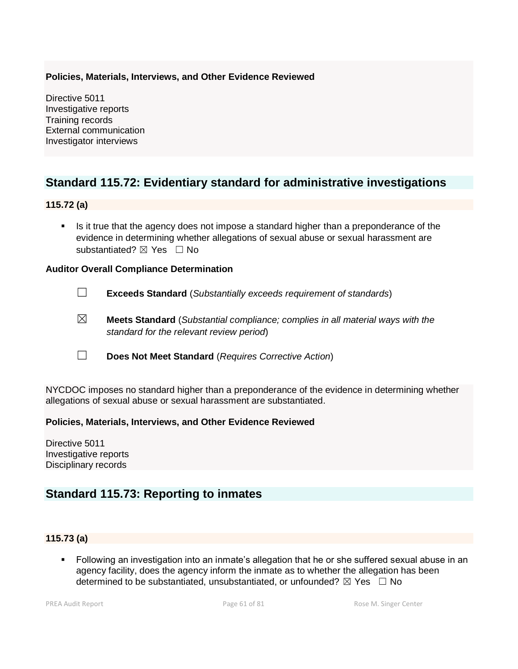# **Policies, Materials, Interviews, and Other Evidence Reviewed**

Directive 5011 Investigative reports Training records External communication Investigator interviews

# **Standard 115.72: Evidentiary standard for administrative investigations**

# **115.72 (a)**

Is it true that the agency does not impose a standard higher than a preponderance of the evidence in determining whether allegations of sexual abuse or sexual harassment are substantiated? **⊠** Yes □ No

### **Auditor Overall Compliance Determination**

- ☐ **Exceeds Standard** (*Substantially exceeds requirement of standards*)
- ☒ **Meets Standard** (*Substantial compliance; complies in all material ways with the standard for the relevant review period*)
- ☐ **Does Not Meet Standard** (*Requires Corrective Action*)

NYCDOC imposes no standard higher than a preponderance of the evidence in determining whether allegations of sexual abuse or sexual harassment are substantiated.

### **Policies, Materials, Interviews, and Other Evidence Reviewed**

Directive 5011 Investigative reports Disciplinary records

# **Standard 115.73: Reporting to inmates**

# **115.73 (a)**

▪ Following an investigation into an inmate's allegation that he or she suffered sexual abuse in an agency facility, does the agency inform the inmate as to whether the allegation has been determined to be substantiated, unsubstantiated, or unfounded?  $\boxtimes$  Yes  $\Box$  No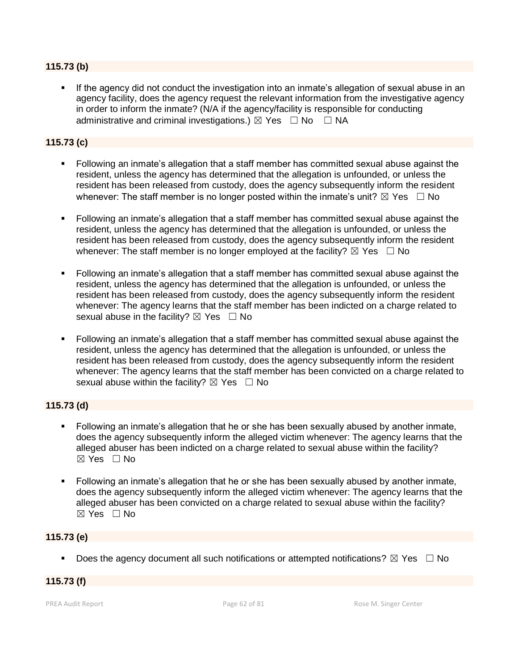# **115.73 (b)**

If the agency did not conduct the investigation into an inmate's allegation of sexual abuse in an agency facility, does the agency request the relevant information from the investigative agency in order to inform the inmate? (N/A if the agency/facility is responsible for conducting administrative and criminal investigations.)  $\boxtimes$  Yes  $\Box$  No  $\Box$  NA

# **115.73 (c)**

- Following an inmate's allegation that a staff member has committed sexual abuse against the resident, unless the agency has determined that the allegation is unfounded, or unless the resident has been released from custody, does the agency subsequently inform the resident whenever: The staff member is no longer posted within the inmate's unit?  $\boxtimes$  Yes  $\Box$  No
- Following an inmate's allegation that a staff member has committed sexual abuse against the resident, unless the agency has determined that the allegation is unfounded, or unless the resident has been released from custody, does the agency subsequently inform the resident whenever: The staff member is no longer employed at the facility?  $\boxtimes$  Yes  $\Box$  No
- Following an inmate's allegation that a staff member has committed sexual abuse against the resident, unless the agency has determined that the allegation is unfounded, or unless the resident has been released from custody, does the agency subsequently inform the resident whenever: The agency learns that the staff member has been indicted on a charge related to sexual abuse in the facility?  $\boxtimes$  Yes  $\Box$  No
- Following an inmate's allegation that a staff member has committed sexual abuse against the resident, unless the agency has determined that the allegation is unfounded, or unless the resident has been released from custody, does the agency subsequently inform the resident whenever: The agency learns that the staff member has been convicted on a charge related to sexual abuse within the facility?  $\boxtimes$  Yes  $\Box$  No

# **115.73 (d)**

- Following an inmate's allegation that he or she has been sexually abused by another inmate, does the agency subsequently inform the alleged victim whenever: The agency learns that the alleged abuser has been indicted on a charge related to sexual abuse within the facility?  $\boxtimes$  Yes  $\Box$  No
- Following an inmate's allegation that he or she has been sexually abused by another inmate, does the agency subsequently inform the alleged victim whenever: The agency learns that the alleged abuser has been convicted on a charge related to sexual abuse within the facility?  $\boxtimes$  Yes  $\Box$  No

# **115.73 (e)**

Does the agency document all such notifications or attempted notifications?  $\boxtimes$  Yes  $\Box$  No

# **115.73 (f)**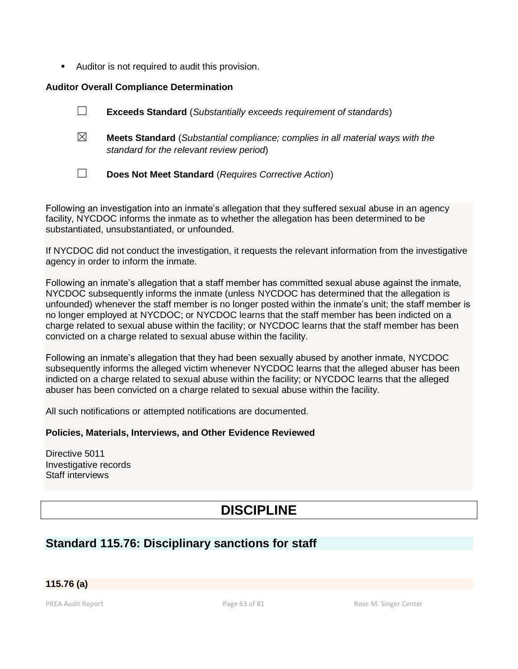■ Auditor is not required to audit this provision.

### **Auditor Overall Compliance Determination**

|             | <b>Exceeds Standard</b> (Substantially exceeds requirement of standards)                                                          |
|-------------|-----------------------------------------------------------------------------------------------------------------------------------|
| $\boxtimes$ | <b>Meets Standard</b> (Substantial compliance; complies in all material ways with the<br>standard for the relevant review period) |
|             | Does Not Meet Standard (Requires Corrective Action)                                                                               |

Following an investigation into an inmate's allegation that they suffered sexual abuse in an agency facility, NYCDOC informs the inmate as to whether the allegation has been determined to be substantiated, unsubstantiated, or unfounded.

If NYCDOC did not conduct the investigation, it requests the relevant information from the investigative agency in order to inform the inmate.

Following an inmate's allegation that a staff member has committed sexual abuse against the inmate, NYCDOC subsequently informs the inmate (unless NYCDOC has determined that the allegation is unfounded) whenever the staff member is no longer posted within the inmate's unit; the staff member is no longer employed at NYCDOC; or NYCDOC learns that the staff member has been indicted on a charge related to sexual abuse within the facility; or NYCDOC learns that the staff member has been convicted on a charge related to sexual abuse within the facility.

Following an inmate's allegation that they had been sexually abused by another inmate, NYCDOC subsequently informs the alleged victim whenever NYCDOC learns that the alleged abuser has been indicted on a charge related to sexual abuse within the facility; or NYCDOC learns that the alleged abuser has been convicted on a charge related to sexual abuse within the facility.

All such notifications or attempted notifications are documented.

# **Policies, Materials, Interviews, and Other Evidence Reviewed**

Directive 5011 Investigative records Staff interviews

# **DISCIPLINE**

# **Standard 115.76: Disciplinary sanctions for staff**

**115.76 (a)**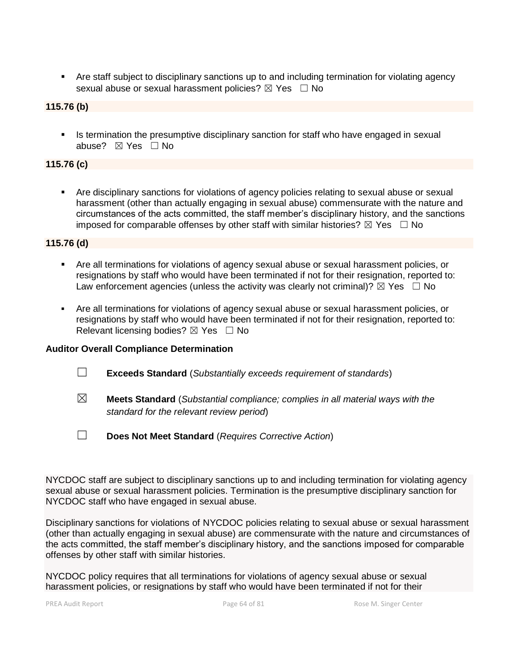■ Are staff subject to disciplinary sanctions up to and including termination for violating agency sexual abuse or sexual harassment policies?  $\boxtimes$  Yes  $\Box$  No

### **115.76 (b)**

**EXTE:** Is termination the presumptive disciplinary sanction for staff who have engaged in sexual abuse? ☒ Yes ☐ No

### **115.76 (c)**

▪ Are disciplinary sanctions for violations of agency policies relating to sexual abuse or sexual harassment (other than actually engaging in sexual abuse) commensurate with the nature and circumstances of the acts committed, the staff member's disciplinary history, and the sanctions imposed for comparable offenses by other staff with similar histories?  $\boxtimes$  Yes  $\Box$  No

**115.76 (d)**

- **EXECT** Are all terminations for violations of agency sexual abuse or sexual harassment policies, or resignations by staff who would have been terminated if not for their resignation, reported to: Law enforcement agencies (unless the activity was clearly not criminal)?  $\boxtimes$  Yes  $\Box$  No
- Are all terminations for violations of agency sexual abuse or sexual harassment policies, or resignations by staff who would have been terminated if not for their resignation, reported to: Relevant licensing bodies?  $\boxtimes$  Yes  $\Box$  No

### **Auditor Overall Compliance Determination**

- ☐ **Exceeds Standard** (*Substantially exceeds requirement of standards*)
- ☒ **Meets Standard** (*Substantial compliance; complies in all material ways with the standard for the relevant review period*)
- ☐ **Does Not Meet Standard** (*Requires Corrective Action*)

NYCDOC staff are subject to disciplinary sanctions up to and including termination for violating agency sexual abuse or sexual harassment policies. Termination is the presumptive disciplinary sanction for NYCDOC staff who have engaged in sexual abuse.

Disciplinary sanctions for violations of NYCDOC policies relating to sexual abuse or sexual harassment (other than actually engaging in sexual abuse) are commensurate with the nature and circumstances of the acts committed, the staff member's disciplinary history, and the sanctions imposed for comparable offenses by other staff with similar histories.

NYCDOC policy requires that all terminations for violations of agency sexual abuse or sexual harassment policies, or resignations by staff who would have been terminated if not for their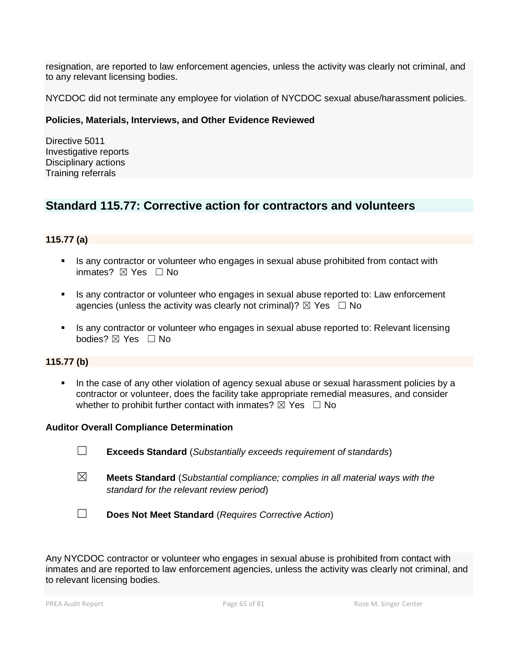resignation, are reported to law enforcement agencies, unless the activity was clearly not criminal, and to any relevant licensing bodies.

NYCDOC did not terminate any employee for violation of NYCDOC sexual abuse/harassment policies.

### **Policies, Materials, Interviews, and Other Evidence Reviewed**

Directive 5011 Investigative reports Disciplinary actions Training referrals

# **Standard 115.77: Corrective action for contractors and volunteers**

# **115.77 (a)**

- **.** Is any contractor or volunteer who engages in sexual abuse prohibited from contact with inmates?  $⊠$  Yes □ No
- **EXECT** Is any contractor or volunteer who engages in sexual abuse reported to: Law enforcement agencies (unless the activity was clearly not criminal)?  $\boxtimes$  Yes  $\Box$  No
- Is any contractor or volunteer who engages in sexual abuse reported to: Relevant licensing bodies?  $\boxtimes$  Yes  $\Box$  No

# **115.77 (b)**

In the case of any other violation of agency sexual abuse or sexual harassment policies by a contractor or volunteer, does the facility take appropriate remedial measures, and consider whether to prohibit further contact with inmates?  $\boxtimes$  Yes  $\Box$  No

### **Auditor Overall Compliance Determination**

- ☐ **Exceeds Standard** (*Substantially exceeds requirement of standards*)
- ☒ **Meets Standard** (*Substantial compliance; complies in all material ways with the standard for the relevant review period*)
- ☐ **Does Not Meet Standard** (*Requires Corrective Action*)

Any NYCDOC contractor or volunteer who engages in sexual abuse is prohibited from contact with inmates and are reported to law enforcement agencies, unless the activity was clearly not criminal, and to relevant licensing bodies.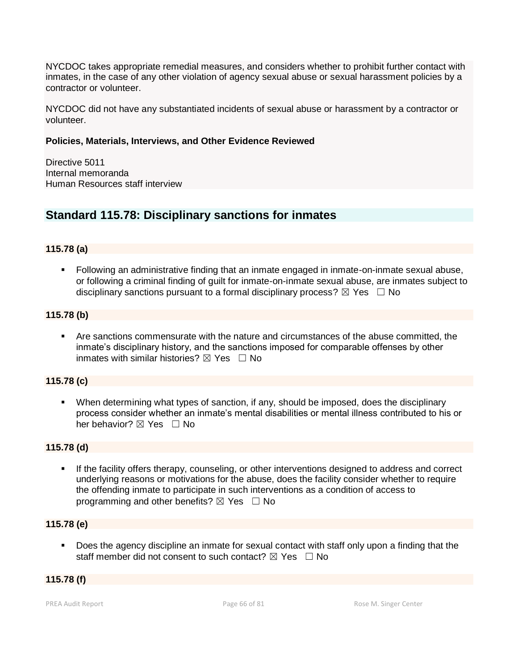NYCDOC takes appropriate remedial measures, and considers whether to prohibit further contact with inmates, in the case of any other violation of agency sexual abuse or sexual harassment policies by a contractor or volunteer.

NYCDOC did not have any substantiated incidents of sexual abuse or harassment by a contractor or volunteer.

# **Policies, Materials, Interviews, and Other Evidence Reviewed**

Directive 5011 Internal memoranda Human Resources staff interview

# **Standard 115.78: Disciplinary sanctions for inmates**

### **115.78 (a)**

▪ Following an administrative finding that an inmate engaged in inmate-on-inmate sexual abuse, or following a criminal finding of guilt for inmate-on-inmate sexual abuse, are inmates subject to disciplinary sanctions pursuant to a formal disciplinary process?  $\boxtimes$  Yes  $\Box$  No

### **115.78 (b)**

▪ Are sanctions commensurate with the nature and circumstances of the abuse committed, the inmate's disciplinary history, and the sanctions imposed for comparable offenses by other inmates with similar histories?  $\boxtimes$  Yes  $\Box$  No

# **115.78 (c)**

■ When determining what types of sanction, if any, should be imposed, does the disciplinary process consider whether an inmate's mental disabilities or mental illness contributed to his or her behavior?  $\boxtimes$  Yes  $\Box$  No

### **115.78 (d)**

**EXT** If the facility offers therapy, counseling, or other interventions designed to address and correct underlying reasons or motivations for the abuse, does the facility consider whether to require the offending inmate to participate in such interventions as a condition of access to programming and other benefits?  $\boxtimes$  Yes  $\Box$  No

### **115.78 (e)**

Does the agency discipline an inmate for sexual contact with staff only upon a finding that the staff member did not consent to such contact?  $\boxtimes$  Yes  $\Box$  No

### **115.78 (f)**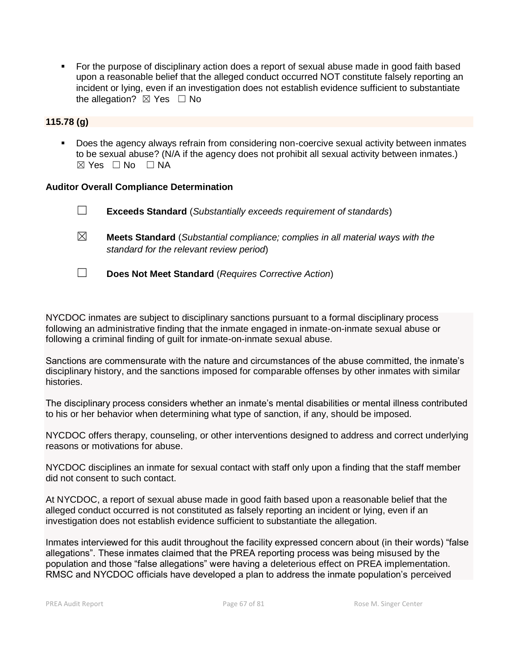■ For the purpose of disciplinary action does a report of sexual abuse made in good faith based upon a reasonable belief that the alleged conduct occurred NOT constitute falsely reporting an incident or lying, even if an investigation does not establish evidence sufficient to substantiate the allegation?  $\boxtimes$  Yes  $\Box$  No

# **115.78 (g)**

■ Does the agency always refrain from considering non-coercive sexual activity between inmates to be sexual abuse? (N/A if the agency does not prohibit all sexual activity between inmates.)  $\boxtimes$  Yes  $\Box$  No  $\Box$  NA

### **Auditor Overall Compliance Determination**

- ☐ **Exceeds Standard** (*Substantially exceeds requirement of standards*)
- ☒ **Meets Standard** (*Substantial compliance; complies in all material ways with the standard for the relevant review period*)
- ☐ **Does Not Meet Standard** (*Requires Corrective Action*)

NYCDOC inmates are subject to disciplinary sanctions pursuant to a formal disciplinary process following an administrative finding that the inmate engaged in inmate-on-inmate sexual abuse or following a criminal finding of guilt for inmate-on-inmate sexual abuse.

Sanctions are commensurate with the nature and circumstances of the abuse committed, the inmate's disciplinary history, and the sanctions imposed for comparable offenses by other inmates with similar histories.

The disciplinary process considers whether an inmate's mental disabilities or mental illness contributed to his or her behavior when determining what type of sanction, if any, should be imposed.

NYCDOC offers therapy, counseling, or other interventions designed to address and correct underlying reasons or motivations for abuse.

NYCDOC disciplines an inmate for sexual contact with staff only upon a finding that the staff member did not consent to such contact.

At NYCDOC, a report of sexual abuse made in good faith based upon a reasonable belief that the alleged conduct occurred is not constituted as falsely reporting an incident or lying, even if an investigation does not establish evidence sufficient to substantiate the allegation.

Inmates interviewed for this audit throughout the facility expressed concern about (in their words) "false allegations". These inmates claimed that the PREA reporting process was being misused by the population and those "false allegations" were having a deleterious effect on PREA implementation. RMSC and NYCDOC officials have developed a plan to address the inmate population's perceived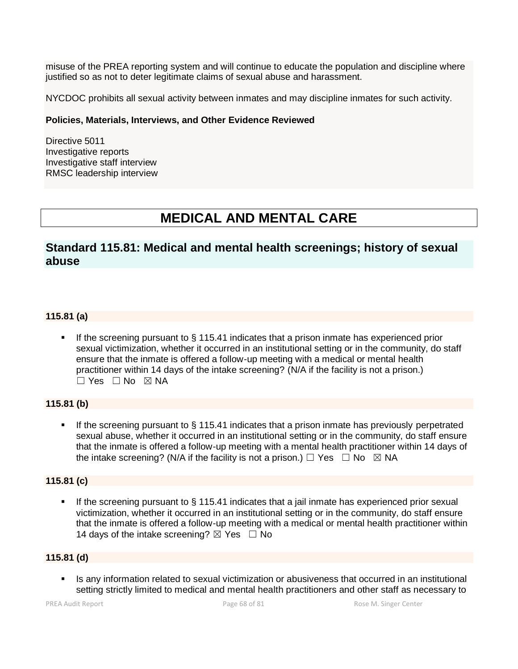misuse of the PREA reporting system and will continue to educate the population and discipline where justified so as not to deter legitimate claims of sexual abuse and harassment.

NYCDOC prohibits all sexual activity between inmates and may discipline inmates for such activity.

### **Policies, Materials, Interviews, and Other Evidence Reviewed**

Directive 5011 Investigative reports Investigative staff interview RMSC leadership interview

# **MEDICAL AND MENTAL CARE**

# **Standard 115.81: Medical and mental health screenings; history of sexual abuse**

# **115.81 (a)**

If the screening pursuant to  $\S$  115.41 indicates that a prison inmate has experienced prior sexual victimization, whether it occurred in an institutional setting or in the community, do staff ensure that the inmate is offered a follow-up meeting with a medical or mental health practitioner within 14 days of the intake screening? (N/A if the facility is not a prison.) ☐ Yes ☐ No ☒ NA

# **115.81 (b)**

If the screening pursuant to  $\S$  115.41 indicates that a prison inmate has previously perpetrated sexual abuse, whether it occurred in an institutional setting or in the community, do staff ensure that the inmate is offered a follow-up meeting with a mental health practitioner within 14 days of the intake screening? (N/A if the facility is not a prison.)  $\Box$  Yes  $\Box$  No  $\boxtimes$  NA

### **115.81 (c)**

**■** If the screening pursuant to  $\S$  115.41 indicates that a jail inmate has experienced prior sexual victimization, whether it occurred in an institutional setting or in the community, do staff ensure that the inmate is offered a follow-up meeting with a medical or mental health practitioner within 14 days of the intake screening?  $\boxtimes$  Yes  $\Box$  No

# **115.81 (d)**

Is any information related to sexual victimization or abusiveness that occurred in an institutional setting strictly limited to medical and mental health practitioners and other staff as necessary to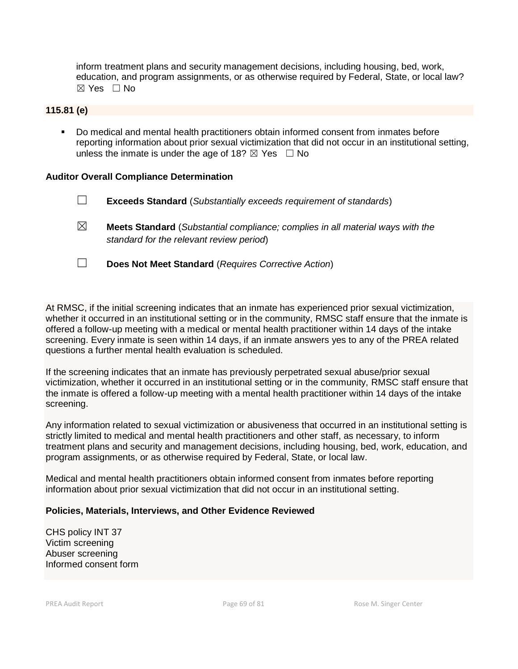inform treatment plans and security management decisions, including housing, bed, work, education, and program assignments, or as otherwise required by Federal, State, or local law?  $\boxtimes$  Yes  $\Box$  No

### **115.81 (e)**

Do medical and mental health practitioners obtain informed consent from inmates before reporting information about prior sexual victimization that did not occur in an institutional setting, unless the inmate is under the age of 18?  $\boxtimes$  Yes  $\Box$  No

### **Auditor Overall Compliance Determination**

- ☐ **Exceeds Standard** (*Substantially exceeds requirement of standards*)
- ☒ **Meets Standard** (*Substantial compliance; complies in all material ways with the standard for the relevant review period*)
- ☐ **Does Not Meet Standard** (*Requires Corrective Action*)

At RMSC, if the initial screening indicates that an inmate has experienced prior sexual victimization, whether it occurred in an institutional setting or in the community, RMSC staff ensure that the inmate is offered a follow-up meeting with a medical or mental health practitioner within 14 days of the intake screening. Every inmate is seen within 14 days, if an inmate answers yes to any of the PREA related questions a further mental health evaluation is scheduled.

If the screening indicates that an inmate has previously perpetrated sexual abuse/prior sexual victimization, whether it occurred in an institutional setting or in the community, RMSC staff ensure that the inmate is offered a follow-up meeting with a mental health practitioner within 14 days of the intake screening.

Any information related to sexual victimization or abusiveness that occurred in an institutional setting is strictly limited to medical and mental health practitioners and other staff, as necessary, to inform treatment plans and security and management decisions, including housing, bed, work, education, and program assignments, or as otherwise required by Federal, State, or local law.

Medical and mental health practitioners obtain informed consent from inmates before reporting information about prior sexual victimization that did not occur in an institutional setting.

### **Policies, Materials, Interviews, and Other Evidence Reviewed**

CHS policy INT 37 Victim screening Abuser screening Informed consent form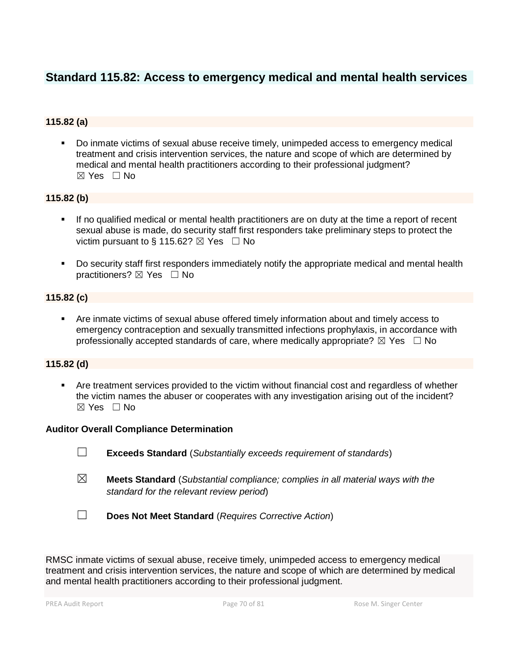# **Standard 115.82: Access to emergency medical and mental health services**

# **115.82 (a)**

Do inmate victims of sexual abuse receive timely, unimpeded access to emergency medical treatment and crisis intervention services, the nature and scope of which are determined by medical and mental health practitioners according to their professional judgment?  $\boxtimes$  Yes  $\Box$  No

# **115.82 (b)**

- If no qualified medical or mental health practitioners are on duty at the time a report of recent sexual abuse is made, do security staff first responders take preliminary steps to protect the victim pursuant to § 115.62?  $\boxtimes$  Yes  $\Box$  No
- Do security staff first responders immediately notify the appropriate medical and mental health practitioners? ⊠ Yes □ No

# **115.82 (c)**

Are inmate victims of sexual abuse offered timely information about and timely access to emergency contraception and sexually transmitted infections prophylaxis, in accordance with professionally accepted standards of care, where medically appropriate?  $\boxtimes$  Yes  $\Box$  No

# **115.82 (d)**

Are treatment services provided to the victim without financial cost and regardless of whether the victim names the abuser or cooperates with any investigation arising out of the incident?  $\boxtimes$  Yes  $\Box$  No

### **Auditor Overall Compliance Determination**

- ☐ **Exceeds Standard** (*Substantially exceeds requirement of standards*)
- ☒ **Meets Standard** (*Substantial compliance; complies in all material ways with the standard for the relevant review period*)
- ☐ **Does Not Meet Standard** (*Requires Corrective Action*)

RMSC inmate victims of sexual abuse, receive timely, unimpeded access to emergency medical treatment and crisis intervention services, the nature and scope of which are determined by medical and mental health practitioners according to their professional judgment.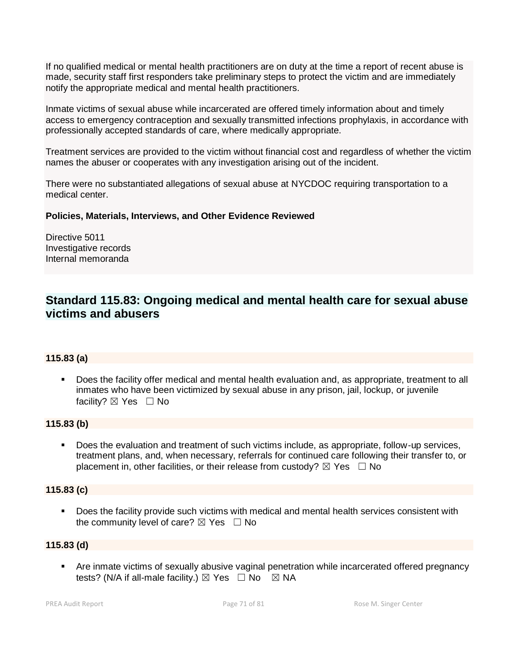If no qualified medical or mental health practitioners are on duty at the time a report of recent abuse is made, security staff first responders take preliminary steps to protect the victim and are immediately notify the appropriate medical and mental health practitioners.

Inmate victims of sexual abuse while incarcerated are offered timely information about and timely access to emergency contraception and sexually transmitted infections prophylaxis, in accordance with professionally accepted standards of care, where medically appropriate.

Treatment services are provided to the victim without financial cost and regardless of whether the victim names the abuser or cooperates with any investigation arising out of the incident.

There were no substantiated allegations of sexual abuse at NYCDOC requiring transportation to a medical center.

### **Policies, Materials, Interviews, and Other Evidence Reviewed**

Directive 5011 Investigative records Internal memoranda

# **Standard 115.83: Ongoing medical and mental health care for sexual abuse victims and abusers**

### **115.83 (a)**

▪ Does the facility offer medical and mental health evaluation and, as appropriate, treatment to all inmates who have been victimized by sexual abuse in any prison, jail, lockup, or juvenile facility?  $\boxtimes$  Yes  $\Box$  No

# **115.83 (b)**

**•** Does the evaluation and treatment of such victims include, as appropriate, follow-up services, treatment plans, and, when necessary, referrals for continued care following their transfer to, or placement in, other facilities, or their release from custody?  $\boxtimes$  Yes  $\Box$  No

### **115.83 (c)**

■ Does the facility provide such victims with medical and mental health services consistent with the community level of care?  $\boxtimes$  Yes  $\Box$  No

### **115.83 (d)**

■ Are inmate victims of sexually abusive vaginal penetration while incarcerated offered pregnancy tests? (N/A if all-male facility.)  $\boxtimes$  Yes  $\Box$  No  $\boxtimes$  NA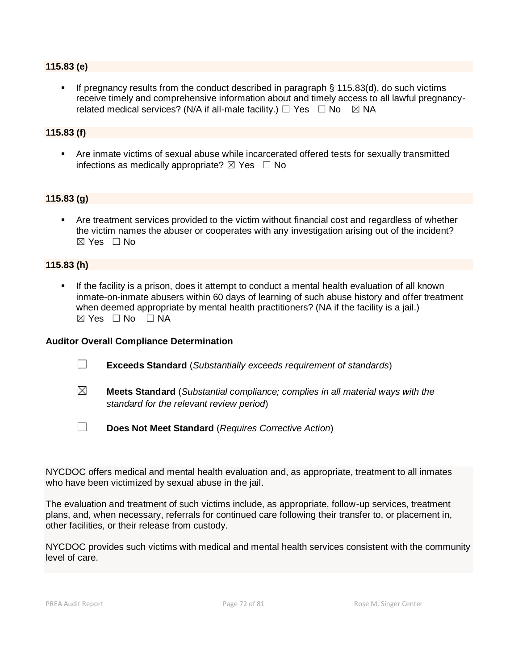### **115.83 (e)**

**•** If pregnancy results from the conduct described in paragraph  $\S$  115.83(d), do such victims receive timely and comprehensive information about and timely access to all lawful pregnancyrelated medical services? (N/A if all-male facility.)  $\Box$  Yes  $\Box$  No  $\boxtimes$  NA

### **115.83 (f)**

**EXECT** Are inmate victims of sexual abuse while incarcerated offered tests for sexually transmitted infections as medically appropriate?  $\boxtimes$  Yes  $\Box$  No

### **115.83 (g)**

Are treatment services provided to the victim without financial cost and regardless of whether the victim names the abuser or cooperates with any investigation arising out of the incident?  $\boxtimes$  Yes  $\Box$  No

### **115.83 (h)**

**.** If the facility is a prison, does it attempt to conduct a mental health evaluation of all known inmate-on-inmate abusers within 60 days of learning of such abuse history and offer treatment when deemed appropriate by mental health practitioners? (NA if the facility is a jail.)  $\boxtimes$  Yes  $\Box$  No  $\Box$  NA

#### **Auditor Overall Compliance Determination**

- ☐ **Exceeds Standard** (*Substantially exceeds requirement of standards*)
- ☒ **Meets Standard** (*Substantial compliance; complies in all material ways with the standard for the relevant review period*)
- ☐ **Does Not Meet Standard** (*Requires Corrective Action*)

NYCDOC offers medical and mental health evaluation and, as appropriate, treatment to all inmates who have been victimized by sexual abuse in the jail.

The evaluation and treatment of such victims include, as appropriate, follow-up services, treatment plans, and, when necessary, referrals for continued care following their transfer to, or placement in, other facilities, or their release from custody.

NYCDOC provides such victims with medical and mental health services consistent with the community level of care.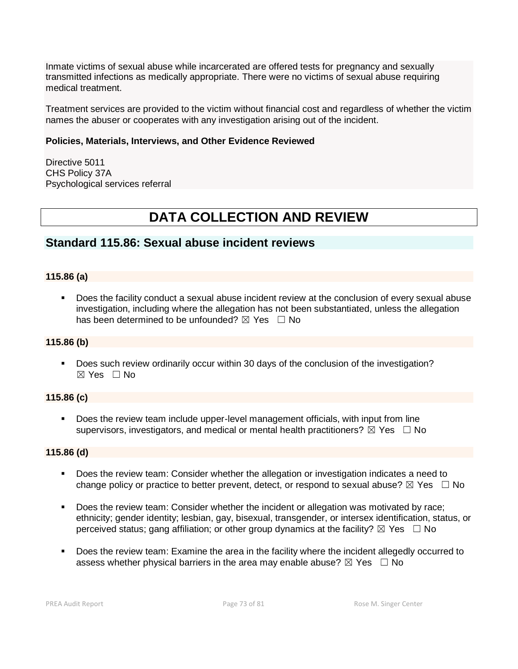Inmate victims of sexual abuse while incarcerated are offered tests for pregnancy and sexually transmitted infections as medically appropriate. There were no victims of sexual abuse requiring medical treatment.

Treatment services are provided to the victim without financial cost and regardless of whether the victim names the abuser or cooperates with any investigation arising out of the incident.

### **Policies, Materials, Interviews, and Other Evidence Reviewed**

Directive 5011 CHS Policy 37A Psychological services referral

# **DATA COLLECTION AND REVIEW**

# **Standard 115.86: Sexual abuse incident reviews**

# **115.86 (a)**

Does the facility conduct a sexual abuse incident review at the conclusion of every sexual abuse investigation, including where the allegation has not been substantiated, unless the allegation has been determined to be unfounded?  $\boxtimes$  Yes  $\Box$  No

# **115.86 (b)**

▪ Does such review ordinarily occur within 30 days of the conclusion of the investigation?  $\boxtimes$  Yes  $\Box$  No

# **115.86 (c)**

**•** Does the review team include upper-level management officials, with input from line supervisors, investigators, and medical or mental health practitioners?  $\boxtimes$  Yes  $\Box$  No

### **115.86 (d)**

- Does the review team: Consider whether the allegation or investigation indicates a need to change policy or practice to better prevent, detect, or respond to sexual abuse?  $\boxtimes$  Yes  $\Box$  No
- Does the review team: Consider whether the incident or allegation was motivated by race; ethnicity; gender identity; lesbian, gay, bisexual, transgender, or intersex identification, status, or perceived status; gang affiliation; or other group dynamics at the facility?  $\boxtimes$  Yes  $\Box$  No
- Does the review team: Examine the area in the facility where the incident allegedly occurred to assess whether physical barriers in the area may enable abuse?  $\boxtimes$  Yes  $\Box$  No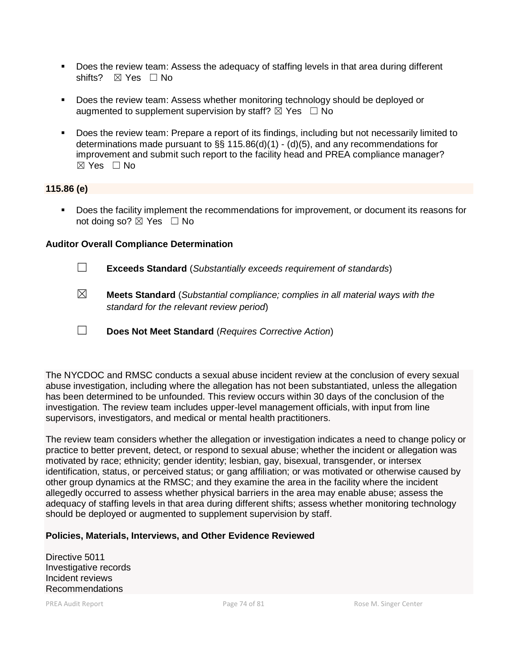- Does the review team: Assess the adequacy of staffing levels in that area during different shifts? ⊠ Yes □ No
- Does the review team: Assess whether monitoring technology should be deployed or augmented to supplement supervision by staff?  $\boxtimes$  Yes  $\Box$  No
- Does the review team: Prepare a report of its findings, including but not necessarily limited to determinations made pursuant to  $\S$ § 115.86(d)(1) - (d)(5), and any recommendations for improvement and submit such report to the facility head and PREA compliance manager?  $\boxtimes$  Yes  $\Box$  No

### **115.86 (e)**

▪ Does the facility implement the recommendations for improvement, or document its reasons for not doing so?  $\boxtimes$  Yes  $\Box$  No

### **Auditor Overall Compliance Determination**

- ☐ **Exceeds Standard** (*Substantially exceeds requirement of standards*)
- ☒ **Meets Standard** (*Substantial compliance; complies in all material ways with the standard for the relevant review period*)
- ☐ **Does Not Meet Standard** (*Requires Corrective Action*)

The NYCDOC and RMSC conducts a sexual abuse incident review at the conclusion of every sexual abuse investigation, including where the allegation has not been substantiated, unless the allegation has been determined to be unfounded. This review occurs within 30 days of the conclusion of the investigation. The review team includes upper-level management officials, with input from line supervisors, investigators, and medical or mental health practitioners.

The review team considers whether the allegation or investigation indicates a need to change policy or practice to better prevent, detect, or respond to sexual abuse; whether the incident or allegation was motivated by race; ethnicity; gender identity; lesbian, gay, bisexual, transgender, or intersex identification, status, or perceived status; or gang affiliation; or was motivated or otherwise caused by other group dynamics at the RMSC; and they examine the area in the facility where the incident allegedly occurred to assess whether physical barriers in the area may enable abuse; assess the adequacy of staffing levels in that area during different shifts; assess whether monitoring technology should be deployed or augmented to supplement supervision by staff.

### **Policies, Materials, Interviews, and Other Evidence Reviewed**

Directive 5011 Investigative records Incident reviews Recommendations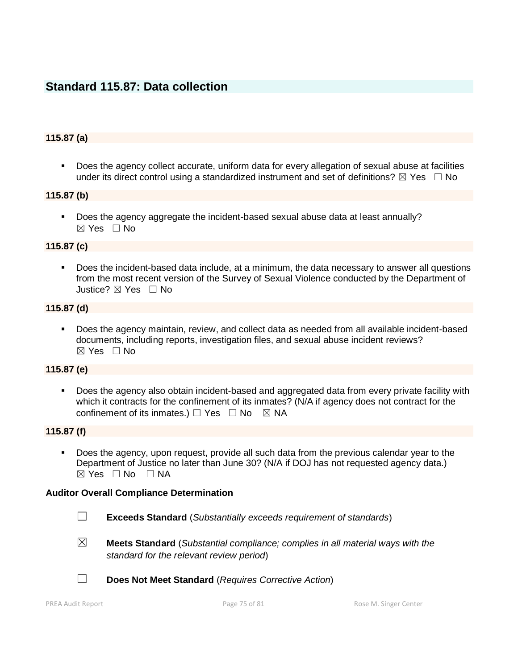# **Standard 115.87: Data collection**

### **115.87 (a)**

■ Does the agency collect accurate, uniform data for every allegation of sexual abuse at facilities under its direct control using a standardized instrument and set of definitions?  $\boxtimes$  Yes  $\Box$  No

### **115.87 (b)**

▪ Does the agency aggregate the incident-based sexual abuse data at least annually?  $\boxtimes$  Yes  $\Box$  No

#### **115.87 (c)**

Does the incident-based data include, at a minimum, the data necessary to answer all questions from the most recent version of the Survey of Sexual Violence conducted by the Department of Justice? ☒ Yes ☐ No

# **115.87 (d)**

Does the agency maintain, review, and collect data as needed from all available incident-based documents, including reports, investigation files, and sexual abuse incident reviews?  $\boxtimes$  Yes  $\Box$  No

### **115.87 (e)**

▪ Does the agency also obtain incident-based and aggregated data from every private facility with which it contracts for the confinement of its inmates? (N/A if agency does not contract for the confinement of its inmates.)  $\Box$  Yes  $\Box$  No  $\boxtimes$  NA

### **115.87 (f)**

Does the agency, upon request, provide all such data from the previous calendar year to the Department of Justice no later than June 30? (N/A if DOJ has not requested agency data.) ☒ Yes ☐ No ☐ NA

#### **Auditor Overall Compliance Determination**

- ☐ **Exceeds Standard** (*Substantially exceeds requirement of standards*)
- ☒ **Meets Standard** (*Substantial compliance; complies in all material ways with the standard for the relevant review period*)
- ☐ **Does Not Meet Standard** (*Requires Corrective Action*)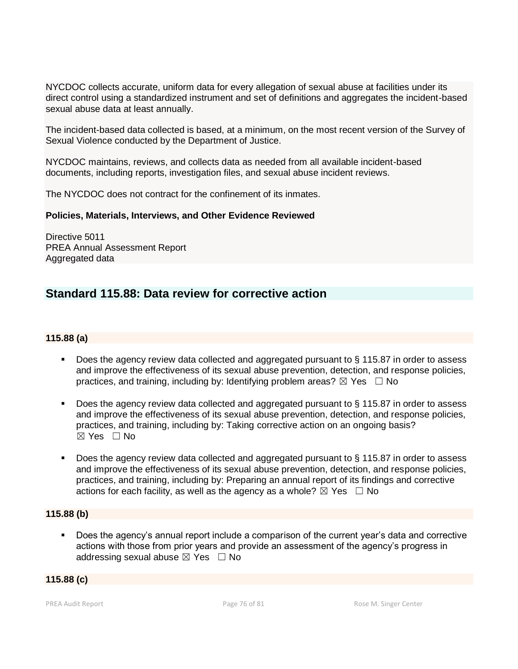NYCDOC collects accurate, uniform data for every allegation of sexual abuse at facilities under its direct control using a standardized instrument and set of definitions and aggregates the incident-based sexual abuse data at least annually.

The incident-based data collected is based, at a minimum, on the most recent version of the Survey of Sexual Violence conducted by the Department of Justice.

NYCDOC maintains, reviews, and collects data as needed from all available incident-based documents, including reports, investigation files, and sexual abuse incident reviews.

The NYCDOC does not contract for the confinement of its inmates.

### **Policies, Materials, Interviews, and Other Evidence Reviewed**

Directive 5011 PREA Annual Assessment Report Aggregated data

# **Standard 115.88: Data review for corrective action**

### **115.88 (a)**

- Does the agency review data collected and aggregated pursuant to § 115.87 in order to assess and improve the effectiveness of its sexual abuse prevention, detection, and response policies, practices, and training, including by: Identifying problem areas?  $\boxtimes$  Yes  $\Box$  No
- Does the agency review data collected and aggregated pursuant to § 115.87 in order to assess and improve the effectiveness of its sexual abuse prevention, detection, and response policies, practices, and training, including by: Taking corrective action on an ongoing basis? ☒ Yes ☐ No
- Does the agency review data collected and aggregated pursuant to § 115.87 in order to assess and improve the effectiveness of its sexual abuse prevention, detection, and response policies, practices, and training, including by: Preparing an annual report of its findings and corrective actions for each facility, as well as the agency as a whole?  $\boxtimes$  Yes  $\Box$  No

# **115.88 (b)**

Does the agency's annual report include a comparison of the current year's data and corrective actions with those from prior years and provide an assessment of the agency's progress in addressing sexual abuse  $\boxtimes$  Yes  $\Box$  No

### **115.88 (c)**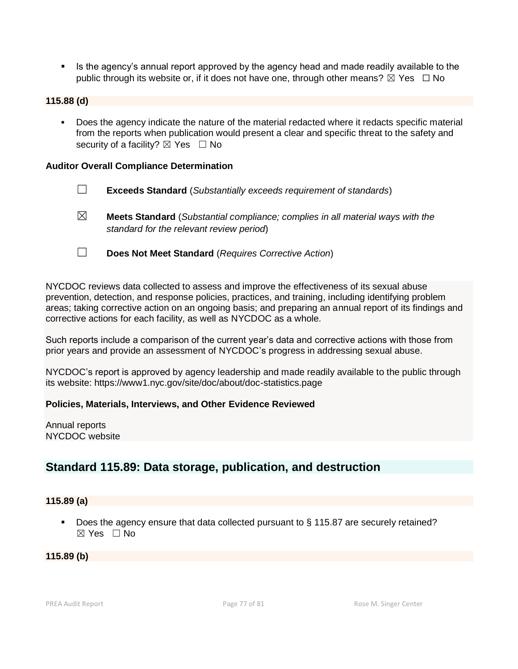**EXECT** Is the agency's annual report approved by the agency head and made readily available to the public through its website or, if it does not have one, through other means?  $\boxtimes$  Yes  $\Box$  No

### **115.88 (d)**

Does the agency indicate the nature of the material redacted where it redacts specific material from the reports when publication would present a clear and specific threat to the safety and security of a facility?  $\boxtimes$  Yes  $\Box$  No

#### **Auditor Overall Compliance Determination**

- ☐ **Exceeds Standard** (*Substantially exceeds requirement of standards*)
- ☒ **Meets Standard** (*Substantial compliance; complies in all material ways with the standard for the relevant review period*)
- ☐ **Does Not Meet Standard** (*Requires Corrective Action*)

NYCDOC reviews data collected to assess and improve the effectiveness of its sexual abuse prevention, detection, and response policies, practices, and training, including identifying problem areas; taking corrective action on an ongoing basis; and preparing an annual report of its findings and corrective actions for each facility, as well as NYCDOC as a whole.

Such reports include a comparison of the current year's data and corrective actions with those from prior years and provide an assessment of NYCDOC's progress in addressing sexual abuse.

NYCDOC's report is approved by agency leadership and made readily available to the public through its website: https://www1.nyc.gov/site/doc/about/doc-statistics.page

### **Policies, Materials, Interviews, and Other Evidence Reviewed**

Annual reports NYCDOC website

# **Standard 115.89: Data storage, publication, and destruction**

### **115.89 (a)**

■ Does the agency ensure that data collected pursuant to § 115.87 are securely retained?  $\boxtimes$  Yes  $\Box$  No

#### **115.89 (b)**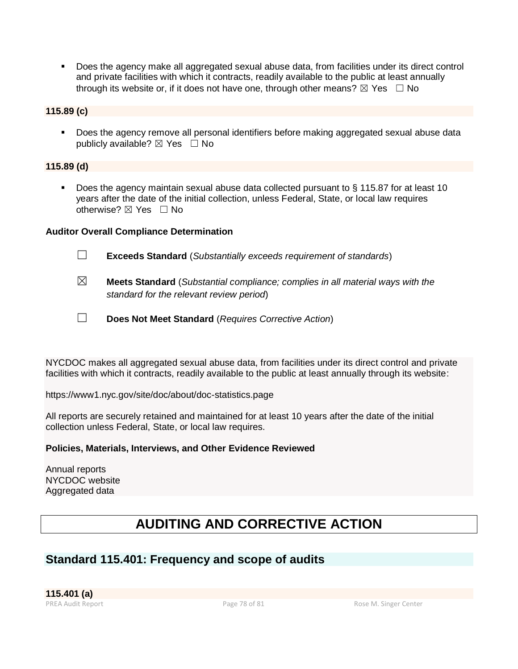▪ Does the agency make all aggregated sexual abuse data, from facilities under its direct control and private facilities with which it contracts, readily available to the public at least annually through its website or, if it does not have one, through other means?  $\boxtimes$  Yes  $\Box$  No

# **115.89 (c)**

▪ Does the agency remove all personal identifiers before making aggregated sexual abuse data publicly available?  $\boxtimes$  Yes  $\Box$  No

# **115.89 (d)**

■ Does the agency maintain sexual abuse data collected pursuant to § 115.87 for at least 10 years after the date of the initial collection, unless Federal, State, or local law requires otherwise? ⊠ Yes □ No

# **Auditor Overall Compliance Determination**

- ☐ **Exceeds Standard** (*Substantially exceeds requirement of standards*)
- ☒ **Meets Standard** (*Substantial compliance; complies in all material ways with the standard for the relevant review period*)
- ☐ **Does Not Meet Standard** (*Requires Corrective Action*)

NYCDOC makes all aggregated sexual abuse data, from facilities under its direct control and private facilities with which it contracts, readily available to the public at least annually through its website:

https://www1.nyc.gov/site/doc/about/doc-statistics.page

All reports are securely retained and maintained for at least 10 years after the date of the initial collection unless Federal, State, or local law requires.

# **Policies, Materials, Interviews, and Other Evidence Reviewed**

Annual reports NYCDOC website Aggregated data

# **AUDITING AND CORRECTIVE ACTION**

# **Standard 115.401: Frequency and scope of audits**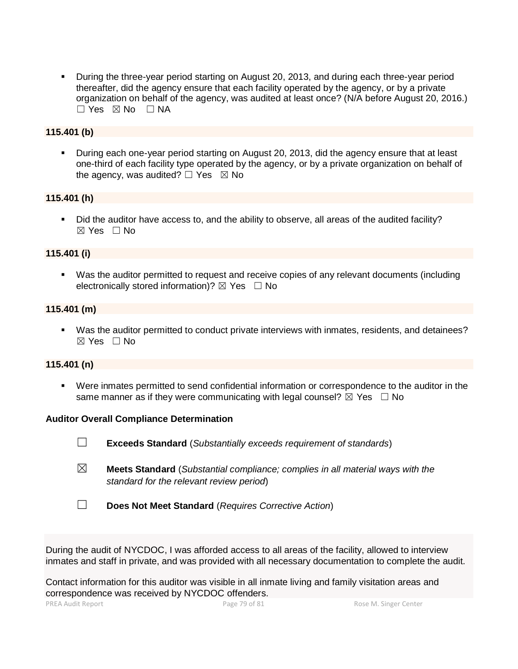**•** During the three-year period starting on August 20, 2013, and during each three-year period thereafter, did the agency ensure that each facility operated by the agency, or by a private organization on behalf of the agency, was audited at least once? (N/A before August 20, 2016.)  $\Box$  Yes  $\boxtimes$  No  $\Box$  NA

### **115.401 (b)**

**•** During each one-year period starting on August 20, 2013, did the agency ensure that at least one-third of each facility type operated by the agency, or by a private organization on behalf of the agency, was audited?  $\Box$  Yes  $\boxtimes$  No

### **115.401 (h)**

▪ Did the auditor have access to, and the ability to observe, all areas of the audited facility?  $\boxtimes$  Yes  $\Box$  No

### **115.401 (i)**

▪ Was the auditor permitted to request and receive copies of any relevant documents (including electronically stored information)?  $\boxtimes$  Yes  $\Box$  No

### **115.401 (m)**

▪ Was the auditor permitted to conduct private interviews with inmates, residents, and detainees?  $\boxtimes$  Yes  $\Box$  No

### **115.401 (n)**

▪ Were inmates permitted to send confidential information or correspondence to the auditor in the same manner as if they were communicating with legal counsel?  $\boxtimes$  Yes  $\Box$  No

### **Auditor Overall Compliance Determination**

- ☐ **Exceeds Standard** (*Substantially exceeds requirement of standards*)
- ☒ **Meets Standard** (*Substantial compliance; complies in all material ways with the standard for the relevant review period*)
- ☐ **Does Not Meet Standard** (*Requires Corrective Action*)

During the audit of NYCDOC, I was afforded access to all areas of the facility, allowed to interview inmates and staff in private, and was provided with all necessary documentation to complete the audit.

Contact information for this auditor was visible in all inmate living and family visitation areas and correspondence was received by NYCDOC offenders.

PREA Audit Report **Page 79 of 81** Page 79 of 81 Rose M. Singer Center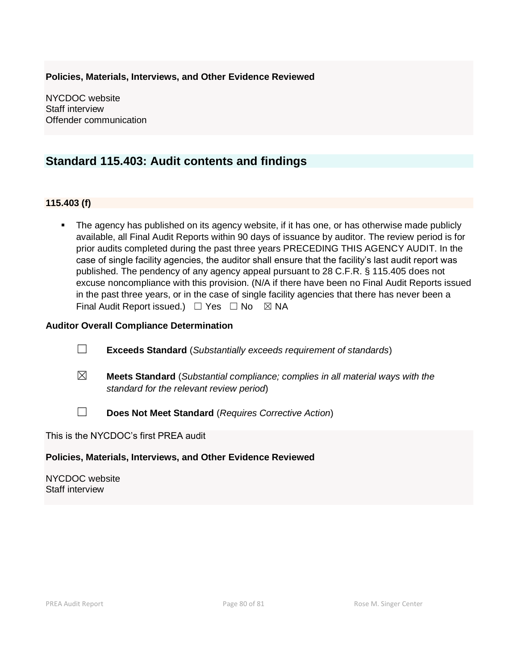# **Policies, Materials, Interviews, and Other Evidence Reviewed**

NYCDOC website Staff interview Offender communication

# **Standard 115.403: Audit contents and findings**

### **115.403 (f)**

**•** The agency has published on its agency website, if it has one, or has otherwise made publicly available, all Final Audit Reports within 90 days of issuance by auditor. The review period is for prior audits completed during the past three years PRECEDING THIS AGENCY AUDIT. In the case of single facility agencies, the auditor shall ensure that the facility's last audit report was published. The pendency of any agency appeal pursuant to 28 C.F.R. § 115.405 does not excuse noncompliance with this provision. (N/A if there have been no Final Audit Reports issued in the past three years, or in the case of single facility agencies that there has never been a Final Audit Report issued.)  $\Box$  Yes  $\Box$  No  $\boxtimes$  NA

### **Auditor Overall Compliance Determination**

- ☐ **Exceeds Standard** (*Substantially exceeds requirement of standards*)
- ☒ **Meets Standard** (*Substantial compliance; complies in all material ways with the standard for the relevant review period*)
- ☐ **Does Not Meet Standard** (*Requires Corrective Action*)

This is the NYCDOC's first PREA audit

### **Policies, Materials, Interviews, and Other Evidence Reviewed**

NYCDOC website Staff interview